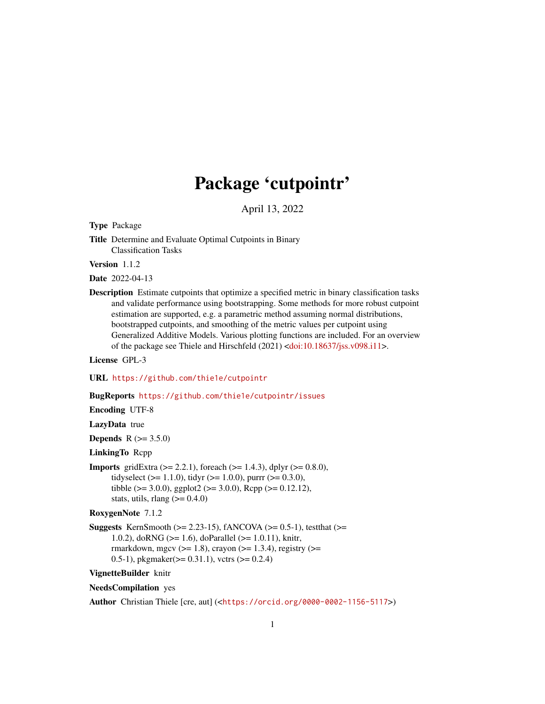# Package 'cutpointr'

April 13, 2022

Type Package

Title Determine and Evaluate Optimal Cutpoints in Binary Classification Tasks

Version 1.1.2

Date 2022-04-13

Description Estimate cutpoints that optimize a specified metric in binary classification tasks and validate performance using bootstrapping. Some methods for more robust cutpoint estimation are supported, e.g. a parametric method assuming normal distributions, bootstrapped cutpoints, and smoothing of the metric values per cutpoint using Generalized Additive Models. Various plotting functions are included. For an overview of the package see Thiele and Hirschfeld (2021) [<doi:10.18637/jss.v098.i11>](https://doi.org/10.18637/jss.v098.i11).

License GPL-3

URL <https://github.com/thie1e/cutpointr>

#### BugReports <https://github.com/thie1e/cutpointr/issues>

Encoding UTF-8

LazyData true

**Depends**  $R (= 3.5.0)$ 

# LinkingTo Rcpp

**Imports** gridExtra ( $>= 2.2.1$ ), foreach ( $>= 1.4.3$ ), dplyr ( $>= 0.8.0$ ), tidyselect ( $>= 1.1.0$ ), tidyr ( $>= 1.0.0$ ), purrr ( $>= 0.3.0$ ), tibble ( $>= 3.0.0$ ), ggplot2 ( $>= 3.0.0$ ), Rcpp ( $>= 0.12.12$ ), stats, utils, rlang  $(>= 0.4.0)$ 

RoxygenNote 7.1.2

**Suggests** KernSmooth ( $>= 2.23-15$ ), fANCOVA ( $>= 0.5-1$ ), testthat ( $>=$ 1.0.2), doRNG (>= 1.6), doParallel (>= 1.0.11), knitr, rmarkdown, mgcv ( $>= 1.8$ ), crayon ( $>= 1.3.4$ ), registry ( $>=$ 0.5-1), pkgmaker( $> = 0.31.1$ ), vctrs ( $> = 0.2.4$ )

VignetteBuilder knitr

#### NeedsCompilation yes

Author Christian Thiele [cre, aut] (<<https://orcid.org/0000-0002-1156-5117>>)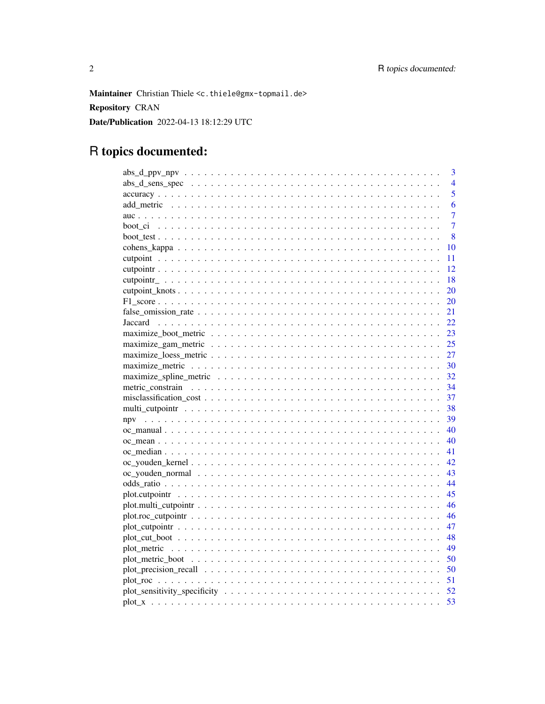Maintainer Christian Thiele <c.thiele@gmx-topmail.de> **Repository CRAN** Date/Publication 2022-04-13 18:12:29 UTC

# R topics documented:

| 3              |
|----------------|
| $\overline{4}$ |
| 5              |
| 6              |
| 7              |
| $\overline{7}$ |
| 8              |
| 10             |
| 11             |
| 12             |
| 18             |
| 20             |
| 20             |
| 21             |
| 22.            |
| 23             |
| 25             |
| 27             |
| 30             |
| 32             |
| 34             |
| 37             |
| 38             |
| 39             |
| 40             |
| 40             |
| 41             |
| 42             |
| 43             |
| 44             |
| 45             |
| 46             |
| 46             |
| 47             |
| 48             |
| 49             |
| 50             |
| 50             |
|                |
| 52             |
| 53             |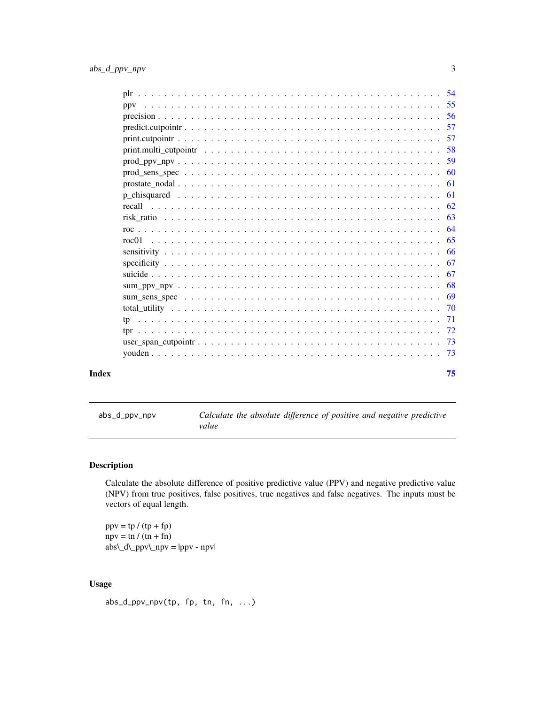<span id="page-2-0"></span>

| recall |  |    |
|--------|--|----|
|        |  |    |
|        |  |    |
| roc01  |  |    |
|        |  |    |
|        |  |    |
|        |  |    |
|        |  |    |
|        |  |    |
|        |  |    |
|        |  |    |
|        |  |    |
|        |  |    |
|        |  |    |
| Index  |  | 75 |

<span id="page-2-1"></span>abs\_d\_ppv\_npv *Calculate the absolute difference of positive and negative predictive value*

# Description

Calculate the absolute difference of positive predictive value (PPV) and negative predictive value (NPV) from true positives, false positives, true negatives and false negatives. The inputs must be vectors of equal length.

 $ppv = tp / (tp + fp)$  $npv = \text{tn } / (\text{tn } + \text{fn})$ abs\\_d\\_ppv\\_npv = |ppv - npv|

# Usage

abs\_d\_ppv\_npv(tp, fp, tn, fn, ...)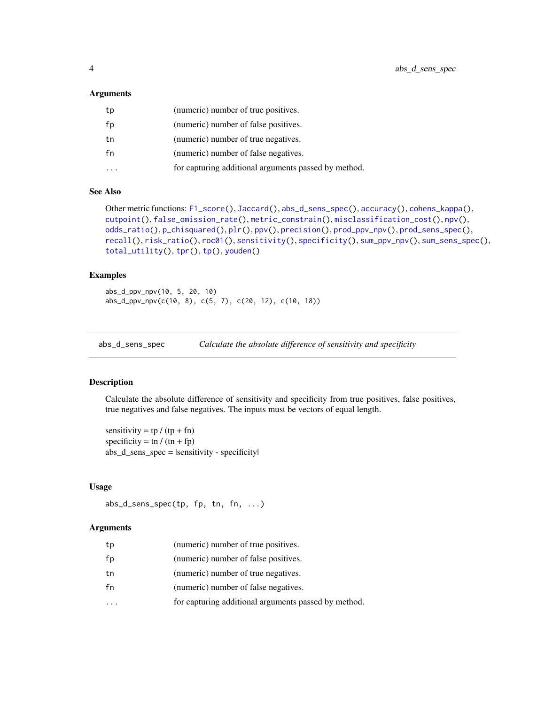#### <span id="page-3-0"></span>**Arguments**

| tp | (numeric) number of true positives.                  |
|----|------------------------------------------------------|
| fp | (numeric) number of false positives.                 |
| tn | (numeric) number of true negatives.                  |
| fn | (numeric) number of false negatives.                 |
|    | for capturing additional arguments passed by method. |

# See Also

```
Other metric functions: F1_score(), Jaccard(), abs_d_sens_spec(), accuracy(), cohens_kappa(),
cutpoint(), false_omission_rate(), metric_constrain(), misclassification_cost(), npv(),
odds_ratio(), p_chisquared(), plr(), ppv(), precision(), prod_ppv_npv(), prod_sens_spec(),
recall(), risk_ratio(), roc01(), sensitivity(), specificity(), sum_ppv_npv(), sum_sens_spec(),
total_utility(), tpr(), tp(), youden()
```
# Examples

abs\_d\_ppv\_npv(10, 5, 20, 10) abs\_d\_ppv\_npv(c(10, 8), c(5, 7), c(20, 12), c(10, 18))

<span id="page-3-1"></span>abs\_d\_sens\_spec *Calculate the absolute difference of sensitivity and specificity*

# Description

Calculate the absolute difference of sensitivity and specificity from true positives, false positives, true negatives and false negatives. The inputs must be vectors of equal length.

sensitivity =  $tp / (tp + fn)$ specificity = tn /  $(tn + fp)$ abs $_d$  sens spec = |sensitivity - specificity

# Usage

abs\_d\_sens\_spec(tp, fp, tn, fn, ...)

#### Arguments

| tp | (numeric) number of true positives.                  |
|----|------------------------------------------------------|
| fp | (numeric) number of false positives.                 |
| tn | (numeric) number of true negatives.                  |
| fn | (numeric) number of false negatives.                 |
|    | for capturing additional arguments passed by method. |
|    |                                                      |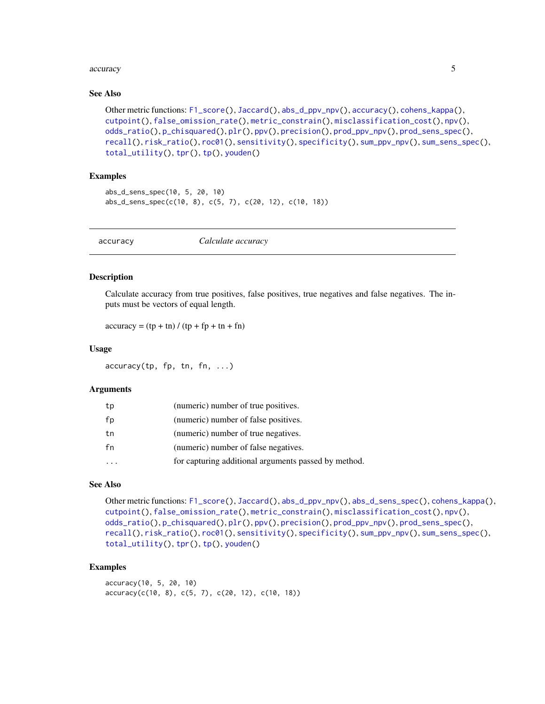#### <span id="page-4-0"></span>accuracy 5 and 3 accuracy 5 and 3 accuracy 5 accuracy 5 accuracy 5 accuracy 5 accuracy 5 accuracy 5 accuracy 5  $\sim$

# See Also

```
Other metric functions: F1_score(), Jaccard(), abs_d_ppv_npv(), accuracy(), cohens_kappa(),
cutpoint(), false_omission_rate(), metric_constrain(), misclassification_cost(), npv(),
odds_ratio(), p_chisquared(), plr(), ppv(), precision(), prod_ppv_npv(), prod_sens_spec(),
recall(), risk_ratio(), roc01(), sensitivity(), specificity(), sum_ppv_npv(), sum_sens_spec(),
total_utility(), tpr(), tp(), youden()
```
# Examples

```
abs_d_sens_spec(10, 5, 20, 10)
abs_d_sens_spec(c(10, 8), c(5, 7), c(20, 12), c(10, 18))
```
<span id="page-4-1"></span>accuracy *Calculate accuracy*

# Description

Calculate accuracy from true positives, false positives, true negatives and false negatives. The inputs must be vectors of equal length.

 $accuracy = (tp + tn) / (tp + fp + tn + fn)$ 

#### Usage

accuracy(tp, fp, tn, fn, ...)

#### Arguments

| tp | (numeric) number of true positives.                  |
|----|------------------------------------------------------|
| fp | (numeric) number of false positives.                 |
| tn | (numeric) number of true negatives.                  |
| fn | (numeric) number of false negatives.                 |
|    | for capturing additional arguments passed by method. |

# See Also

```
Other metric functions: F1_score(), Jaccard(), abs_d_ppv_npv(), abs_d_sens_spec(), cohens_kappa(),
cutpoint(), false_omission_rate(), metric_constrain(), misclassification_cost(), npv(),
odds_ratio(), p_chisquared(), plr(), ppv(), precision(), prod_ppv_npv(), prod_sens_spec(),
recall(), risk_ratio(), roc01(), sensitivity(), specificity(), sum_ppv_npv(), sum_sens_spec(),
total_utility(), tpr(), tp(), youden()
```
# Examples

accuracy(10, 5, 20, 10)  $accuracy(c(10, 8), c(5, 7), c(20, 12), c(10, 18))$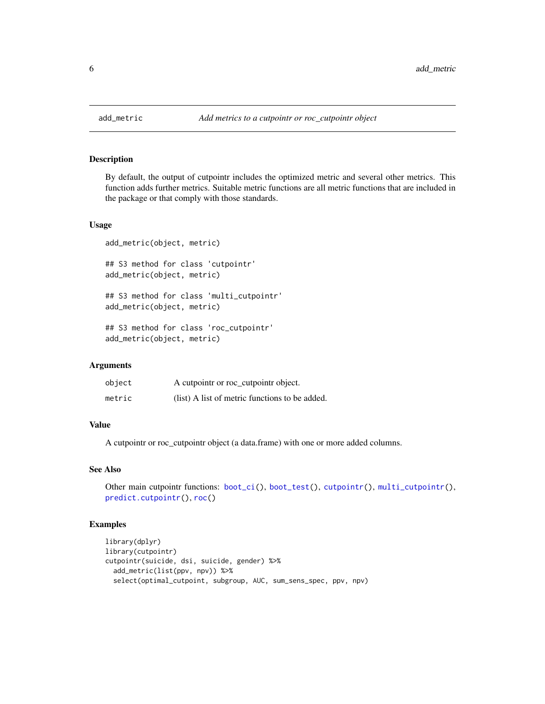<span id="page-5-1"></span><span id="page-5-0"></span>

# Description

By default, the output of cutpointr includes the optimized metric and several other metrics. This function adds further metrics. Suitable metric functions are all metric functions that are included in the package or that comply with those standards.

#### Usage

```
add_metric(object, metric)
## S3 method for class 'cutpointr'
add_metric(object, metric)
## S3 method for class 'multi_cutpointr'
add_metric(object, metric)
```
## S3 method for class 'roc\_cutpointr' add\_metric(object, metric)

## Arguments

| object | A cutpointr or roc_cutpointr object.           |
|--------|------------------------------------------------|
| metric | (list) A list of metric functions to be added. |

# Value

A cutpointr or roc\_cutpointr object (a data.frame) with one or more added columns.

# See Also

```
boot_ci(boot_test(cutpointr(multi_cutpointr(),
predict.cutpointr(), roc()
```

```
library(dplyr)
library(cutpointr)
cutpointr(suicide, dsi, suicide, gender) %>%
  add_metric(list(ppv, npv)) %>%
  select(optimal_cutpoint, subgroup, AUC, sum_sens_spec, ppv, npv)
```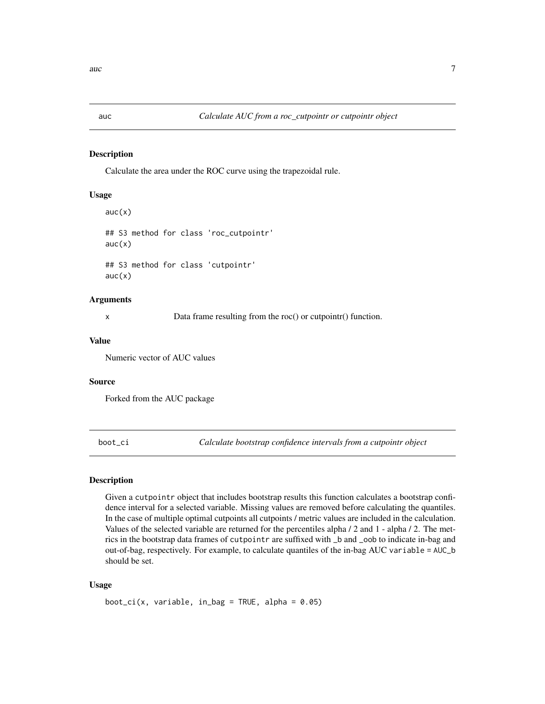<span id="page-6-0"></span>

# Description

Calculate the area under the ROC curve using the trapezoidal rule.

# Usage

```
auc(x)## S3 method for class 'roc_cutpointr'
auc(x)## S3 method for class 'cutpointr'
auc(x)
```
#### Arguments

x Data frame resulting from the roc() or cutpointr() function.

#### Value

Numeric vector of AUC values

# Source

Forked from the AUC package

<span id="page-6-1"></span>boot\_ci *Calculate bootstrap confidence intervals from a cutpointr object*

# Description

Given a cutpointr object that includes bootstrap results this function calculates a bootstrap confidence interval for a selected variable. Missing values are removed before calculating the quantiles. In the case of multiple optimal cutpoints all cutpoints / metric values are included in the calculation. Values of the selected variable are returned for the percentiles alpha / 2 and 1 - alpha / 2. The metrics in the bootstrap data frames of cutpointr are suffixed with \_b and \_oob to indicate in-bag and out-of-bag, respectively. For example, to calculate quantiles of the in-bag AUC variable = AUC\_b should be set.

## Usage

boot\_ci(x, variable, in\_bag = TRUE, alpha =  $0.05$ )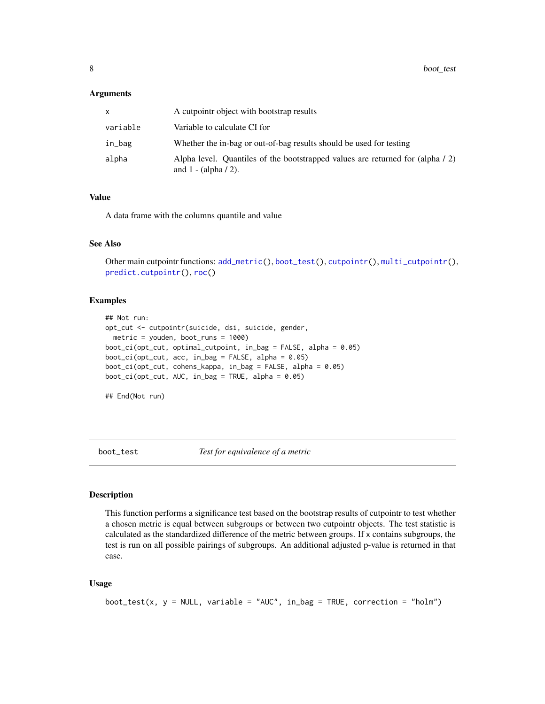# <span id="page-7-0"></span>Arguments

| x        | A cutpointr object with bootstrap results                                                                 |
|----------|-----------------------------------------------------------------------------------------------------------|
| variable | Variable to calculate CI for                                                                              |
| in_bag   | Whether the in-bag or out-of-bag results should be used for testing                                       |
| alpha    | Alpha level. Quantiles of the bootstrapped values are returned for (alpha / 2)<br>and $1 - (alpha / 2)$ . |

# Value

A data frame with the columns quantile and value

#### See Also

Other main cutpointr functions: [add\\_metric\(](#page-5-1)), [boot\\_test\(](#page-7-1)), [cutpointr\(](#page-11-1)), [multi\\_cutpointr\(](#page-37-1)), [predict.cutpointr\(](#page-56-1)), [roc\(](#page-63-1))

#### Examples

```
## Not run:
opt_cut <- cutpointr(suicide, dsi, suicide, gender,
  metric = youden, boot_runs = 1000)
boot_ci(opt_cut, optimal_cutpoint, in_bag = FALSE, alpha = 0.05)
boot_ci(opt_cut, acc, in_bag = FALSE, alpha = 0.05)boot_ci(opt_cut, cohens_kappa, in_bag = FALSE, alpha = 0.05)
boot\_ci(opt\_cut, AUC, in\_bag = TRUE, alpha = 0.05)
```
## End(Not run)

<span id="page-7-1"></span>boot\_test *Test for equivalence of a metric*

#### Description

This function performs a significance test based on the bootstrap results of cutpointr to test whether a chosen metric is equal between subgroups or between two cutpointr objects. The test statistic is calculated as the standardized difference of the metric between groups. If x contains subgroups, the test is run on all possible pairings of subgroups. An additional adjusted p-value is returned in that case.

#### Usage

```
boot_test(x, y = NULL, variable = "AUC", in_bag = TRUE, correction = "holm")
```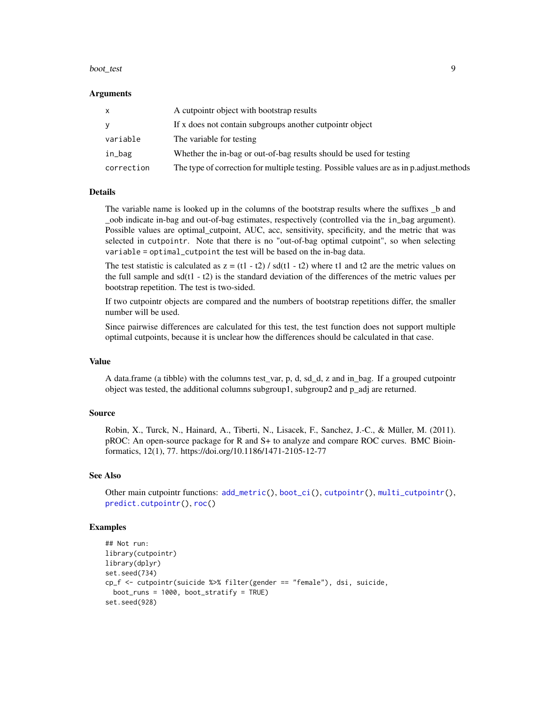#### boot\_test 9

#### Arguments

| $\mathsf{x}$ | A cutpointr object with bootstrap results                                               |
|--------------|-----------------------------------------------------------------------------------------|
| <b>V</b>     | If x does not contain subgroups another cutpointr object                                |
| variable     | The variable for testing                                                                |
| in_bag       | Whether the in-bag or out-of-bag results should be used for testing                     |
| correction   | The type of correction for multiple testing. Possible values are as in p.adjust.methods |

#### Details

The variable name is looked up in the columns of the bootstrap results where the suffixes \_b and \_oob indicate in-bag and out-of-bag estimates, respectively (controlled via the in\_bag argument). Possible values are optimal\_cutpoint, AUC, acc, sensitivity, specificity, and the metric that was selected in cutpointr. Note that there is no "out-of-bag optimal cutpoint", so when selecting variable = optimal\_cutpoint the test will be based on the in-bag data.

The test statistic is calculated as  $z = (t1 - t2) / sd(t1 - t2)$  where t1 and t2 are the metric values on the full sample and sd(t1 - t2) is the standard deviation of the differences of the metric values per bootstrap repetition. The test is two-sided.

If two cutpointr objects are compared and the numbers of bootstrap repetitions differ, the smaller number will be used.

Since pairwise differences are calculated for this test, the test function does not support multiple optimal cutpoints, because it is unclear how the differences should be calculated in that case.

# Value

A data.frame (a tibble) with the columns test\_var, p, d, sd\_d, z and in\_bag. If a grouped cutpointr object was tested, the additional columns subgroup1, subgroup2 and p\_adj are returned.

# Source

Robin, X., Turck, N., Hainard, A., Tiberti, N., Lisacek, F., Sanchez, J.-C., & Müller, M. (2011). pROC: An open-source package for R and S+ to analyze and compare ROC curves. BMC Bioinformatics, 12(1), 77. https://doi.org/10.1186/1471-2105-12-77

# See Also

Other main cutpointr functions: [add\\_metric\(](#page-5-1)), [boot\\_ci\(](#page-6-1)), [cutpointr\(](#page-11-1)), [multi\\_cutpointr\(](#page-37-1)), [predict.cutpointr\(](#page-56-1)), [roc\(](#page-63-1))

```
## Not run:
library(cutpointr)
library(dplyr)
set.seed(734)
cp_f <- cutpointr(suicide %>% filter(gender == "female"), dsi, suicide,
 boot_runs = 1000, boot_stratify = TRUE)
set.seed(928)
```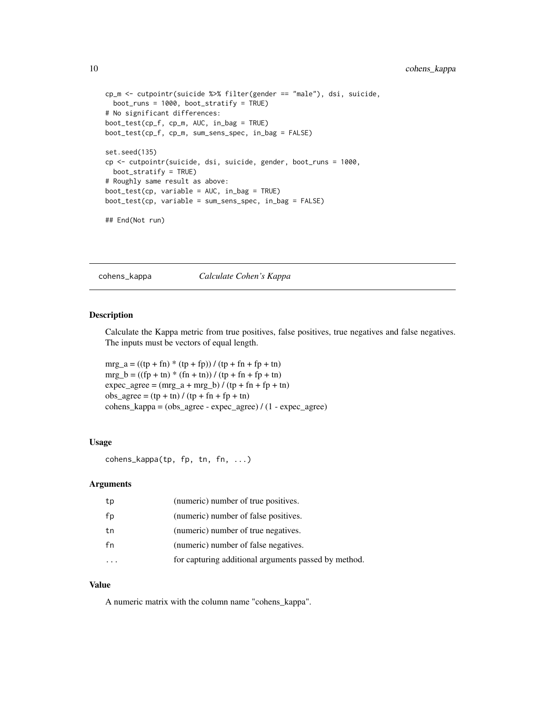```
cp_m <- cutpointr(suicide %>% filter(gender == "male"), dsi, suicide,
 boot_runs = 1000, boot_stratify = TRUE)
# No significant differences:
boot_test(cp_f, cp_m, AUC, in_bag = TRUE)
boot_test(cp_f, cp_m, sum_sens_spec, in_bag = FALSE)
set.seed(135)
cp <- cutpointr(suicide, dsi, suicide, gender, boot_runs = 1000,
 boot_stratify = TRUE)
# Roughly same result as above:
boot_test(cp, variable = AUC, in_bag = TRUE)
boot_test(cp, variable = sum_sens_spec, in_bag = FALSE)
## End(Not run)
```
<span id="page-9-1"></span>cohens\_kappa *Calculate Cohen's Kappa*

# Description

Calculate the Kappa metric from true positives, false positives, true negatives and false negatives. The inputs must be vectors of equal length.

 $mrg_a = ((tp + fn) * (tp + fp)) / (tp + fn + fp + tn)$  $mrg_b = ((fp + tn) * (fn + tn)) / (tp + fn + fp + tn)$  $expec\_\ag{agree} = (mrg\_\ag{a + mrg\_\blacksquare}) / (tp + fn + fp + tn)$  $obs\_agree = (tp + tn) / (tp + fn + fp + tn)$  $cohens\_kappa = (obs\_agree - expec\_agree) / (1 - expec\_agree)$ 

#### Usage

cohens\_kappa(tp, fp, tn, fn, ...)

# Arguments

| tp | (numeric) number of true positives.                  |
|----|------------------------------------------------------|
| fp | (numeric) number of false positives.                 |
| tn | (numeric) number of true negatives.                  |
| fn | (numeric) number of false negatives.                 |
|    | for capturing additional arguments passed by method. |

#### Value

A numeric matrix with the column name "cohens\_kappa".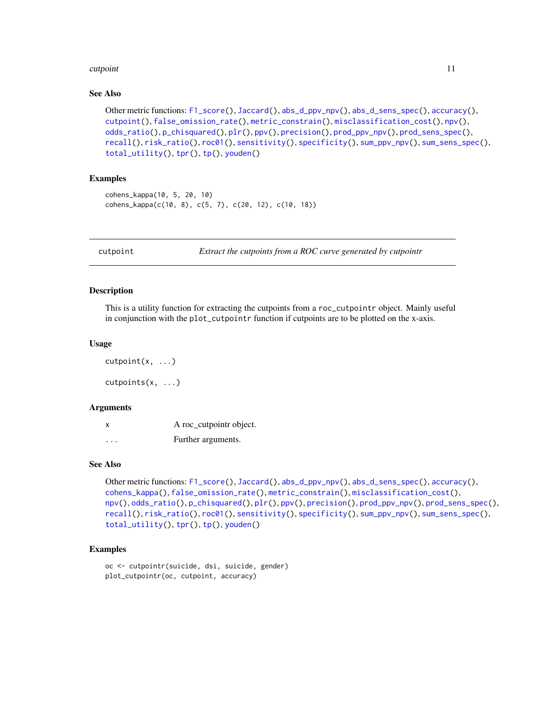#### <span id="page-10-0"></span>cutpoint that the control of the control of the control of the control of the control of the control of the control of the control of the control of the control of the control of the control of the control of the control o

# See Also

```
Other metric functions: F1_score(), Jaccard(), abs_d_ppv_npv(), abs_d_sens_spec(), accuracy(),
cutpoint(), false_omission_rate(), metric_constrain(), misclassification_cost(), npv(),
odds_ratio(), p_chisquared(), plr(), ppv(), precision(), prod_ppv_npv(), prod_sens_spec(),
recall(), risk_ratio(), roc01(), sensitivity(), specificity(), sum_ppv_npv(), sum_sens_spec(),
total_utility(), tpr(), tp(), youden()
```
# Examples

```
cohens_kappa(10, 5, 20, 10)
cohens_kappa(c(10, 8), c(5, 7), c(20, 12), c(10, 18))
```
<span id="page-10-1"></span>

cutpoint *Extract the cutpoints from a ROC curve generated by cutpointr*

# **Description**

This is a utility function for extracting the cutpoints from a roc\_cutpointr object. Mainly useful in conjunction with the plot\_cutpointr function if cutpoints are to be plotted on the x-axis.

# Usage

cutpoint(x, ...) cutpoints(x, ...)

#### **Arguments**

| x                    | A roc_cutpointr object. |
|----------------------|-------------------------|
| $\ddot{\phantom{0}}$ | Further arguments.      |

# See Also

```
Other metric functions: F1_score(), Jaccard(), abs_d_ppv_npv(), abs_d_sens_spec(), accuracy(),
cohens_kappa(), false_omission_rate(), metric_constrain(), misclassification_cost(),
npv(), odds_ratio(), p_chisquared(), plr(), ppv(), precision(), prod_ppv_npv(), prod_sens_spec(),
recall(), risk_ratio(), roc01(), sensitivity(), specificity(), sum_ppv_npv(), sum_sens_spec(),
total_utility(), tpr(), tp(), youden()
```

```
oc <- cutpointr(suicide, dsi, suicide, gender)
plot_cutpointr(oc, cutpoint, accuracy)
```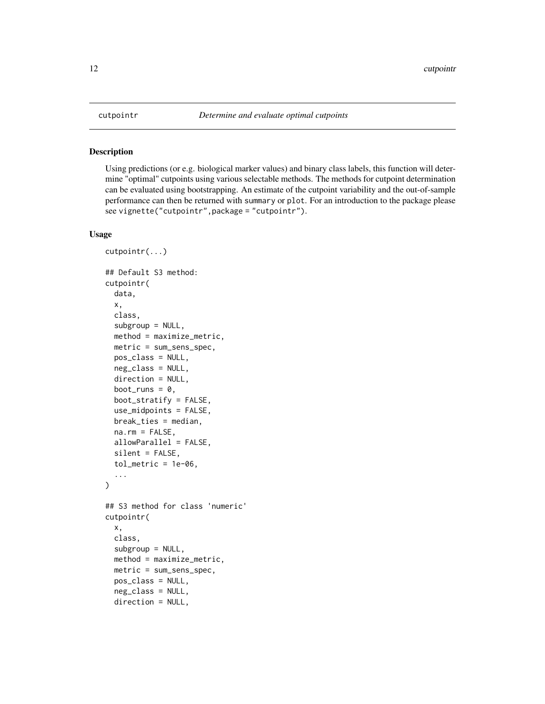#### Description

Using predictions (or e.g. biological marker values) and binary class labels, this function will determine "optimal" cutpoints using various selectable methods. The methods for cutpoint determination can be evaluated using bootstrapping. An estimate of the cutpoint variability and the out-of-sample performance can then be returned with summary or plot. For an introduction to the package please see vignette("cutpointr",package = "cutpointr").

# Usage

```
cutpointr(...)
## Default S3 method:
cutpointr(
  data,
  x,
  class,
  subgroup = NULL,method = maximize_metric,
 metric = sum_sens_spec,
 pos_class = NULL,
 neg_class = NULL,
  direction = NULL,
  boot_runs = 0,
 boot_stratify = FALSE,
  use_midpoints = FALSE,
 break_ties = median,
  na.rm = FALSE,allowParallel = FALSE,
  silent = FALSE,
  tol_metric = 1e-06,...
)
## S3 method for class 'numeric'
cutpointr(
  x,
  class,
  subgroup = NULL,method = maximize_metric,
 metric = sum_sens_spec,
 pos_class = NULL,
  neg_class = NULL,
  direction = NULL,
```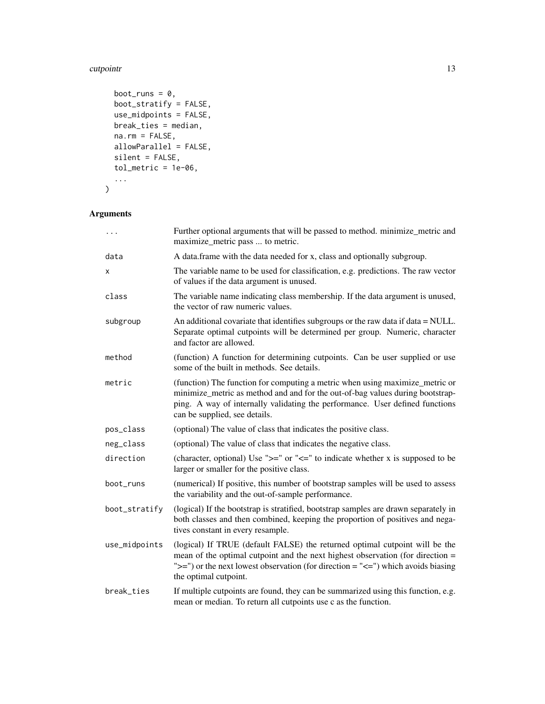#### cutpointr and the control of the control of the control of the control of the control of the control of the control of the control of the control of the control of the control of the control of the control of the control o

```
boot_runs = 0,
 boot_stratify = FALSE,
 use\_midpoints = FALSE,break_ties = median,
 na.rm = FALSE,allowParallel = FALSE,
 silent = FALSE,
  tol_metric = 1e-06,...
\mathcal{L}
```
# Arguments

| $\ddots$      | Further optional arguments that will be passed to method. minimize_metric and<br>maximize_metric pass  to metric.                                                                                                                                                                  |
|---------------|------------------------------------------------------------------------------------------------------------------------------------------------------------------------------------------------------------------------------------------------------------------------------------|
| data          | A data.frame with the data needed for x, class and optionally subgroup.                                                                                                                                                                                                            |
| x             | The variable name to be used for classification, e.g. predictions. The raw vector<br>of values if the data argument is unused.                                                                                                                                                     |
| class         | The variable name indicating class membership. If the data argument is unused,<br>the vector of raw numeric values.                                                                                                                                                                |
| subgroup      | An additional covariate that identifies subgroups or the raw data if data = NULL.<br>Separate optimal cutpoints will be determined per group. Numeric, character<br>and factor are allowed.                                                                                        |
| method        | (function) A function for determining cutpoints. Can be user supplied or use<br>some of the built in methods. See details.                                                                                                                                                         |
| metric        | (function) The function for computing a metric when using maximize_metric or<br>minimize_metric as method and and for the out-of-bag values during bootstrap-<br>ping. A way of internally validating the performance. User defined functions<br>can be supplied, see details.     |
| pos_class     | (optional) The value of class that indicates the positive class.                                                                                                                                                                                                                   |
| neg_class     | (optional) The value of class that indicates the negative class.                                                                                                                                                                                                                   |
| direction     | (character, optional) Use " $>=$ " or " $<=$ " to indicate whether x is supposed to be<br>larger or smaller for the positive class.                                                                                                                                                |
| boot_runs     | (numerical) If positive, this number of bootstrap samples will be used to assess<br>the variability and the out-of-sample performance.                                                                                                                                             |
| boot_stratify | (logical) If the bootstrap is stratified, bootstrap samples are drawn separately in<br>both classes and then combined, keeping the proportion of positives and nega-<br>tives constant in every resample.                                                                          |
| use_midpoints | (logical) If TRUE (default FALSE) the returned optimal cutpoint will be the<br>mean of the optimal cutpoint and the next highest observation (for direction =<br>" $>=$ ") or the next lowest observation (for direction = " $<=$ ") which avoids biasing<br>the optimal cutpoint. |
| break_ties    | If multiple cutpoints are found, they can be summarized using this function, e.g.<br>mean or median. To return all cutpoints use c as the function.                                                                                                                                |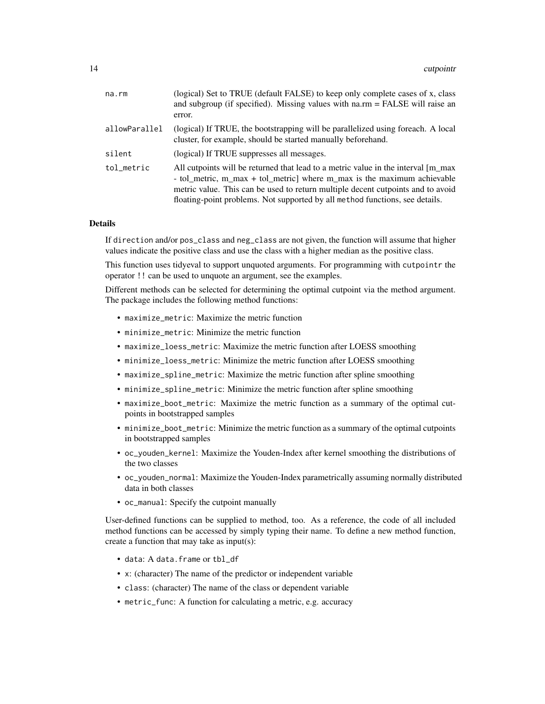| na.rm         | (logical) Set to TRUE (default FALSE) to keep only complete cases of x, class<br>and subgroup (if specified). Missing values with $na.rm = FALSE$ will raise an<br>error.                                                                                                                                                       |
|---------------|---------------------------------------------------------------------------------------------------------------------------------------------------------------------------------------------------------------------------------------------------------------------------------------------------------------------------------|
| allowParallel | (logical) If TRUE, the bootstrapping will be parallelized using foreach. A local<br>cluster, for example, should be started manually beforehand.                                                                                                                                                                                |
| silent        | (logical) If TRUE suppresses all messages.                                                                                                                                                                                                                                                                                      |
| tol metric    | All cutpoints will be returned that lead to a metric value in the interval [m_max]<br>- tol_metric, m_max + tol_metric where m_max is the maximum achievable<br>metric value. This can be used to return multiple decent cutpoints and to avoid<br>floating-point problems. Not supported by all method functions, see details. |

#### Details

If direction and/or pos\_class and neg\_class are not given, the function will assume that higher values indicate the positive class and use the class with a higher median as the positive class.

This function uses tidyeval to support unquoted arguments. For programming with cutpointr the operator !! can be used to unquote an argument, see the examples.

Different methods can be selected for determining the optimal cutpoint via the method argument. The package includes the following method functions:

- maximize\_metric: Maximize the metric function
- minimize\_metric: Minimize the metric function
- maximize\_loess\_metric: Maximize the metric function after LOESS smoothing
- minimize\_loess\_metric: Minimize the metric function after LOESS smoothing
- maximize\_spline\_metric: Maximize the metric function after spline smoothing
- minimize\_spline\_metric: Minimize the metric function after spline smoothing
- maximize\_boot\_metric: Maximize the metric function as a summary of the optimal cutpoints in bootstrapped samples
- minimize\_boot\_metric: Minimize the metric function as a summary of the optimal cutpoints in bootstrapped samples
- oc\_youden\_kernel: Maximize the Youden-Index after kernel smoothing the distributions of the two classes
- oc\_youden\_normal: Maximize the Youden-Index parametrically assuming normally distributed data in both classes
- oc\_manual: Specify the cutpoint manually

User-defined functions can be supplied to method, too. As a reference, the code of all included method functions can be accessed by simply typing their name. To define a new method function, create a function that may take as input(s):

- data: A data.frame or tbl\_df
- x: (character) The name of the predictor or independent variable
- class: (character) The name of the class or dependent variable
- metric\_func: A function for calculating a metric, e.g. accuracy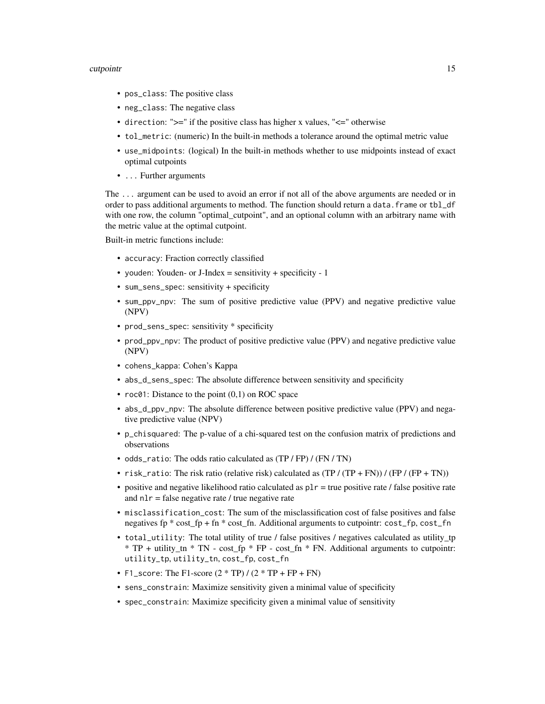#### cutpointr and the control of the control of the control of the control of the control of the control of the control of the control of the control of the control of the control of the control of the control of the control o

- pos\_class: The positive class
- neg\_class: The negative class
- direction: ">=" if the positive class has higher x values, "<=" otherwise
- tol\_metric: (numeric) In the built-in methods a tolerance around the optimal metric value
- use\_midpoints: (logical) In the built-in methods whether to use midpoints instead of exact optimal cutpoints
- ... Further arguments

The ... argument can be used to avoid an error if not all of the above arguments are needed or in order to pass additional arguments to method. The function should return a data. frame or tbl\_df with one row, the column "optimal\_cutpoint", and an optional column with an arbitrary name with the metric value at the optimal cutpoint.

Built-in metric functions include:

- accuracy: Fraction correctly classified
- youden: Youden- or J-Index = sensitivity + specificity 1
- sum\_sens\_spec: sensitivity + specificity
- sum\_ppv\_npv: The sum of positive predictive value (PPV) and negative predictive value (NPV)
- prod\_sens\_spec: sensitivity \* specificity
- prod\_ppv\_npv: The product of positive predictive value (PPV) and negative predictive value (NPV)
- cohens\_kappa: Cohen's Kappa
- abs\_d\_sens\_spec: The absolute difference between sensitivity and specificity
- $roc@1$ : Distance to the point  $(0,1)$  on ROC space
- abs\_d\_ppv\_npv: The absolute difference between positive predictive value (PPV) and negative predictive value (NPV)
- p\_chisquared: The p-value of a chi-squared test on the confusion matrix of predictions and observations
- odds\_ratio: The odds ratio calculated as (TP / FP) / (FN / TN)
- risk\_ratio: The risk ratio (relative risk) calculated as  $(TP / (TP + FN)) / (FP / (FP + TN))$
- positive and negative likelihood ratio calculated as  $p1r = true$  positive rate / false positive rate and  $n1r$  = false negative rate / true negative rate
- misclassification\_cost: The sum of the misclassification cost of false positives and false negatives fp \* cost\_fp + fn \* cost\_fn. Additional arguments to cutpointr: cost\_fp, cost\_fn
- total\_utility: The total utility of true / false positives / negatives calculated as utility\_tp \* TP + utility\_tn \* TN - cost\_fp \* FP - cost\_fn \* FN. Additional arguments to cutpointr: utility\_tp, utility\_tn, cost\_fp, cost\_fn
- F1\_score: The F1-score  $(2 * TP) / (2 * TP + FP + FN)$
- sens\_constrain: Maximize sensitivity given a minimal value of specificity
- spec\_constrain: Maximize specificity given a minimal value of sensitivity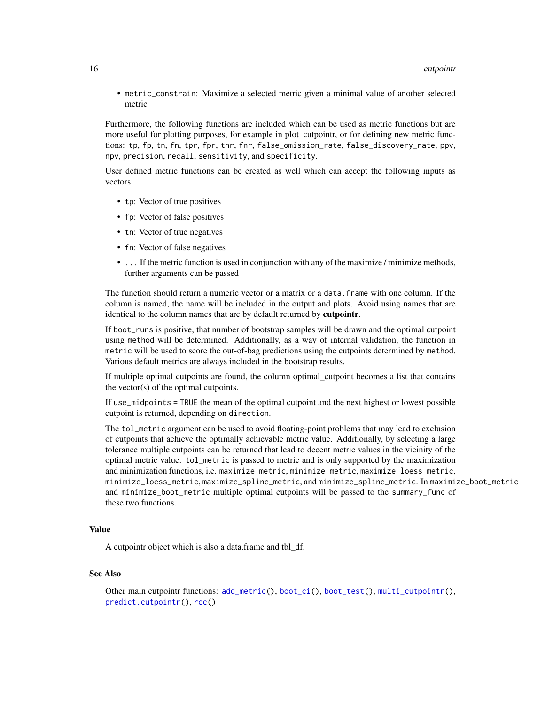• metric\_constrain: Maximize a selected metric given a minimal value of another selected metric

Furthermore, the following functions are included which can be used as metric functions but are more useful for plotting purposes, for example in plot\_cutpointr, or for defining new metric functions: tp, fp, tn, fn, tpr, fpr, tnr, fnr, false\_omission\_rate, false\_discovery\_rate, ppv, npv, precision, recall, sensitivity, and specificity.

User defined metric functions can be created as well which can accept the following inputs as vectors:

- tp: Vector of true positives
- fp: Vector of false positives
- tn: Vector of true negatives
- fn: Vector of false negatives
- ... If the metric function is used in conjunction with any of the maximize / minimize methods, further arguments can be passed

The function should return a numeric vector or a matrix or a data.frame with one column. If the column is named, the name will be included in the output and plots. Avoid using names that are identical to the column names that are by default returned by cutpointr.

If boot\_runs is positive, that number of bootstrap samples will be drawn and the optimal cutpoint using method will be determined. Additionally, as a way of internal validation, the function in metric will be used to score the out-of-bag predictions using the cutpoints determined by method. Various default metrics are always included in the bootstrap results.

If multiple optimal cutpoints are found, the column optimal\_cutpoint becomes a list that contains the vector(s) of the optimal cutpoints.

If use\_midpoints = TRUE the mean of the optimal cutpoint and the next highest or lowest possible cutpoint is returned, depending on direction.

The tol\_metric argument can be used to avoid floating-point problems that may lead to exclusion of cutpoints that achieve the optimally achievable metric value. Additionally, by selecting a large tolerance multiple cutpoints can be returned that lead to decent metric values in the vicinity of the optimal metric value. tol\_metric is passed to metric and is only supported by the maximization and minimization functions, i.e. maximize\_metric, minimize\_metric, maximize\_loess\_metric, minimize\_loess\_metric, maximize\_spline\_metric, and minimize\_spline\_metric. In maximize\_boot\_metric and minimize\_boot\_metric multiple optimal cutpoints will be passed to the summary\_func of these two functions.

# Value

A cutpointr object which is also a data.frame and tbl\_df.

## See Also

```
Other main cutpointr functions: add_metric(), boot_ci(), boot_test(), multi_cutpointr(),
predict.cutpointr(), roc()
```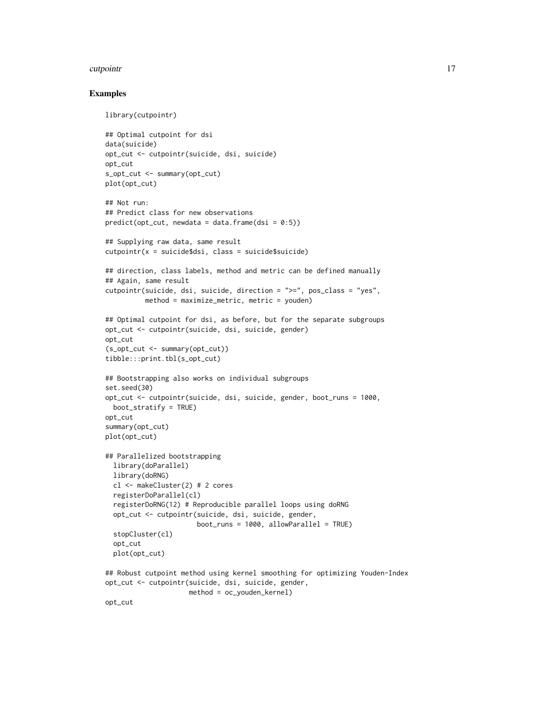#### cutpointr and the control of the control of the control of the control of the control of the control of the control of the control of the control of the control of the control of the control of the control of the control o

```
library(cutpointr)
## Optimal cutpoint for dsi
data(suicide)
opt_cut <- cutpointr(suicide, dsi, suicide)
opt_cut
s_opt_cut <- summary(opt_cut)
plot(opt_cut)
## Not run:
## Predict class for new observations
predict(opt-cut, newdata = data-frame(dsi = 0:5))## Supplying raw data, same result
cutpointr(x = suicide$dsi, class = suicide$suicide)
## direction, class labels, method and metric can be defined manually
## Again, same result
cutpointr(suicide, dsi, suicide, direction = ">=", pos_class = "yes",
          method = maximize_metric, metric = youden)
## Optimal cutpoint for dsi, as before, but for the separate subgroups
opt_cut <- cutpointr(suicide, dsi, suicide, gender)
opt_cut
(s_opt_cut <- summary(opt_cut))
tibble:::print.tbl(s_opt_cut)
## Bootstrapping also works on individual subgroups
set.seed(30)
opt_cut <- cutpointr(suicide, dsi, suicide, gender, boot_runs = 1000,
  boot_stratify = TRUE)
opt_cut
summary(opt_cut)
plot(opt_cut)
## Parallelized bootstrapping
  library(doParallel)
  library(doRNG)
  cl <- makeCluster(2) # 2 cores
  registerDoParallel(cl)
  registerDoRNG(12) # Reproducible parallel loops using doRNG
  opt_cut <- cutpointr(suicide, dsi, suicide, gender,
                       boot_runs = 1000, allowParallel = TRUE)
  stopCluster(cl)
  opt_cut
  plot(opt_cut)
## Robust cutpoint method using kernel smoothing for optimizing Youden-Index
opt_cut <- cutpointr(suicide, dsi, suicide, gender,
                     method = oc_youden_kernel)
opt_cut
```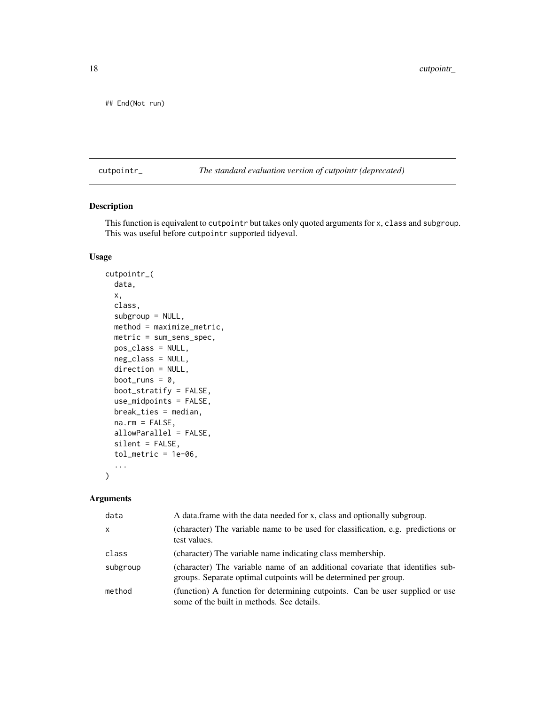<span id="page-17-0"></span>## End(Not run)

cutpointr\_ *The standard evaluation version of cutpointr (deprecated)*

# Description

This function is equivalent to cutpointr but takes only quoted arguments for x, class and subgroup. This was useful before cutpointr supported tidyeval.

# Usage

```
cutpointr_(
  data,
  x,
  class,
  subgroup = NULL,
 method = maximize_metric,
 metric = sum_sens_spec,
 pos_class = NULL,
 neg_class = NULL,
  direction = NULL,
  boot_runs = 0,
 boot_stratify = FALSE,
  use_midpoints = FALSE,
 break_ties = median,
  na.rm = FALSE,allowParallel = FALSE,
  silent = FALSE,
  tol\_metric = 1e-06,
  ...
```
# Arguments

)

| data     | A data frame with the data needed for x, class and optionally subgroup.                                                                           |
|----------|---------------------------------------------------------------------------------------------------------------------------------------------------|
| $\times$ | (character) The variable name to be used for classification, e.g. predictions or<br>test values.                                                  |
| class    | (character) The variable name indicating class membership.                                                                                        |
| subgroup | (character) The variable name of an additional covariate that identifies sub-<br>groups. Separate optimal cutpoints will be determined per group. |
| method   | (function) A function for determining cutpoints. Can be user supplied or use<br>some of the built in methods. See details.                        |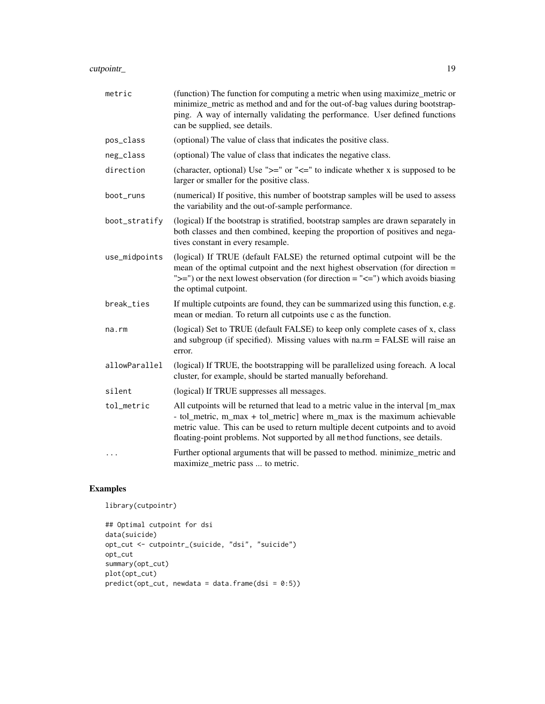# cutpointr\_ 19

| metric        | (function) The function for computing a metric when using maximize_metric or<br>minimize_metric as method and and for the out-of-bag values during bootstrap-<br>ping. A way of internally validating the performance. User defined functions<br>can be supplied, see details.                                                  |
|---------------|---------------------------------------------------------------------------------------------------------------------------------------------------------------------------------------------------------------------------------------------------------------------------------------------------------------------------------|
| pos_class     | (optional) The value of class that indicates the positive class.                                                                                                                                                                                                                                                                |
| neg_class     | (optional) The value of class that indicates the negative class.                                                                                                                                                                                                                                                                |
| direction     | (character, optional) Use " $>=$ " or " $<=$ " to indicate whether x is supposed to be<br>larger or smaller for the positive class.                                                                                                                                                                                             |
| boot_runs     | (numerical) If positive, this number of bootstrap samples will be used to assess<br>the variability and the out-of-sample performance.                                                                                                                                                                                          |
| boot_stratify | (logical) If the bootstrap is stratified, bootstrap samples are drawn separately in<br>both classes and then combined, keeping the proportion of positives and nega-<br>tives constant in every resample.                                                                                                                       |
| use_midpoints | (logical) If TRUE (default FALSE) the returned optimal cutpoint will be the<br>mean of the optimal cutpoint and the next highest observation (for direction =<br>" $>=$ ") or the next lowest observation (for direction = " $<=$ ") which avoids biasing<br>the optimal cutpoint.                                              |
| break_ties    | If multiple cutpoints are found, they can be summarized using this function, e.g.<br>mean or median. To return all cutpoints use c as the function.                                                                                                                                                                             |
| na.rm         | (logical) Set to TRUE (default FALSE) to keep only complete cases of x, class<br>and subgroup (if specified). Missing values with na.rm = FALSE will raise an<br>error.                                                                                                                                                         |
| allowParallel | (logical) If TRUE, the bootstrapping will be parallelized using foreach. A local<br>cluster, for example, should be started manually beforehand.                                                                                                                                                                                |
| silent        | (logical) If TRUE suppresses all messages.                                                                                                                                                                                                                                                                                      |
| tol_metric    | All cutpoints will be returned that lead to a metric value in the interval [m_max<br>- tol_metric, m_max + tol_metric] where m_max is the maximum achievable<br>metric value. This can be used to return multiple decent cutpoints and to avoid<br>floating-point problems. Not supported by all method functions, see details. |
| $\ddots$      | Further optional arguments that will be passed to method. minimize_metric and<br>maximize_metric pass  to metric.                                                                                                                                                                                                               |

```
library(cutpointr)
```

```
## Optimal cutpoint for dsi
data(suicide)
opt_cut <- cutpointr_(suicide, "dsi", "suicide")
opt_cut
summary(opt_cut)
plot(opt_cut)
predict(opt-cut, newdata = data-frame(dsi = 0:5))
```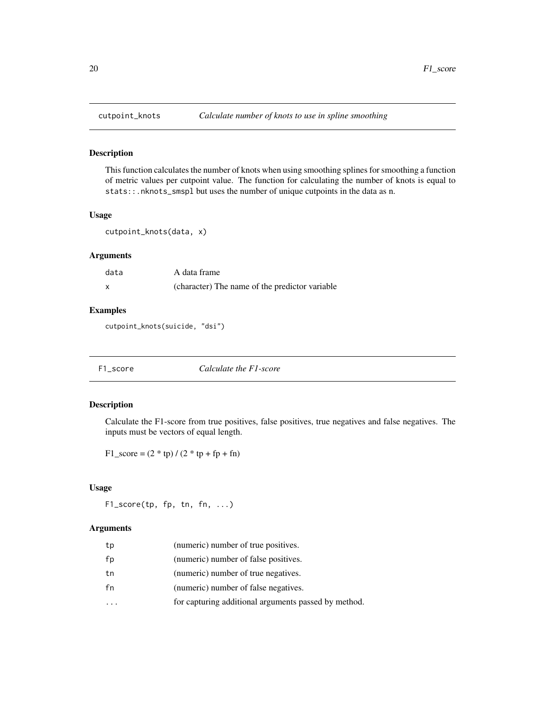# Description

This function calculates the number of knots when using smoothing splines for smoothing a function of metric values per cutpoint value. The function for calculating the number of knots is equal to stats::.nknots\_smspl but uses the number of unique cutpoints in the data as n.

# Usage

```
cutpoint_knots(data, x)
```
# Arguments

| data | A data frame                                   |
|------|------------------------------------------------|
| X    | (character) The name of the predictor variable |

# Examples

cutpoint\_knots(suicide, "dsi")

<span id="page-19-1"></span>

| F1_score | Calculate the F1-score |
|----------|------------------------|
|----------|------------------------|

# Description

Calculate the F1-score from true positives, false positives, true negatives and false negatives. The inputs must be vectors of equal length.

 $F1$ <sub>\_score</sub> =  $(2 * tp) / (2 * tp + fp + fn)$ 

# Usage

F1\_score(tp, fp, tn, fn, ...)

# Arguments

| tp | (numeric) number of true positives.                  |
|----|------------------------------------------------------|
| fp | (numeric) number of false positives.                 |
| tn | (numeric) number of true negatives.                  |
| fn | (numeric) number of false negatives.                 |
|    | for capturing additional arguments passed by method. |
|    |                                                      |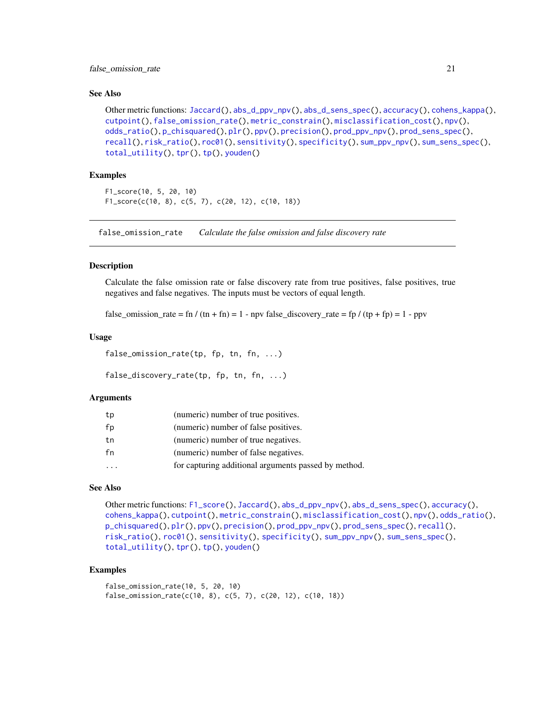# <span id="page-20-0"></span>See Also

```
Jaccard(abs_d_ppv_npv(abs_d_sens_spec(accuracy(cohens_kappa(),
cutpoint(), false_omission_rate(), metric_constrain(), misclassification_cost(), npv(),
odds_ratio(), p_chisquared(), plr(), ppv(), precision(), prod_ppv_npv(), prod_sens_spec(),
recall(), risk_ratio(), roc01(), sensitivity(), specificity(), sum_ppv_npv(), sum_sens_spec(),
total_utility(), tpr(), tp(), youden()
```
# Examples

```
F1_score(10, 5, 20, 10)
F1_score(c(10, 8), c(5, 7), c(20, 12), c(10, 18))
```
<span id="page-20-1"></span>false\_omission\_rate *Calculate the false omission and false discovery rate*

#### Description

Calculate the false omission rate or false discovery rate from true positives, false positives, true negatives and false negatives. The inputs must be vectors of equal length.

false\_omission\_rate = fn /  $(tn + fn) = 1$  - npv false\_discovery\_rate = fp /  $(tp + fp) = 1$  - ppv

### Usage

```
false_omission_rate(tp, fp, tn, fn, ...)
```

```
false_discovery_rate(tp, fp, tn, fn, ...)
```
#### Arguments

| tp | (numeric) number of true positives.                  |
|----|------------------------------------------------------|
| fp | (numeric) number of false positives.                 |
| tn | (numeric) number of true negatives.                  |
| fn | (numeric) number of false negatives.                 |
| .  | for capturing additional arguments passed by method. |

# See Also

```
Other metric functions: F1_score(), Jaccard(), abs_d_ppv_npv(), abs_d_sens_spec(), accuracy(),
cohens_kappa(), cutpoint(), metric_constrain(), misclassification_cost(), npv(), odds_ratio(),
p_chisquared(), plr(), ppv(), precision(), prod_ppv_npv(), prod_sens_spec(), recall(),
risk_ratio(), roc01(), sensitivity(), specificity(), sum_ppv_npv(), sum_sens_spec(),
total_utility(), tpr(), tp(), youden()
```

```
false_omission_rate(10, 5, 20, 10)
false_omission_rate(c(10, 8), c(5, 7), c(20, 12), c(10, 18))
```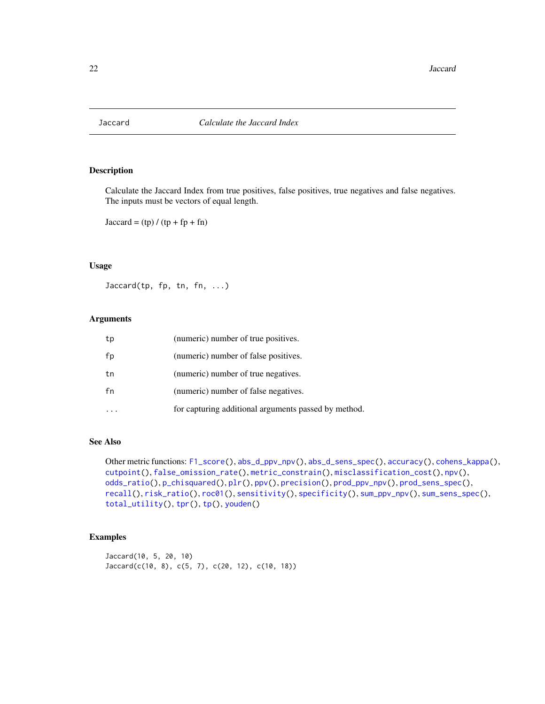<span id="page-21-1"></span><span id="page-21-0"></span>

# Description

Calculate the Jaccard Index from true positives, false positives, true negatives and false negatives. The inputs must be vectors of equal length.

 $Jaccard = (tp) / (tp + fp + fn)$ 

# Usage

 $Jaccard(tp, fp, tn, fn, ...)$ 

#### Arguments

| tp | (numeric) number of true positives.                  |
|----|------------------------------------------------------|
| fp | (numeric) number of false positives.                 |
| tn | (numeric) number of true negatives.                  |
| fn | (numeric) number of false negatives.                 |
|    | for capturing additional arguments passed by method. |

# See Also

```
Other metric functions: F1_score(), abs_d_ppv_npv(), abs_d_sens_spec(), accuracy(), cohens_kappa(),
cutpoint(), false_omission_rate(), metric_constrain(), misclassification_cost(), npv(),
odds_ratio(), p_chisquared(), plr(), ppv(), precision(), prod_ppv_npv(), prod_sens_spec(),
recall(), risk_ratio(), roc01(), sensitivity(), specificity(), sum_ppv_npv(), sum_sens_spec(),
total_utility(), tpr(), tp(), youden()
```

```
Jaccard(10, 5, 20, 10)
Jaccard(c(10, 8), c(5, 7), c(20, 12), c(10, 18))
```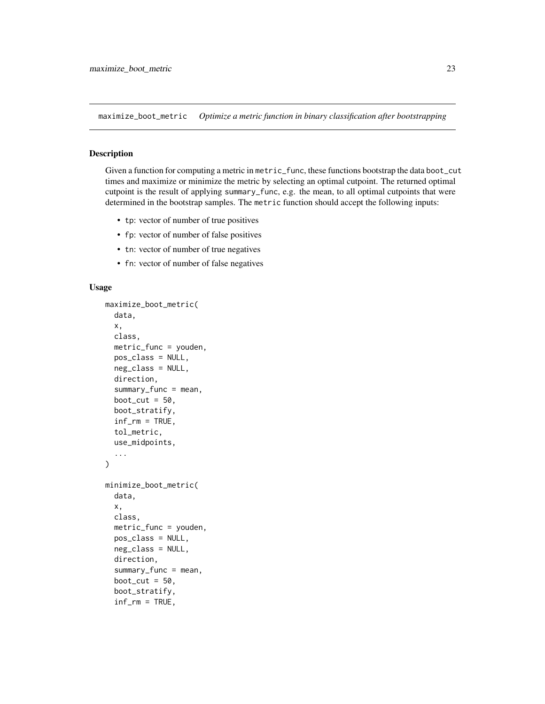<span id="page-22-1"></span><span id="page-22-0"></span>maximize\_boot\_metric *Optimize a metric function in binary classification after bootstrapping*

#### Description

Given a function for computing a metric in metric\_func, these functions bootstrap the data boot\_cut times and maximize or minimize the metric by selecting an optimal cutpoint. The returned optimal cutpoint is the result of applying summary\_func, e.g. the mean, to all optimal cutpoints that were determined in the bootstrap samples. The metric function should accept the following inputs:

- tp: vector of number of true positives
- fp: vector of number of false positives
- tn: vector of number of true negatives
- fn: vector of number of false negatives

#### Usage

```
maximize_boot_metric(
  data,
  x,
  class,
  metric_func = youden,
  pos_class = NULL,
  neg_class = NULL,
  direction,
  summary_func = mean,
  boot_cut = 50,
  boot_stratify,
  inf\_rm = TRUE,
  tol_metric,
  use_midpoints,
  ...
\mathcal{L}minimize_boot_metric(
  data,
  x,
  class,
  metric_func = youden,
 pos_class = NULL,
  neg_class = NULL,
  direction,
  summarv_func = mean,
  boot_cut = 50,
  boot_stratify,
  inf\_rm = TRUE,
```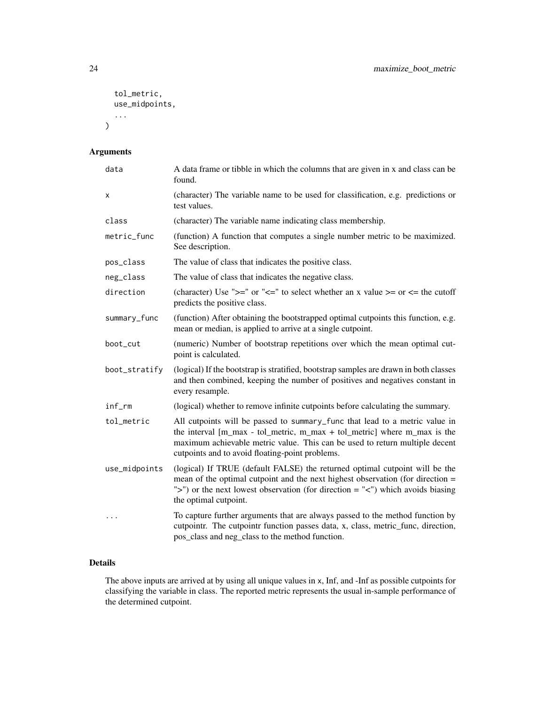```
tol_metric,
  use_midpoints,
   ...
\mathcal{L}
```
# Arguments

| data          | A data frame or tibble in which the columns that are given in x and class can be<br>found.                                                                                                                                                                                                |
|---------------|-------------------------------------------------------------------------------------------------------------------------------------------------------------------------------------------------------------------------------------------------------------------------------------------|
| x             | (character) The variable name to be used for classification, e.g. predictions or<br>test values.                                                                                                                                                                                          |
| class         | (character) The variable name indicating class membership.                                                                                                                                                                                                                                |
| metric_func   | (function) A function that computes a single number metric to be maximized.<br>See description.                                                                                                                                                                                           |
| pos_class     | The value of class that indicates the positive class.                                                                                                                                                                                                                                     |
| neg_class     | The value of class that indicates the negative class.                                                                                                                                                                                                                                     |
| direction     | (character) Use " $>=$ " or " $<=$ " to select whether an x value $>=$ or $<=$ the cutoff<br>predicts the positive class.                                                                                                                                                                 |
| summary_func  | (function) After obtaining the bootstrapped optimal cutpoints this function, e.g.<br>mean or median, is applied to arrive at a single cutpoint.                                                                                                                                           |
| boot_cut      | (numeric) Number of bootstrap repetitions over which the mean optimal cut-<br>point is calculated.                                                                                                                                                                                        |
| boot_stratify | (logical) If the bootstrap is stratified, bootstrap samples are drawn in both classes<br>and then combined, keeping the number of positives and negatives constant in<br>every resample.                                                                                                  |
| inf_rm        | (logical) whether to remove infinite cutpoints before calculating the summary.                                                                                                                                                                                                            |
| tol_metric    | All cutpoints will be passed to summary_func that lead to a metric value in<br>the interval [m_max - tol_metric, m_max + tol_metric] where m_max is the<br>maximum achievable metric value. This can be used to return multiple decent<br>cutpoints and to avoid floating-point problems. |
| use_midpoints | (logical) If TRUE (default FALSE) the returned optimal cutpoint will be the<br>mean of the optimal cutpoint and the next highest observation (for direction =<br>">") or the next lowest observation (for direction = "<") which avoids biasing<br>the optimal cutpoint.                  |
| $\ddots$      | To capture further arguments that are always passed to the method function by<br>cutpointr. The cutpointr function passes data, x, class, metric_func, direction,<br>pos_class and neg_class to the method function.                                                                      |

# Details

The above inputs are arrived at by using all unique values in x, Inf, and -Inf as possible cutpoints for classifying the variable in class. The reported metric represents the usual in-sample performance of the determined cutpoint.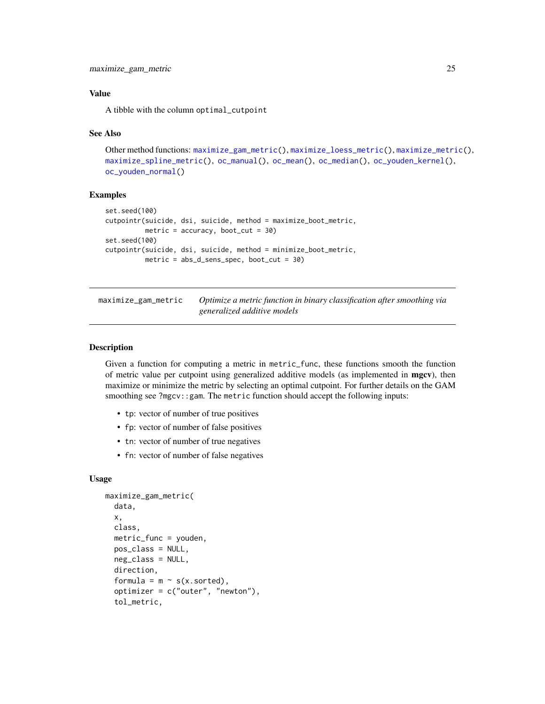# <span id="page-24-0"></span>Value

A tibble with the column optimal\_cutpoint

# See Also

```
Other method functions: maximize_gam_metric(), maximize_loess_metric(), maximize_metric(),
maximize_spline_metric(), oc_manual(), oc_mean(), oc_median(), oc_youden_kernel(),
oc_youden_normal()
```
# Examples

```
set.seed(100)
cutpointr(suicide, dsi, suicide, method = maximize_boot_metric,
          metric = accuracy, boot_cut = 30)
set.seed(100)
cutpointr(suicide, dsi, suicide, method = minimize_boot_metric,
         metric = abs_d_sens_spec, boot_cut = 30)
```
<span id="page-24-1"></span>maximize\_gam\_metric *Optimize a metric function in binary classification after smoothing via generalized additive models*

# Description

Given a function for computing a metric in metric\_func, these functions smooth the function of metric value per cutpoint using generalized additive models (as implemented in **mgcv**), then maximize or minimize the metric by selecting an optimal cutpoint. For further details on the GAM smoothing see ?mgcv::gam. The metric function should accept the following inputs:

- tp: vector of number of true positives
- fp: vector of number of false positives
- tn: vector of number of true negatives
- fn: vector of number of false negatives

#### Usage

```
maximize_gam_metric(
  data,
  x,
  class,
 metric_func = youden,
 pos_class = NULL,
 neg_class = NULL,
  direction,
  formula = m \sim s(x.sorted),
  optimizer = c("outer", "newton"),
  tol_metric,
```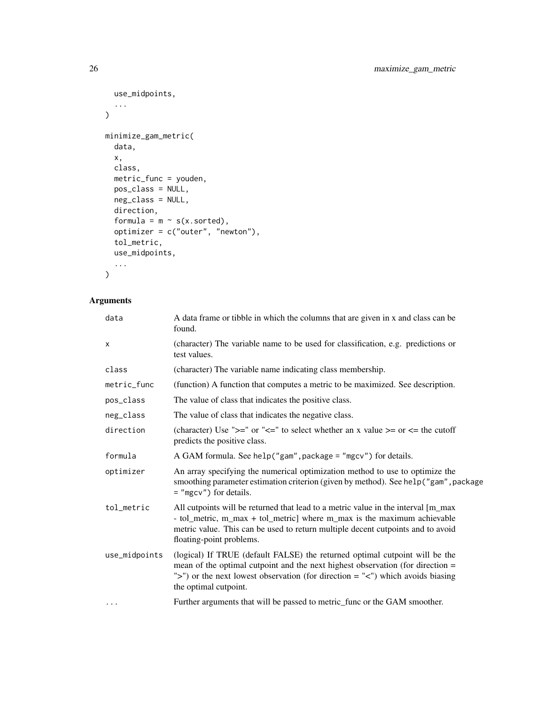```
use_midpoints,
  ...
\mathcal{L}minimize_gam_metric(
  data,
  x,
  class,
 metric_func = youden,
  pos_class = NULL,
  neg_class = NULL,
  direction,
  formula = m \sim s(x.sorted),
  optimizer = c("outer", "newton"),
  tol_metric,
  use_midpoints,
  ...
\mathcal{L}
```
# Arguments

| data          | A data frame or tibble in which the columns that are given in x and class can be<br>found.                                                                                                                                                                                       |
|---------------|----------------------------------------------------------------------------------------------------------------------------------------------------------------------------------------------------------------------------------------------------------------------------------|
| x             | (character) The variable name to be used for classification, e.g. predictions or<br>test values.                                                                                                                                                                                 |
| class         | (character) The variable name indicating class membership.                                                                                                                                                                                                                       |
| metric_func   | (function) A function that computes a metric to be maximized. See description.                                                                                                                                                                                                   |
| pos_class     | The value of class that indicates the positive class.                                                                                                                                                                                                                            |
| neg_class     | The value of class that indicates the negative class.                                                                                                                                                                                                                            |
| direction     | (character) Use " $>=$ " or " $<=$ " to select whether an x value $>=$ or $<=$ the cutoff<br>predicts the positive class.                                                                                                                                                        |
| formula       | A GAM formula. See help("gam", package = "mgcv") for details.                                                                                                                                                                                                                    |
| optimizer     | An array specifying the numerical optimization method to use to optimize the<br>smoothing parameter estimation criterion (given by method). See help ("gam", package<br>$=$ "mgcv") for details.                                                                                 |
| tol_metric    | All cutpoints will be returned that lead to a metric value in the interval [m_max<br>- tol_metric, m_max + tol_metric] where m_max is the maximum achievable<br>metric value. This can be used to return multiple decent cutpoints and to avoid<br>floating-point problems.      |
| use_midpoints | (logical) If TRUE (default FALSE) the returned optimal cutpoint will be the<br>mean of the optimal cutpoint and the next highest observation (for direction $=$<br>">") or the next lowest observation (for direction = " $\lt$ ") which avoids biasing<br>the optimal cutpoint. |
| .             | Further arguments that will be passed to metric_func or the GAM smoother.                                                                                                                                                                                                        |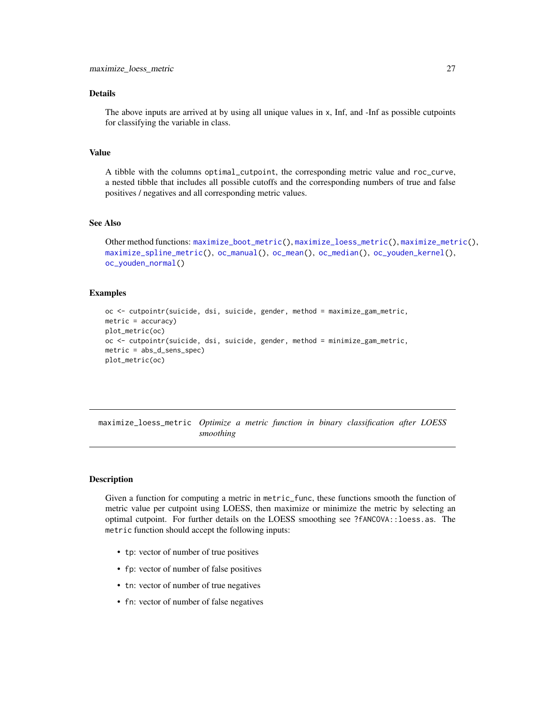# <span id="page-26-0"></span>Details

The above inputs are arrived at by using all unique values in x, Inf, and -Inf as possible cutpoints for classifying the variable in class.

# Value

A tibble with the columns optimal\_cutpoint, the corresponding metric value and roc\_curve, a nested tibble that includes all possible cutoffs and the corresponding numbers of true and false positives / negatives and all corresponding metric values.

# See Also

```
Other method functions: maximize_boot_metric(), maximize_loess_metric(), maximize_metric(),
maximize_spline_metric(), oc_manual(), oc_mean(), oc_median(), oc_youden_kernel(),
oc_youden_normal()
```
# Examples

```
oc <- cutpointr(suicide, dsi, suicide, gender, method = maximize_gam_metric,
metric = accuracy)
plot_metric(oc)
oc <- cutpointr(suicide, dsi, suicide, gender, method = minimize_gam_metric,
metric = abs_d_sens_spec)
plot_metric(oc)
```
<span id="page-26-1"></span>maximize\_loess\_metric *Optimize a metric function in binary classification after LOESS smoothing*

# **Description**

Given a function for computing a metric in metric\_func, these functions smooth the function of metric value per cutpoint using LOESS, then maximize or minimize the metric by selecting an optimal cutpoint. For further details on the LOESS smoothing see ?fANCOVA::loess.as. The metric function should accept the following inputs:

- tp: vector of number of true positives
- fp: vector of number of false positives
- tn: vector of number of true negatives
- fn: vector of number of false negatives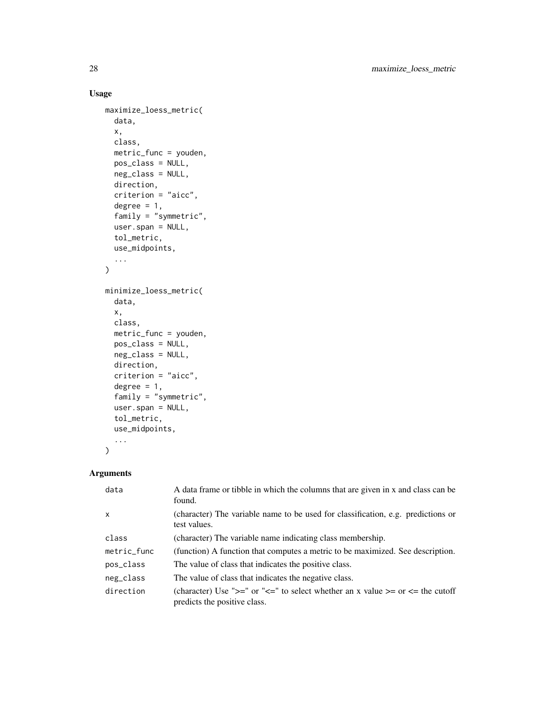# Usage

```
maximize_loess_metric(
 data,
  x,
 class,
 metric_func = youden,
 pos_class = NULL,
 neg_class = NULL,
 direction,
 criterion = "aicc",
  degree = 1,
  family = "symmetric",
 user.span = NULL,
 tol_metric,
 use_midpoints,
  ...
\mathcal{L}minimize_loess_metric(
 data,
 x,
 class,
 metric_func = youden,
 pos_class = NULL,
 neg_class = NULL,
 direction,
  criterion = "aicc",
  degree = 1,
  family = "symmetric",
 user.span = NULL,
  tol_metric,
 use_midpoints,
  ...
\mathcal{L}
```
# Arguments

| data         | A data frame or tibble in which the columns that are given in x and class can be<br>found.                                |
|--------------|---------------------------------------------------------------------------------------------------------------------------|
| $\mathsf{x}$ | (character) The variable name to be used for classification, e.g. predictions or<br>test values.                          |
| class        | (character) The variable name indicating class membership.                                                                |
| metric_func  | (function) A function that computes a metric to be maximized. See description.                                            |
| pos_class    | The value of class that indicates the positive class.                                                                     |
| neg_class    | The value of class that indicates the negative class.                                                                     |
| direction    | (character) Use " $>=$ " or " $<=$ " to select whether an x value $>=$ or $<=$ the cutoff<br>predicts the positive class. |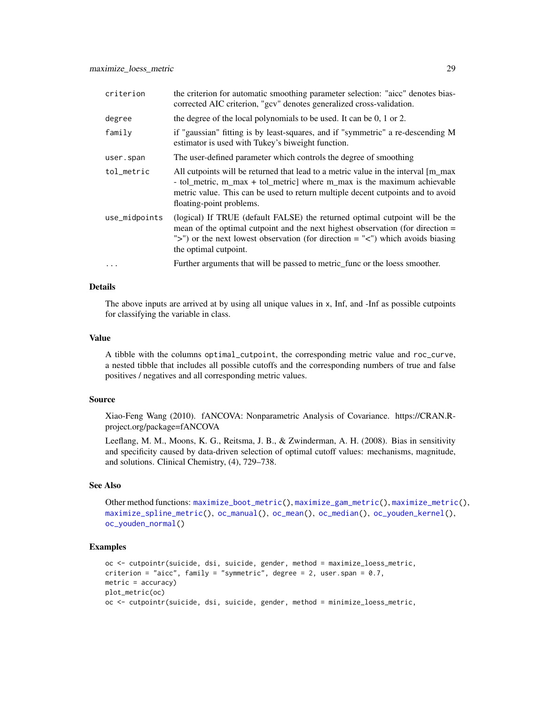| criterion     | the criterion for automatic smoothing parameter selection: "aicc" denotes bias-<br>corrected AIC criterion, "gcv" denotes generalized cross-validation.                                                                                                                                      |
|---------------|----------------------------------------------------------------------------------------------------------------------------------------------------------------------------------------------------------------------------------------------------------------------------------------------|
| degree        | the degree of the local polynomials to be used. It can be $0, 1$ or $2$ .                                                                                                                                                                                                                    |
| family        | if "gaussian" fitting is by least-squares, and if "symmetric" a re-descending M<br>estimator is used with Tukey's biweight function.                                                                                                                                                         |
| user.span     | The user-defined parameter which controls the degree of smoothing                                                                                                                                                                                                                            |
| tol metric    | All cutpoints will be returned that lead to a metric value in the interval $\lceil m_{max} \rceil$<br>- tol_metric, m_max + tol_metric] where m_max is the maximum achievable<br>metric value. This can be used to return multiple decent cutpoints and to avoid<br>floating-point problems. |
| use_midpoints | (logical) If TRUE (default FALSE) the returned optimal cutpoint will be the<br>mean of the optimal cutpoint and the next highest observation (for direction $=$<br>">") or the next lowest observation (for direction = " $\lt$ ") which avoids biasing<br>the optimal cutpoint.             |
| $\cdots$      | Further arguments that will be passed to metric_func or the loess smoother.                                                                                                                                                                                                                  |

#### Details

The above inputs are arrived at by using all unique values in x, Inf, and -Inf as possible cutpoints for classifying the variable in class.

#### Value

A tibble with the columns optimal\_cutpoint, the corresponding metric value and roc\_curve, a nested tibble that includes all possible cutoffs and the corresponding numbers of true and false positives / negatives and all corresponding metric values.

#### Source

Xiao-Feng Wang (2010). fANCOVA: Nonparametric Analysis of Covariance. https://CRAN.Rproject.org/package=fANCOVA

Leeflang, M. M., Moons, K. G., Reitsma, J. B., & Zwinderman, A. H. (2008). Bias in sensitivity and specificity caused by data-driven selection of optimal cutoff values: mechanisms, magnitude, and solutions. Clinical Chemistry, (4), 729–738.

#### See Also

Other method functions: [maximize\\_boot\\_metric\(](#page-22-1)), [maximize\\_gam\\_metric\(](#page-24-1)), [maximize\\_metric\(](#page-29-1)), [maximize\\_spline\\_metric\(](#page-31-1)), [oc\\_manual\(](#page-39-1)), [oc\\_mean\(](#page-39-2)), [oc\\_median\(](#page-40-1)), [oc\\_youden\\_kernel\(](#page-41-1)), [oc\\_youden\\_normal\(](#page-42-1))

```
oc <- cutpointr(suicide, dsi, suicide, gender, method = maximize_loess_metric,
criterion = "aicc", family = "symmetric", degree = 2, user.span = 0.7,
metric = accuracy)
plot_metric(oc)
oc <- cutpointr(suicide, dsi, suicide, gender, method = minimize_loess_metric,
```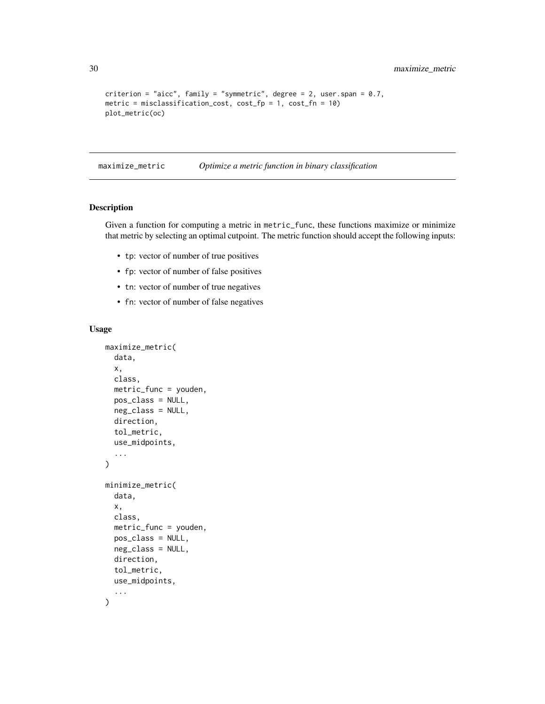```
criterion = "aicc", family = "symmetric", degree = 2, user.span = 0.7,
metric = misclassification_cost, cost_fp = 1, cost_fn = 10)
plot_metric(oc)
```
<span id="page-29-1"></span>maximize\_metric *Optimize a metric function in binary classification*

# Description

Given a function for computing a metric in metric\_func, these functions maximize or minimize that metric by selecting an optimal cutpoint. The metric function should accept the following inputs:

- tp: vector of number of true positives
- fp: vector of number of false positives
- tn: vector of number of true negatives
- fn: vector of number of false negatives

# Usage

```
maximize_metric(
  data,
  x,
  class,
  metric_func = youden,
  pos_class = NULL,
  neg_class = NULL,
  direction,
  tol_metric,
  use_midpoints,
  ...
\mathcal{L}minimize_metric(
  data,
  x,
  class,
  metric_func = youden,
 pos_class = NULL,
 neg_class = NULL,
  direction,
  tol_metric,
  use_midpoints,
  ...
)
```
<span id="page-29-0"></span>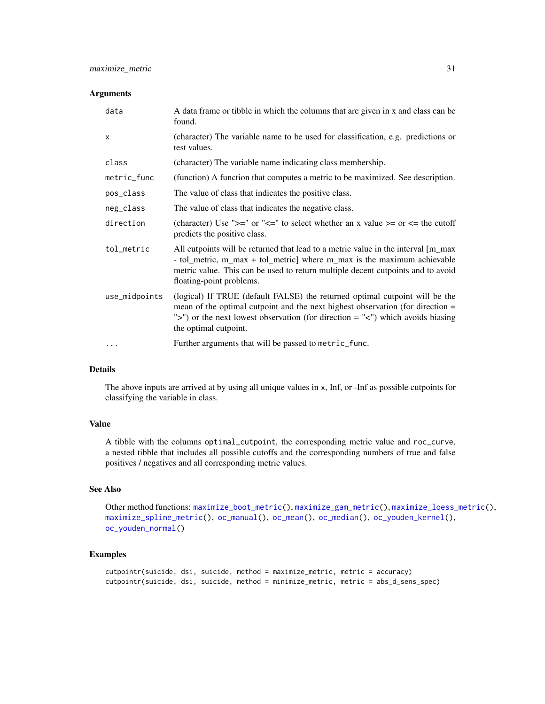# Arguments

| data          | A data frame or tibble in which the columns that are given in x and class can be<br>found.                                                                                                                                                                                       |
|---------------|----------------------------------------------------------------------------------------------------------------------------------------------------------------------------------------------------------------------------------------------------------------------------------|
| X             | (character) The variable name to be used for classification, e.g. predictions or<br>test values.                                                                                                                                                                                 |
| class         | (character) The variable name indicating class membership.                                                                                                                                                                                                                       |
| metric_func   | (function) A function that computes a metric to be maximized. See description.                                                                                                                                                                                                   |
| pos_class     | The value of class that indicates the positive class.                                                                                                                                                                                                                            |
| neg_class     | The value of class that indicates the negative class.                                                                                                                                                                                                                            |
| direction     | (character) Use ">=" or "<=" to select whether an x value >= or <= the cutoff<br>predicts the positive class.                                                                                                                                                                    |
| tol_metric    | All cutpoints will be returned that lead to a metric value in the interval [m_max]<br>- tol_metric, m_max + tol_metric] where m_max is the maximum achievable<br>metric value. This can be used to return multiple decent cutpoints and to avoid<br>floating-point problems.     |
| use_midpoints | (logical) If TRUE (default FALSE) the returned optimal cutpoint will be the<br>mean of the optimal cutpoint and the next highest observation (for direction $=$<br>">") or the next lowest observation (for direction = " $\lt$ ") which avoids biasing<br>the optimal cutpoint. |
| $\cdots$      | Further arguments that will be passed to metric_func.                                                                                                                                                                                                                            |

#### Details

The above inputs are arrived at by using all unique values in x, Inf, or -Inf as possible cutpoints for classifying the variable in class.

# Value

A tibble with the columns optimal\_cutpoint, the corresponding metric value and roc\_curve, a nested tibble that includes all possible cutoffs and the corresponding numbers of true and false positives / negatives and all corresponding metric values.

# See Also

Other method functions: [maximize\\_boot\\_metric\(](#page-22-1)), [maximize\\_gam\\_metric\(](#page-24-1)), [maximize\\_loess\\_metric\(](#page-26-1)), [maximize\\_spline\\_metric\(](#page-31-1)), [oc\\_manual\(](#page-39-1)), [oc\\_mean\(](#page-39-2)), [oc\\_median\(](#page-40-1)), [oc\\_youden\\_kernel\(](#page-41-1)), [oc\\_youden\\_normal\(](#page-42-1))

```
cutpointr(suicide, dsi, suicide, method = maximize_metric, metric = accuracy)
cutpointr(suicide, dsi, suicide, method = minimize_metric, metric = abs_d_sens_spec)
```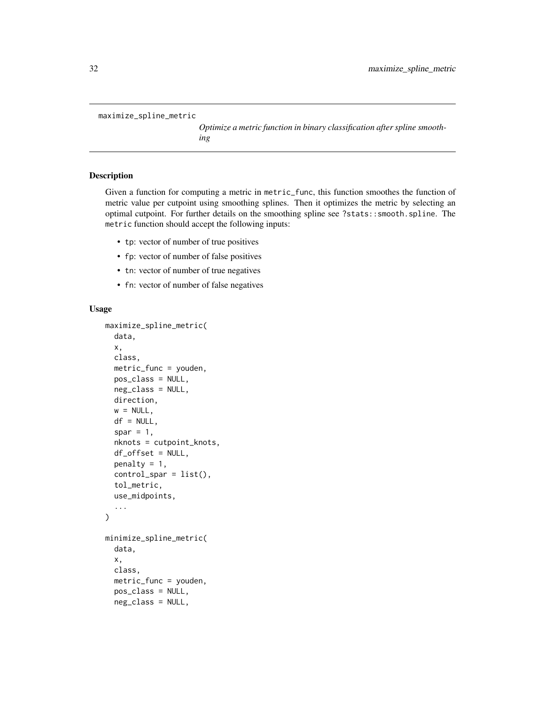```
maximize_spline_metric
```
*Optimize a metric function in binary classification after spline smoothing*

# Description

Given a function for computing a metric in metric\_func, this function smoothes the function of metric value per cutpoint using smoothing splines. Then it optimizes the metric by selecting an optimal cutpoint. For further details on the smoothing spline see ?stats::smooth.spline. The metric function should accept the following inputs:

- tp: vector of number of true positives
- fp: vector of number of false positives
- tn: vector of number of true negatives
- fn: vector of number of false negatives

# Usage

```
maximize_spline_metric(
  data,
  x,
  class,
  metric_func = youden,
 pos_class = NULL,
  neg_class = NULL,
  direction,
  w = NULL,df = NULL,spar = 1,
  nknots = cutpoint_knots,
  df_offset = NULL,
  penalty = 1,
  control_spar = list(),tol_metric,
  use_midpoints,
  ...
)
minimize_spline_metric(
  data,
  x,
  class,
  metric_func = youden,
  pos_class = NULL,
  neg_class = NULL,
```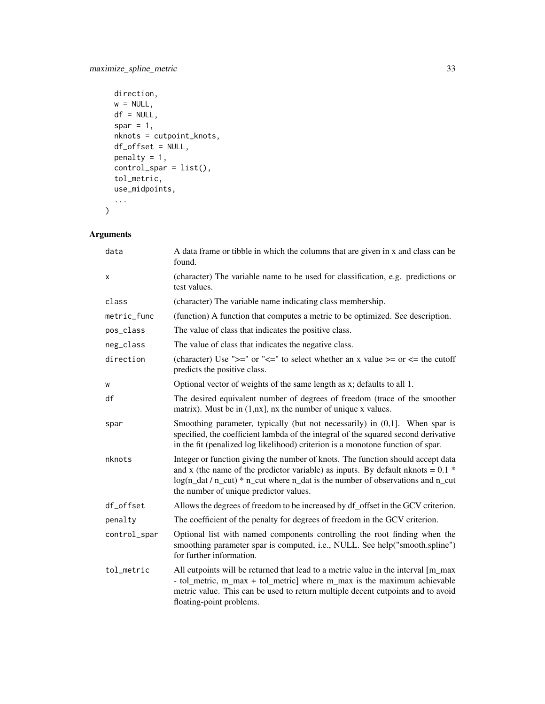```
direction,
 w = NULL,df = NULL,spar = 1,
 nknots = cutpoint_knots,
 df_offset = NULL,
 penalty = 1,
 control_spar = list(),
 tol_metric,
 use_midpoints,
  ...
\mathcal{L}
```
# Arguments

| data         | A data frame or tibble in which the columns that are given in x and class can be<br>found.                                                                                                                                                                                                            |  |
|--------------|-------------------------------------------------------------------------------------------------------------------------------------------------------------------------------------------------------------------------------------------------------------------------------------------------------|--|
| х            | (character) The variable name to be used for classification, e.g. predictions or<br>test values.                                                                                                                                                                                                      |  |
| class        | (character) The variable name indicating class membership.                                                                                                                                                                                                                                            |  |
| metric_func  | (function) A function that computes a metric to be optimized. See description.                                                                                                                                                                                                                        |  |
| pos_class    | The value of class that indicates the positive class.                                                                                                                                                                                                                                                 |  |
| neg_class    | The value of class that indicates the negative class.                                                                                                                                                                                                                                                 |  |
| direction    | (character) Use " $>=$ " or " $<=$ " to select whether an x value $>=$ or $<=$ the cutoff<br>predicts the positive class.                                                                                                                                                                             |  |
| W            | Optional vector of weights of the same length as x; defaults to all 1.                                                                                                                                                                                                                                |  |
| df           | The desired equivalent number of degrees of freedom (trace of the smoother<br>matrix). Must be in $(1, nx]$ , nx the number of unique x values.                                                                                                                                                       |  |
| spar         | Smoothing parameter, typically (but not necessarily) in (0,1]. When spar is<br>specified, the coefficient lambda of the integral of the squared second derivative<br>in the fit (penalized log likelihood) criterion is a monotone function of spar.                                                  |  |
| nknots       | Integer or function giving the number of knots. The function should accept data<br>and x (the name of the predictor variable) as inputs. By default nknots = $0.1$ *<br>$log(n_d t / n_c cut) * n_c ut$ where n_dat is the number of observations and n_cut<br>the number of unique predictor values. |  |
| df_offset    | Allows the degrees of freedom to be increased by df_offset in the GCV criterion.                                                                                                                                                                                                                      |  |
| penalty      | The coefficient of the penalty for degrees of freedom in the GCV criterion.                                                                                                                                                                                                                           |  |
| control_spar | Optional list with named components controlling the root finding when the<br>smoothing parameter spar is computed, i.e., NULL. See help("smooth.spline")<br>for further information.                                                                                                                  |  |
| tol_metric   | All cutpoints will be returned that lead to a metric value in the interval [m_max<br>- tol_metric, m_max + tol_metric] where m_max is the maximum achievable<br>metric value. This can be used to return multiple decent cutpoints and to avoid<br>floating-point problems.                           |  |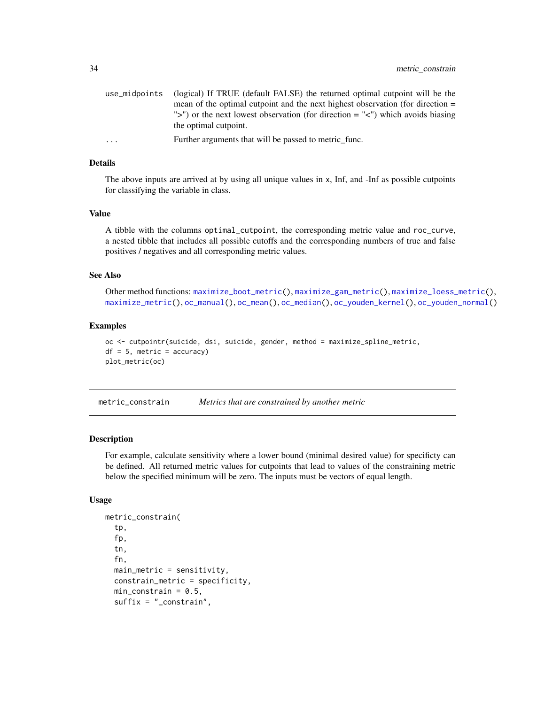<span id="page-33-0"></span>

| use midpoints | (logical) If TRUE (default FALSE) the returned optimal cutpoint will be the      |
|---------------|----------------------------------------------------------------------------------|
|               | mean of the optimal cutpoint and the next highest observation (for direction $=$ |
|               | ">") or the next lowest observation (for direction $=$ "<") which avoids biasing |
|               | the optimal cutpoint.                                                            |
| $\ddotsc$     | Further arguments that will be passed to metric func.                            |
|               |                                                                                  |

# Details

The above inputs are arrived at by using all unique values in x, Inf, and -Inf as possible cutpoints for classifying the variable in class.

#### Value

A tibble with the columns optimal\_cutpoint, the corresponding metric value and roc\_curve, a nested tibble that includes all possible cutoffs and the corresponding numbers of true and false positives / negatives and all corresponding metric values.

#### See Also

Other method functions: [maximize\\_boot\\_metric\(](#page-22-1)), [maximize\\_gam\\_metric\(](#page-24-1)), [maximize\\_loess\\_metric\(](#page-26-1)), [maximize\\_metric\(](#page-29-1)), [oc\\_manual\(](#page-39-1)), [oc\\_mean\(](#page-39-2)), [oc\\_median\(](#page-40-1)), [oc\\_youden\\_kernel\(](#page-41-1)), [oc\\_youden\\_normal\(](#page-42-1))

# Examples

```
oc <- cutpointr(suicide, dsi, suicide, gender, method = maximize_spline_metric,
df = 5, metric = accuracy)
plot_metric(oc)
```
<span id="page-33-1"></span>metric\_constrain *Metrics that are constrained by another metric*

# Description

For example, calculate sensitivity where a lower bound (minimal desired value) for specificty can be defined. All returned metric values for cutpoints that lead to values of the constraining metric below the specified minimum will be zero. The inputs must be vectors of equal length.

#### Usage

```
metric_constrain(
  tp,
  fp,
  tn,
  fn,
  main_metric = sensitivity,
  constrain_metric = specificity,
  min\_constraint = 0.5,
  suffix = "_constrain",
```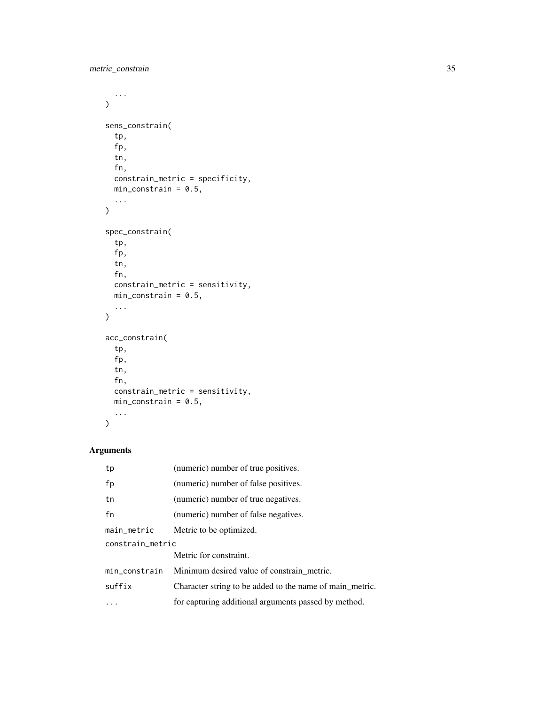```
...
\mathcal{L}sens_constrain(
  tp,
  fp,
  tn,
  fn,
  constrain_metric = specificity,
  min\_constraint = 0.5,
  ...
\mathcal{L}spec_constrain(
  tp,
  fp,
  tn,
  fn,
  constrain_metric = sensitivity,
  min\_constraint = 0.5,
  ...
\mathcal{L}acc_constrain(
  tp,
  fp,
  tn,
  fn,
  constrain_metric = sensitivity,
  min\_constraint = 0.5,
  ...
\mathcal{L}
```
# Arguments

| tp               | (numeric) number of true positives.                      |  |
|------------------|----------------------------------------------------------|--|
| fp               | (numeric) number of false positives.                     |  |
| tn               | (numeric) number of true negatives.                      |  |
| fn               | (numeric) number of false negatives.                     |  |
| main_metric      | Metric to be optimized.                                  |  |
| constrain_metric |                                                          |  |
|                  | Metric for constraint.                                   |  |
| min_constrain    | Minimum desired value of constrain metric.               |  |
| suffix           | Character string to be added to the name of main metric. |  |
|                  | for capturing additional arguments passed by method.     |  |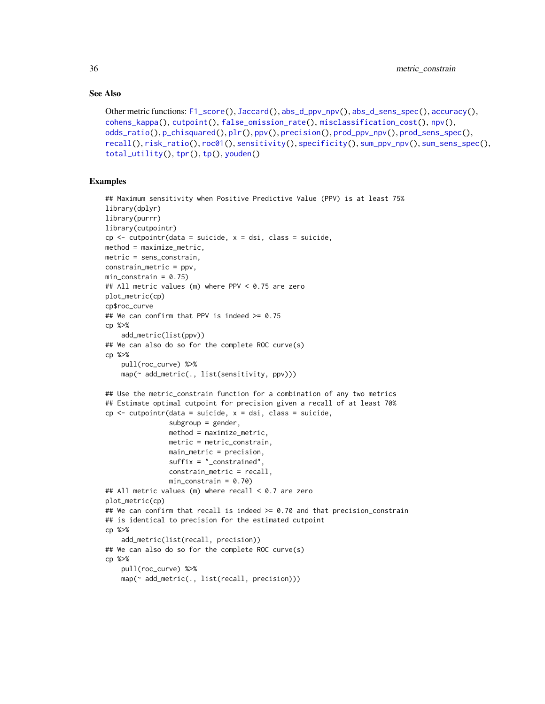# See Also

```
Other metric functions: F1_score(), Jaccard(), abs_d_ppv_npv(), abs_d_sens_spec(), accuracy(),
cohens_kappa(), cutpoint(), false_omission_rate(), misclassification_cost(), npv(),
odds_ratio(), p_chisquared(), plr(), ppv(), precision(), prod_ppv_npv(), prod_sens_spec(),
recall(), risk_ratio(), roc01(), sensitivity(), specificity(), sum_ppv_npv(), sum_sens_spec(),
total_utility(), tpr(), tp(), youden()
```

```
## Maximum sensitivity when Positive Predictive Value (PPV) is at least 75%
library(dplyr)
library(purrr)
library(cutpointr)
cp <- cutpointr(data = suicide, x = dsi, class = suicide,
method = maximize_metric,
metric = sens_constrain,
constrain_metric = ppv,
min\_constraint = 0.75## All metric values (m) where PPV < 0.75 are zero
plot_metric(cp)
cp$roc_curve
## We can confirm that PPV is indeed >= 0.75
cp %>%
   add_metric(list(ppv))
## We can also do so for the complete ROC curve(s)
cp %>%
    pull(roc_curve) %>%
    map(~ add_metric(., list(sensitivity, ppv)))
## Use the metric_constrain function for a combination of any two metrics
## Estimate optimal cutpoint for precision given a recall of at least 70%
cp <- cutpointr(data = suicide, x = dsi, class = suicide,
                subgroup = gender,
                method = maximize_metric,
                metric = metric_constrain,
                main_metric = precision,
                suffix = "_constrained",
                constrain_metric = recall,
                min_{\text{constrain}} = 0.70)
## All metric values (m) where recall < 0.7 are zero
plot_metric(cp)
## We can confirm that recall is indeed >= 0.70 and that precision_constrain
## is identical to precision for the estimated cutpoint
cp %>%
    add_metric(list(recall, precision))
## We can also do so for the complete ROC curve(s)
cp %>%
    pull(roc_curve) %>%
    map(~ add_metric(., list(recall, precision)))
```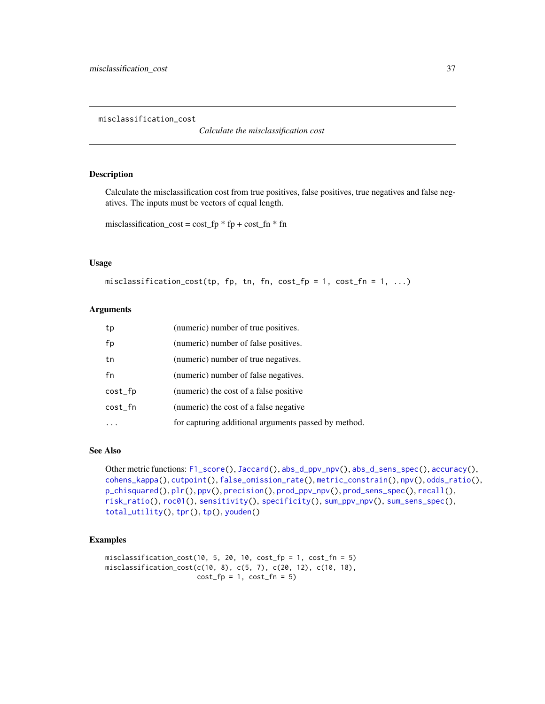<span id="page-36-0"></span>misclassification\_cost

*Calculate the misclassification cost*

#### Description

Calculate the misclassification cost from true positives, false positives, true negatives and false negatives. The inputs must be vectors of equal length.

misclassification\_cost =  $cost\_fp * fp + cost\_fn * fn$ 

## Usage

```
misclassification_cost(tp, fp, tn, fn, cost_fp = 1, cost_fn = 1, ...)
```
#### **Arguments**

| tp      | (numeric) number of true positives.                  |
|---------|------------------------------------------------------|
| fp      | (numeric) number of false positives.                 |
| tn      | (numeric) number of true negatives.                  |
| fn      | (numeric) number of false negatives.                 |
| cost_fp | (numeric) the cost of a false positive               |
| cost_fn | (numeric) the cost of a false negative               |
|         | for capturing additional arguments passed by method. |

## See Also

Other metric functions: [F1\\_score\(](#page-19-0)), [Jaccard\(](#page-21-0)), [abs\\_d\\_ppv\\_npv\(](#page-2-0)), [abs\\_d\\_sens\\_spec\(](#page-3-0)), [accuracy\(](#page-4-0)), [cohens\\_kappa\(](#page-9-0)), [cutpoint\(](#page-10-0)), [false\\_omission\\_rate\(](#page-20-0)), [metric\\_constrain\(](#page-33-0)), [npv\(](#page-38-0)), [odds\\_ratio\(](#page-43-0)), [p\\_chisquared\(](#page-60-0)), [plr\(](#page-53-0)), [ppv\(](#page-54-0)), [precision\(](#page-55-0)), [prod\\_ppv\\_npv\(](#page-58-0)), [prod\\_sens\\_spec\(](#page-59-0)), [recall\(](#page-61-0)), [risk\\_ratio\(](#page-62-0)), [roc01\(](#page-64-0)), [sensitivity\(](#page-65-0)), [specificity\(](#page-66-0)), [sum\\_ppv\\_npv\(](#page-67-0)), [sum\\_sens\\_spec\(](#page-68-0)), [total\\_utility\(](#page-69-0)), [tpr\(](#page-71-0)), [tp\(](#page-70-0)), [youden\(](#page-72-0))

```
misclassification_cost(10, 5, 20, 10, cost_fp = 1, cost_fn = 5)
misclassification_cost(c(10, 8), c(5, 7), c(20, 12), c(10, 18),
                      cost_f = 1, cost_f = 5)
```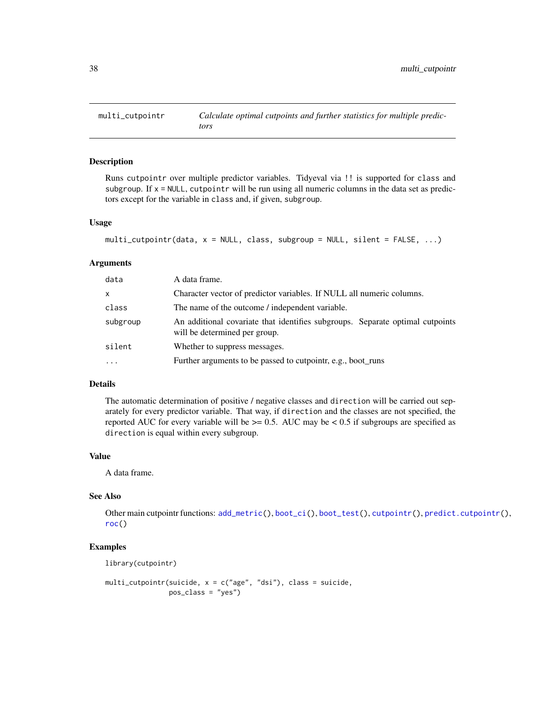<span id="page-37-0"></span>

Runs cutpointr over multiple predictor variables. Tidyeval via !! is supported for class and subgroup. If  $x = NULL$ , cutpointr will be run using all numeric columns in the data set as predictors except for the variable in class and, if given, subgroup.

#### Usage

```
multi_cutpointr(data, x = NULL, class, subgroup = NULL, silent = FALSE, ...)
```
## Arguments

| data      | A data frame.                                                                                                  |  |
|-----------|----------------------------------------------------------------------------------------------------------------|--|
| X         | Character vector of predictor variables. If NULL all numeric columns.                                          |  |
| class     | The name of the outcome / independent variable.                                                                |  |
| subgroup  | An additional covariate that identifies subgroups. Separate optimal cutpoints<br>will be determined per group. |  |
| silent    | Whether to suppress messages.                                                                                  |  |
| $\ddotsc$ | Further arguments to be passed to cutpointr, e.g., boot_runs                                                   |  |

#### Details

The automatic determination of positive / negative classes and direction will be carried out separately for every predictor variable. That way, if direction and the classes are not specified, the reported AUC for every variable will be  $> = 0.5$ . AUC may be  $< 0.5$  if subgroups are specified as direction is equal within every subgroup.

## Value

A data frame.

# See Also

Other main cutpointr functions: [add\\_metric\(](#page-5-0)), [boot\\_ci\(](#page-6-0)), [boot\\_test\(](#page-7-0)), [cutpointr\(](#page-11-0)), [predict.cutpointr\(](#page-56-0)), [roc\(](#page-63-0))

# Examples

library(cutpointr)

```
multi_cutpointr(suicide, x = c("age", "dsi"), class = suicide,
               pos_class = "yes")
```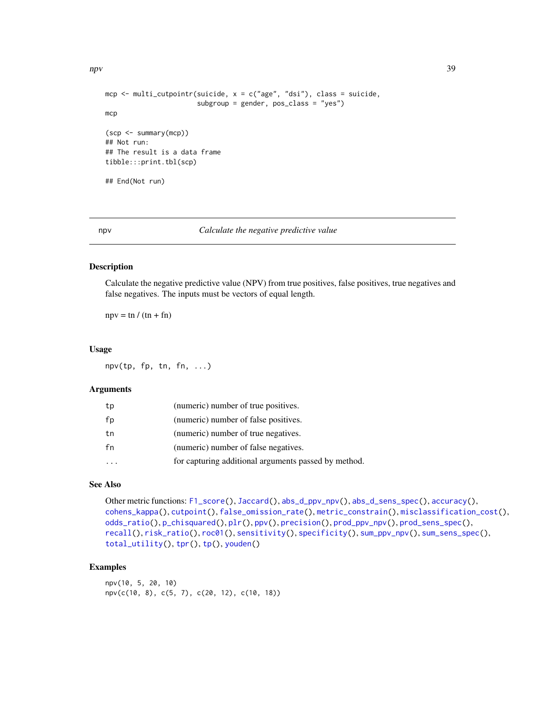```
mcp <- multi_cutpointr(suicide, x = c("age", "dsi"), class = suicide,
                       subgroup = gender, pos_class = "yes")
mcp
(scp <- summary(mcp))
## Not run:
## The result is a data frame
tibble:::print.tbl(scp)
## End(Not run)
```
<span id="page-38-0"></span>

#### npv *Calculate the negative predictive value*

#### Description

Calculate the negative predictive value (NPV) from true positives, false positives, true negatives and false negatives. The inputs must be vectors of equal length.

 $npv = \text{tn } / (\text{tn } + \text{fn})$ 

#### Usage

npv(tp, fp, tn, fn, ...)

## Arguments

| tp | (numeric) number of true positives.                  |
|----|------------------------------------------------------|
| fp | (numeric) number of false positives.                 |
| tn | (numeric) number of true negatives.                  |
| fn | (numeric) number of false negatives.                 |
|    | for capturing additional arguments passed by method. |

# See Also

Other metric functions: [F1\\_score\(](#page-19-0)), [Jaccard\(](#page-21-0)), [abs\\_d\\_ppv\\_npv\(](#page-2-0)), [abs\\_d\\_sens\\_spec\(](#page-3-0)), [accuracy\(](#page-4-0)), [cohens\\_kappa\(](#page-9-0)), [cutpoint\(](#page-10-0)), [false\\_omission\\_rate\(](#page-20-0)), [metric\\_constrain\(](#page-33-0)), [misclassification\\_cost\(](#page-36-0)), [odds\\_ratio\(](#page-43-0)), [p\\_chisquared\(](#page-60-0)), [plr\(](#page-53-0)), [ppv\(](#page-54-0)), [precision\(](#page-55-0)), [prod\\_ppv\\_npv\(](#page-58-0)), [prod\\_sens\\_spec\(](#page-59-0)), [recall\(](#page-61-0)), [risk\\_ratio\(](#page-62-0)), [roc01\(](#page-64-0)), [sensitivity\(](#page-65-0)), [specificity\(](#page-66-0)), [sum\\_ppv\\_npv\(](#page-67-0)), [sum\\_sens\\_spec\(](#page-68-0)), [total\\_utility\(](#page-69-0)), [tpr\(](#page-71-0)), [tp\(](#page-70-0)), [youden\(](#page-72-0))

# Examples

npv(10, 5, 20, 10) npv(c(10, 8), c(5, 7), c(20, 12), c(10, 18))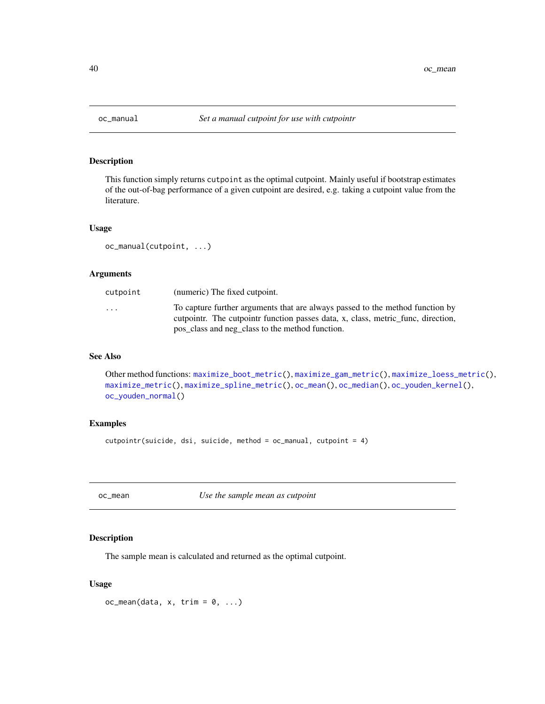<span id="page-39-1"></span>

This function simply returns cutpoint as the optimal cutpoint. Mainly useful if bootstrap estimates of the out-of-bag performance of a given cutpoint are desired, e.g. taking a cutpoint value from the literature.

#### Usage

```
oc_manual(cutpoint, ...)
```
# Arguments

| cutpoint                | (numeric) The fixed cutpoint.                                                                                                                                                                                        |
|-------------------------|----------------------------------------------------------------------------------------------------------------------------------------------------------------------------------------------------------------------|
| $\cdot$ $\cdot$ $\cdot$ | To capture further arguments that are always passed to the method function by<br>cutpointr. The cutpointr function passes data, x, class, metric_func, direction,<br>pos_class and neg_class to the method function. |

## See Also

```
Other method functions: maximize_boot_metric(), maximize_gam_metric(), maximize_loess_metric(),
maximize_metric(), maximize_spline_metric(), oc_mean(), oc_median(), oc_youden_kernel(),
oc_youden_normal()
```
# Examples

cutpointr(suicide, dsi, suicide, method = oc\_manual, cutpoint = 4)

<span id="page-39-0"></span>oc\_mean *Use the sample mean as cutpoint*

# Description

The sample mean is calculated and returned as the optimal cutpoint.

#### Usage

 $oc_mean(data, x, trim = 0, ...)$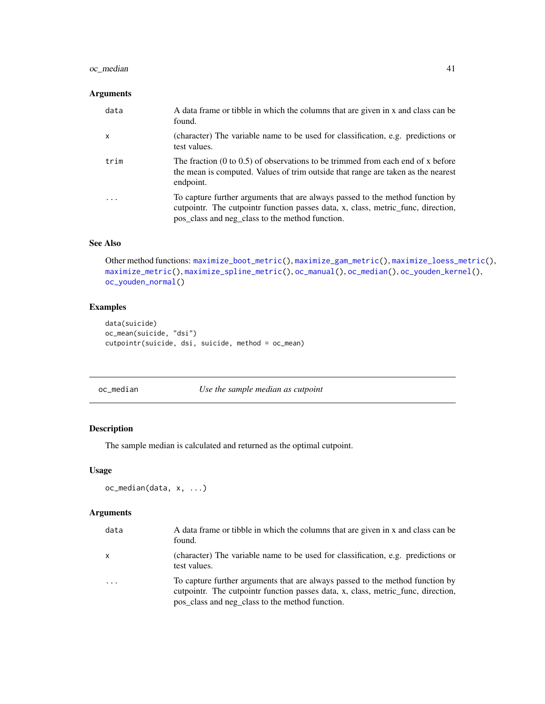# oc\_median 41

# Arguments

| data | A data frame or tibble in which the columns that are given in x and class can be<br>found.                                                                                                                           |
|------|----------------------------------------------------------------------------------------------------------------------------------------------------------------------------------------------------------------------|
| x    | (character) The variable name to be used for classification, e.g. predictions or<br>test values.                                                                                                                     |
| trim | The fraction $(0 \text{ to } 0.5)$ of observations to be trimmed from each end of x before<br>the mean is computed. Values of trim outside that range are taken as the nearest<br>endpoint.                          |
| .    | To capture further arguments that are always passed to the method function by<br>cutpointr. The cutpointr function passes data, x, class, metric_func, direction,<br>pos_class and neg_class to the method function. |

# See Also

Other method functions: [maximize\\_boot\\_metric\(](#page-22-0)), [maximize\\_gam\\_metric\(](#page-24-0)), [maximize\\_loess\\_metric\(](#page-26-0)), [maximize\\_metric\(](#page-29-0)), [maximize\\_spline\\_metric\(](#page-31-0)), [oc\\_manual\(](#page-39-1)), [oc\\_median\(](#page-40-0)), [oc\\_youden\\_kernel\(](#page-41-0)), [oc\\_youden\\_normal\(](#page-42-0))

# Examples

```
data(suicide)
oc_mean(suicide, "dsi")
cutpointr(suicide, dsi, suicide, method = oc_mean)
```
<span id="page-40-0"></span>oc\_median *Use the sample median as cutpoint*

# Description

The sample median is calculated and returned as the optimal cutpoint.

## Usage

```
oc_median(data, x, ...)
```
# Arguments

| data     | A data frame or tibble in which the columns that are given in x and class can be<br>found.                                                                                                                           |
|----------|----------------------------------------------------------------------------------------------------------------------------------------------------------------------------------------------------------------------|
| x        | (character) The variable name to be used for classification, e.g. predictions or<br>test values.                                                                                                                     |
| $\cdots$ | To capture further arguments that are always passed to the method function by<br>cutpointr. The cutpointr function passes data, x, class, metric_func, direction,<br>pos_class and neg_class to the method function. |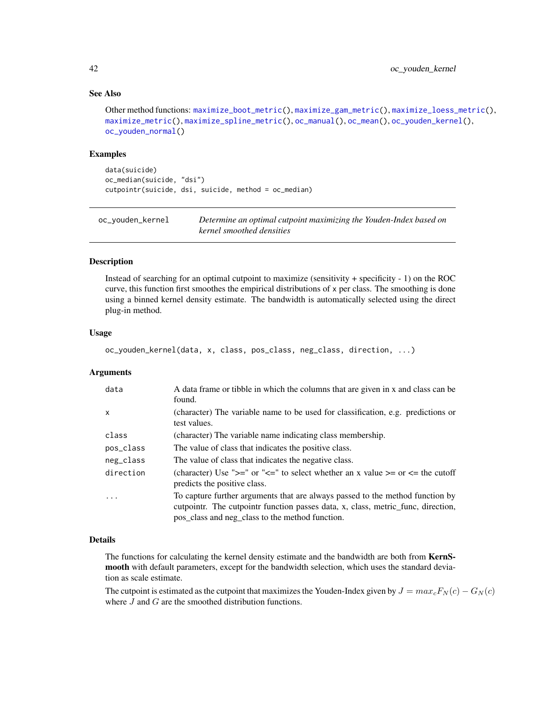## See Also

```
Other method functions: maximize_boot_metric(), maximize_gam_metric(), maximize_loess_metric(),
maximize_metric(), maximize_spline_metric(), oc_manual(), oc_mean(), oc_youden_kernel(),
oc_youden_normal()
```
#### Examples

```
data(suicide)
oc_median(suicide, "dsi")
cutpointr(suicide, dsi, suicide, method = oc_median)
```
<span id="page-41-0"></span>oc\_youden\_kernel *Determine an optimal cutpoint maximizing the Youden-Index based on kernel smoothed densities*

#### Description

Instead of searching for an optimal cutpoint to maximize (sensitivity + specificity - 1) on the ROC curve, this function first smoothes the empirical distributions of  $x$  per class. The smoothing is done using a binned kernel density estimate. The bandwidth is automatically selected using the direct plug-in method.

#### Usage

```
oc_youden_kernel(data, x, class, pos_class, neg_class, direction, ...)
```
#### Arguments

| data         | A data frame or tibble in which the columns that are given in x and class can be<br>found.                                                                                                                           |
|--------------|----------------------------------------------------------------------------------------------------------------------------------------------------------------------------------------------------------------------|
| $\mathsf{x}$ | (character) The variable name to be used for classification, e.g. predictions or<br>test values.                                                                                                                     |
| class        | (character) The variable name indicating class membership.                                                                                                                                                           |
| pos_class    | The value of class that indicates the positive class.                                                                                                                                                                |
| neg_class    | The value of class that indicates the negative class.                                                                                                                                                                |
| direction    | (character) Use " $>=$ " or " $<=$ " to select whether an x value $>=$ or $<=$ the cutoff<br>predicts the positive class.                                                                                            |
| .            | To capture further arguments that are always passed to the method function by<br>cutpointr. The cutpointr function passes data, x, class, metric_func, direction,<br>pos_class and neg_class to the method function. |

#### Details

The functions for calculating the kernel density estimate and the bandwidth are both from KernSmooth with default parameters, except for the bandwidth selection, which uses the standard deviation as scale estimate.

The cutpoint is estimated as the cutpoint that maximizes the Youden-Index given by  $J = max_c F_N(c) - G_N(c)$ where  $J$  and  $G$  are the smoothed distribution functions.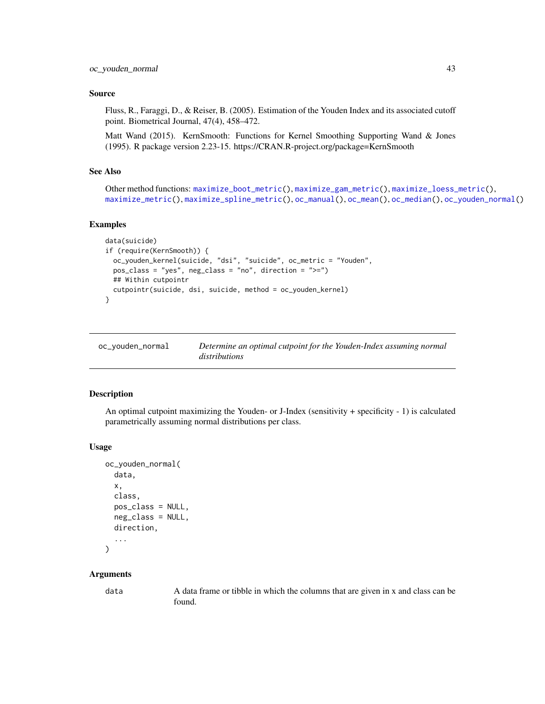## Source

Fluss, R., Faraggi, D., & Reiser, B. (2005). Estimation of the Youden Index and its associated cutoff point. Biometrical Journal, 47(4), 458–472.

Matt Wand (2015). KernSmooth: Functions for Kernel Smoothing Supporting Wand & Jones (1995). R package version 2.23-15. https://CRAN.R-project.org/package=KernSmooth

# See Also

```
Other method functions: maximize_boot_metric(), maximize_gam_metric(), maximize_loess_metric(),
maximize_metric(), maximize_spline_metric(), oc_manual(), oc_mean(), oc_median(), oc_youden_normal()
```
#### Examples

```
data(suicide)
if (require(KernSmooth)) {
 oc_youden_kernel(suicide, "dsi", "suicide", oc_metric = "Youden",
 pos_class = "yes", neg_class = "no", direction = ">=")
 ## Within cutpointr
 cutpointr(suicide, dsi, suicide, method = oc_youden_kernel)
}
```
<span id="page-42-0"></span>

| oc_youden_normal | Determine an optimal cutpoint for the Youden-Index assuming normal |
|------------------|--------------------------------------------------------------------|
|                  | distributions                                                      |

## Description

An optimal cutpoint maximizing the Youden- or J-Index (sensitivity + specificity - 1) is calculated parametrically assuming normal distributions per class.

#### Usage

```
oc_youden_normal(
  data,
  x,
  class,
  pos_class = NULL,
  neg_class = NULL,
  direction,
  ...
\lambda
```
#### Arguments

data A data frame or tibble in which the columns that are given in x and class can be found.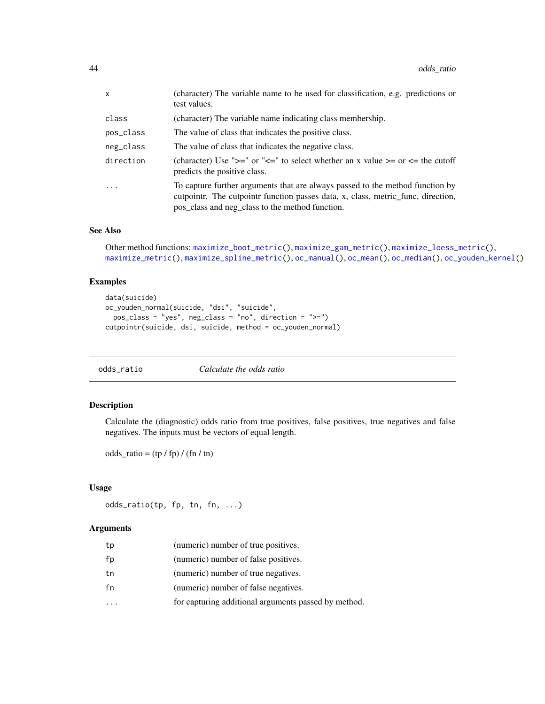| $\mathsf{x}$ | (character) The variable name to be used for classification, e.g. predictions or<br>test values.                                                                                                                     |
|--------------|----------------------------------------------------------------------------------------------------------------------------------------------------------------------------------------------------------------------|
| class        | (character) The variable name indicating class membership.                                                                                                                                                           |
| pos_class    | The value of class that indicates the positive class.                                                                                                                                                                |
| neg_class    | The value of class that indicates the negative class.                                                                                                                                                                |
| direction    | (character) Use ">=" or "<=" to select whether an x value >= or <= the cutoff<br>predicts the positive class.                                                                                                        |
| .            | To capture further arguments that are always passed to the method function by<br>cutpointr. The cutpointr function passes data, x, class, metric_func, direction,<br>pos_class and neg_class to the method function. |

# See Also

```
Other method functions: maximize_boot_metric(), maximize_gam_metric(), maximize_loess_metric(),
maximize_metric(), maximize_spline_metric(), oc_manual(), oc_mean(), oc_median(), oc_youden_kernel()
```
## Examples

```
data(suicide)
oc_youden_normal(suicide, "dsi", "suicide",
  pos_class = "yes", neg_class = "no", direction = ">=")
cutpointr(suicide, dsi, suicide, method = oc_youden_normal)
```
<span id="page-43-0"></span>

# Description

Calculate the (diagnostic) odds ratio from true positives, false positives, true negatives and false negatives. The inputs must be vectors of equal length.

 $odds\_ratio = (tp / fp) / (fn / tn)$ 

## Usage

odds\_ratio(tp, fp, tn, fn, ...)

## Arguments

| tp | (numeric) number of true positives.                  |
|----|------------------------------------------------------|
| fp | (numeric) number of false positives.                 |
| tn | (numeric) number of true negatives.                  |
| fn | (numeric) number of false negatives.                 |
|    | for capturing additional arguments passed by method. |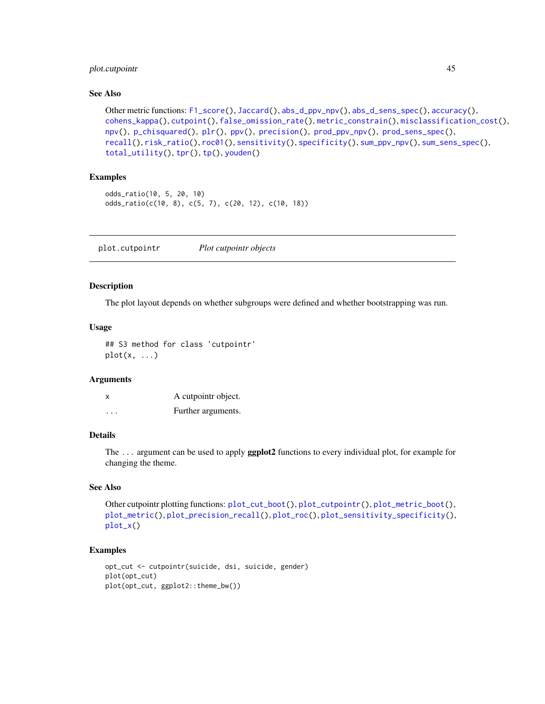# plot.cutpointr  $45$

# See Also

```
Other metric functions: F1_score(), Jaccard(), abs_d_ppv_npv(), abs_d_sens_spec(), accuracy(),
cohens_kappa(), cutpoint(), false_omission_rate(), metric_constrain(), misclassification_cost(),
npv(), p_chisquared(), plr(), ppv(), precision(), prod_ppv_npv(), prod_sens_spec(),
recall(), risk_ratio(), roc01(), sensitivity(), specificity(), sum_ppv_npv(), sum_sens_spec(),
total_utility(), tpr(), tp(), youden()
```
# Examples

```
odds_ratio(10, 5, 20, 10)
odds_ratio(c(10, 8), c(5, 7), c(20, 12), c(10, 18))
```
<span id="page-44-0"></span>plot.cutpointr *Plot cutpointr objects*

## Description

The plot layout depends on whether subgroups were defined and whether bootstrapping was run.

# Usage

```
## S3 method for class 'cutpointr'
plot(x, \ldots)
```
## Arguments

| x        | A cutpointr object. |
|----------|---------------------|
| $\cdots$ | Further arguments.  |

# Details

The ... argument can be used to apply ggplot2 functions to every individual plot, for example for changing the theme.

# See Also

Other cutpointr plotting functions: [plot\\_cut\\_boot\(](#page-47-0)), [plot\\_cutpointr\(](#page-46-0)), [plot\\_metric\\_boot\(](#page-49-0)), [plot\\_metric\(](#page-48-0)), [plot\\_precision\\_recall\(](#page-49-1)), [plot\\_roc\(](#page-50-0)), [plot\\_sensitivity\\_specificity\(](#page-51-0)), [plot\\_x\(](#page-52-0))

```
opt_cut <- cutpointr(suicide, dsi, suicide, gender)
plot(opt_cut)
plot(opt_cut, ggplot2::theme_bw())
```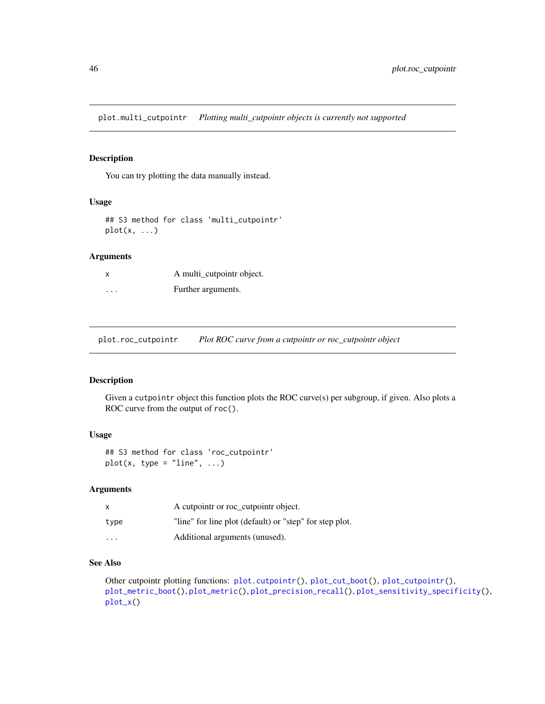plot.multi\_cutpointr *Plotting multi\_cutpointr objects is currently not supported*

## Description

You can try plotting the data manually instead.

#### Usage

## S3 method for class 'multi\_cutpointr'  $plot(x, \ldots)$ 

# Arguments

| X        | A multi_cutpointr object. |
|----------|---------------------------|
| $\cdots$ | Further arguments.        |

plot.roc\_cutpointr *Plot ROC curve from a cutpointr or roc\_cutpointr object*

# Description

Given a cutpointr object this function plots the ROC curve(s) per subgroup, if given. Also plots a ROC curve from the output of roc().

# Usage

```
## S3 method for class 'roc_cutpointr'
plot(x, type = "line", ...)
```
# Arguments

| $\mathsf{x}$ | A cutpointr or roc_cutpointr object.                    |
|--------------|---------------------------------------------------------|
| type         | "line" for line plot (default) or "step" for step plot. |
| .            | Additional arguments (unused).                          |

## See Also

Other cutpointr plotting functions: [plot.cutpointr\(](#page-44-0)), [plot\\_cut\\_boot\(](#page-47-0)), [plot\\_cutpointr\(](#page-46-0)), [plot\\_metric\\_boot\(](#page-49-0)), [plot\\_metric\(](#page-48-0)), [plot\\_precision\\_recall\(](#page-49-1)), [plot\\_sensitivity\\_specificity\(](#page-51-0)), [plot\\_x\(](#page-52-0))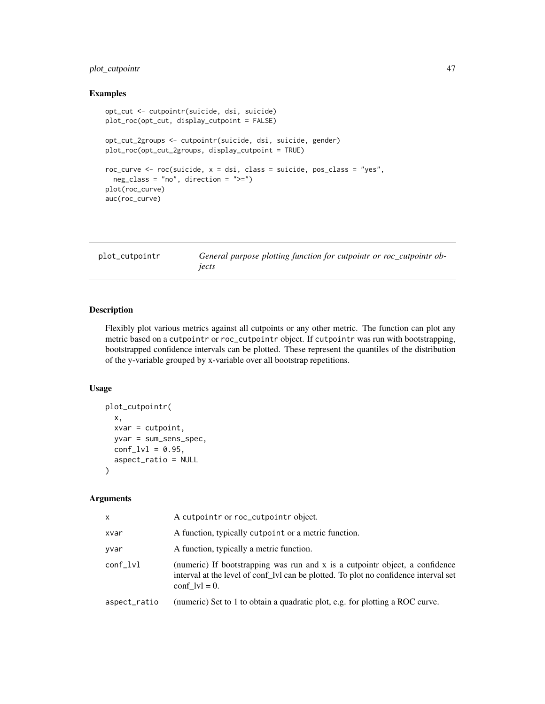# plot\_cutpointr 47

## Examples

```
opt_cut <- cutpointr(suicide, dsi, suicide)
plot_roc(opt_cut, display_cutpoint = FALSE)
opt_cut_2groups <- cutpointr(suicide, dsi, suicide, gender)
plot_roc(opt_cut_2groups, display_cutpoint = TRUE)
roc_curve <- roc(suicide, x = dsi, class = suicide, pos_class = "yes",
  neg_class = "no", direction = ">=")
plot(roc_curve)
auc(roc_curve)
```
<span id="page-46-0"></span>plot\_cutpointr *General purpose plotting function for cutpointr or roc\_cutpointr objects*

# Description

Flexibly plot various metrics against all cutpoints or any other metric. The function can plot any metric based on a cutpointr or roc\_cutpointr object. If cutpointr was run with bootstrapping, bootstrapped confidence intervals can be plotted. These represent the quantiles of the distribution of the y-variable grouped by x-variable over all bootstrap repetitions.

#### Usage

```
plot_cutpointr(
 x,
 xvar = cutpoint,yvar = sum_sens_spec,
 conf_lvl = 0.95,aspect_ratio = NULL
)
```
# Arguments

| x            | A cutpointr or roc_cutpointr object.                                                                                                                                                      |
|--------------|-------------------------------------------------------------------------------------------------------------------------------------------------------------------------------------------|
| xvar         | A function, typically cutpoint or a metric function.                                                                                                                                      |
| vvar         | A function, typically a metric function.                                                                                                                                                  |
| conf lvl     | (numeric) If bootstrapping was run and x is a cutpointr object, a confidence<br>interval at the level of conf. Ivi can be plotted. To plot no confidence interval set<br>conf $ v  = 0$ . |
| aspect_ratio | (numeric) Set to 1 to obtain a quadratic plot, e.g. for plotting a ROC curve.                                                                                                             |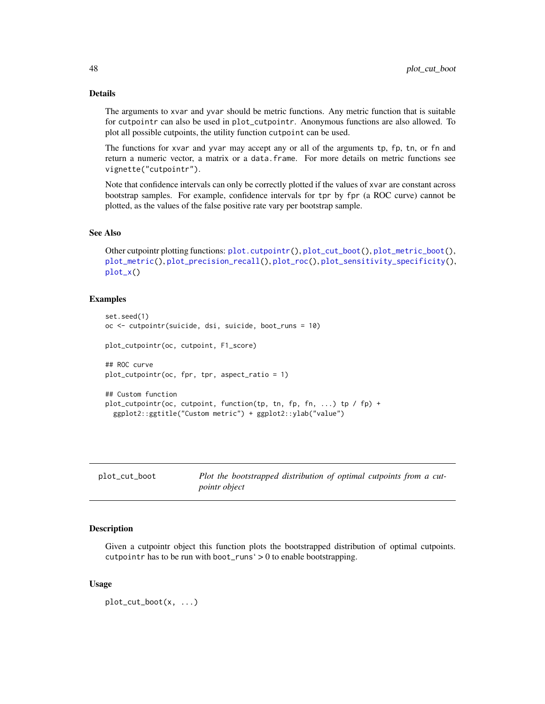## Details

The arguments to xvar and yvar should be metric functions. Any metric function that is suitable for cutpointr can also be used in plot\_cutpointr. Anonymous functions are also allowed. To plot all possible cutpoints, the utility function cutpoint can be used.

The functions for xvar and yvar may accept any or all of the arguments tp, fp, tn, or fn and return a numeric vector, a matrix or a data.frame. For more details on metric functions see vignette("cutpointr").

Note that confidence intervals can only be correctly plotted if the values of xvar are constant across bootstrap samples. For example, confidence intervals for tpr by fpr (a ROC curve) cannot be plotted, as the values of the false positive rate vary per bootstrap sample.

## See Also

```
Other cutpointr plotting functions: plot.cutpointr(), plot_cut_boot(), plot_metric_boot(),
plot_metric(), plot_precision_recall(), plot_roc(), plot_sensitivity_specificity(),
plot_x()
```
#### Examples

```
set.seed(1)
oc <- cutpointr(suicide, dsi, suicide, boot_runs = 10)
plot_cutpointr(oc, cutpoint, F1_score)
## ROC curve
plot_cutpointr(oc, fpr, tpr, aspect_ratio = 1)
## Custom function
plot_cutpointr(oc, cutpoint, function(tp, tn, fp, fn, ...) tp / fp) +
 ggplot2::ggtitle("Custom metric") + ggplot2::ylab("value")
```
<span id="page-47-0"></span>

| plot_cut_boot | Plot the bootstrapped distribution of optimal cutpoints from a cut- |
|---------------|---------------------------------------------------------------------|
|               | <i>pointr object</i>                                                |

# **Description**

Given a cutpointr object this function plots the bootstrapped distribution of optimal cutpoints. cutpointr has to be run with boot\_runs' > 0 to enable bootstrapping.

#### Usage

```
plot_cut_boot(x, ...)
```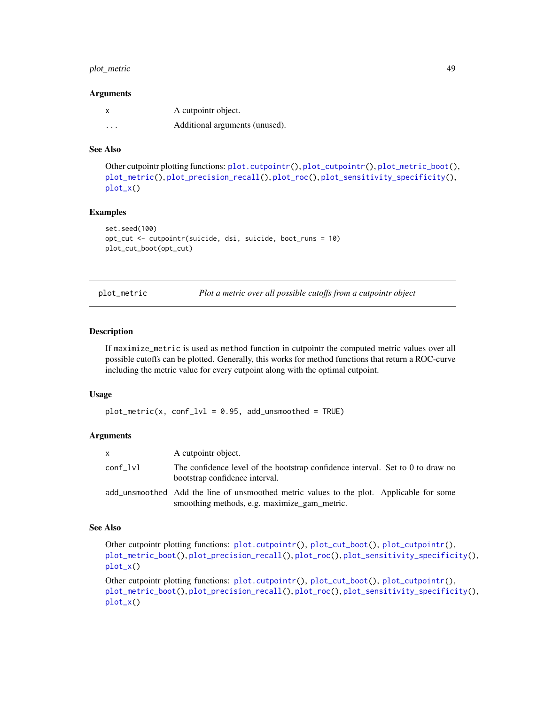# plot\_metric 49

#### **Arguments**

|          | A cutpointr object.            |
|----------|--------------------------------|
| $\cdots$ | Additional arguments (unused). |

## See Also

```
Other cutpointr plotting functions: plot.cutpointr(), plot_cutpointr(), plot_metric_boot(),
plot_metric(), plot_precision_recall(), plot_roc(), plot_sensitivity_specificity(),
plot_x()
```
#### Examples

```
set.seed(100)
opt_cut <- cutpointr(suicide, dsi, suicide, boot_runs = 10)
plot_cut_boot(opt_cut)
```
<span id="page-48-0"></span>plot\_metric *Plot a metric over all possible cutoffs from a cutpointr object*

## Description

If maximize\_metric is used as method function in cutpointr the computed metric values over all possible cutoffs can be plotted. Generally, this works for method functions that return a ROC-curve including the metric value for every cutpoint along with the optimal cutpoint.

## Usage

 $plot_metric(x, conf_lvl = 0.95, add_lumsmoothed = TRUE)$ 

## Arguments

| X.       | A cutpointr object.                                                                                                                      |
|----------|------------------------------------------------------------------------------------------------------------------------------------------|
| conf_lvl | The confidence level of the bootstrap confidence interval. Set to 0 to draw no<br>bootstrap confidence interval.                         |
|          | add_unsmoothed Add the line of unsmoothed metric values to the plot. Applicable for some<br>smoothing methods, e.g. maximize_gam_metric. |

#### See Also

Other cutpointr plotting functions: [plot.cutpointr\(](#page-44-0)), [plot\\_cut\\_boot\(](#page-47-0)), [plot\\_cutpointr\(](#page-46-0)), [plot\\_metric\\_boot\(](#page-49-0)), [plot\\_precision\\_recall\(](#page-49-1)), [plot\\_roc\(](#page-50-0)), [plot\\_sensitivity\\_specificity\(](#page-51-0)), [plot\\_x\(](#page-52-0))

Other cutpointr plotting functions: [plot.cutpointr\(](#page-44-0)), [plot\\_cut\\_boot\(](#page-47-0)), [plot\\_cutpointr\(](#page-46-0)), [plot\\_metric\\_boot\(](#page-49-0)), [plot\\_precision\\_recall\(](#page-49-1)), [plot\\_roc\(](#page-50-0)), [plot\\_sensitivity\\_specificity\(](#page-51-0)), [plot\\_x\(](#page-52-0))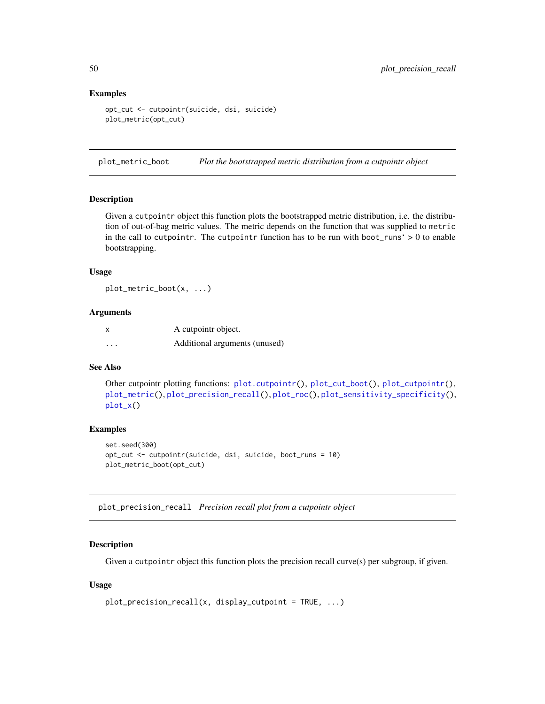## Examples

```
opt_cut <- cutpointr(suicide, dsi, suicide)
plot_metric(opt_cut)
```
<span id="page-49-0"></span>plot\_metric\_boot *Plot the bootstrapped metric distribution from a cutpointr object*

#### Description

Given a cutpointr object this function plots the bootstrapped metric distribution, i.e. the distribution of out-of-bag metric values. The metric depends on the function that was supplied to metric in the call to cutpointr. The cutpointr function has to be run with boot\_runs'  $> 0$  to enable bootstrapping.

#### Usage

plot\_metric\_boot(x, ...)

# Arguments

| X        | A cutpointr object.           |
|----------|-------------------------------|
| $\cdots$ | Additional arguments (unused) |

## See Also

Other cutpointr plotting functions: [plot.cutpointr\(](#page-44-0)), [plot\\_cut\\_boot\(](#page-47-0)), [plot\\_cutpointr\(](#page-46-0)), [plot\\_metric\(](#page-48-0)), [plot\\_precision\\_recall\(](#page-49-1)), [plot\\_roc\(](#page-50-0)), [plot\\_sensitivity\\_specificity\(](#page-51-0)), [plot\\_x\(](#page-52-0))

#### Examples

```
set.seed(300)
opt_cut <- cutpointr(suicide, dsi, suicide, boot_runs = 10)
plot_metric_boot(opt_cut)
```
<span id="page-49-1"></span>plot\_precision\_recall *Precision recall plot from a cutpointr object*

#### Description

Given a cutpointr object this function plots the precision recall curve(s) per subgroup, if given.

#### Usage

```
plot\_precision\_recall(x, display\_cutpoint = TRUE, ...)
```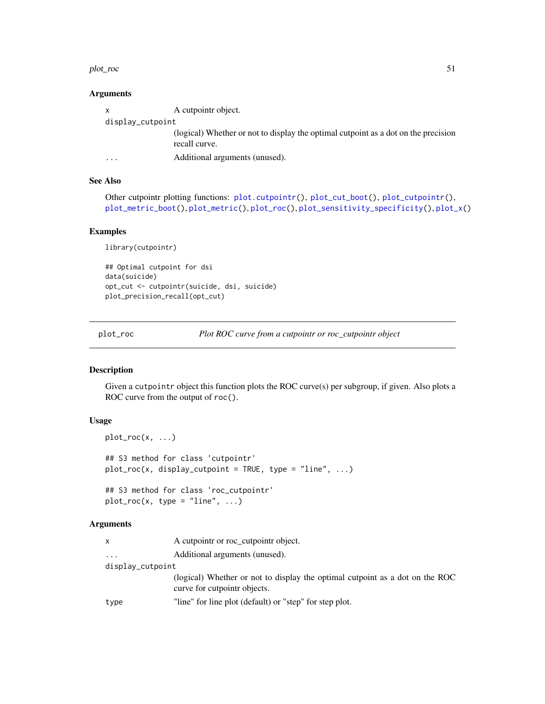#### plot\_roc 51

## **Arguments**

| $\mathbf{x}$     | A cutpointr object.                                                                                 |  |
|------------------|-----------------------------------------------------------------------------------------------------|--|
| display_cutpoint |                                                                                                     |  |
|                  | (logical) Whether or not to display the optimal cutpoint as a dot on the precision<br>recall curve. |  |
| .                | Additional arguments (unused).                                                                      |  |

## See Also

```
plot.cutpointr(plot_cut_boot(plot_cutpointr(),
plot_metric_boot(), plot_metric(), plot_roc(), plot_sensitivity_specificity(), plot_x()
```
# Examples

library(cutpointr)

```
## Optimal cutpoint for dsi
data(suicide)
opt_cut <- cutpointr(suicide, dsi, suicide)
plot_precision_recall(opt_cut)
```
<span id="page-50-0"></span>plot\_roc *Plot ROC curve from a cutpointr or roc\_cutpointr object*

## Description

Given a cutpointr object this function plots the ROC curve(s) per subgroup, if given. Also plots a ROC curve from the output of roc().

# Usage

```
plot\_roc(x, \ldots)## S3 method for class 'cutpointr'
plot_roc(x, display_cutpoint = TRUE, type = "line", ...)
## S3 method for class 'roc_cutpointr'
plot\_roc(x, type = "line", ...)
```
#### Arguments

|  | A cutpointr or roc_cutpointr object. |  |
|--|--------------------------------------|--|
|--|--------------------------------------|--|

```
... Additional arguments (unused).
```
display\_cutpoint

(logical) Whether or not to display the optimal cutpoint as a dot on the ROC curve for cutpointr objects.

type "line" for line plot (default) or "step" for step plot.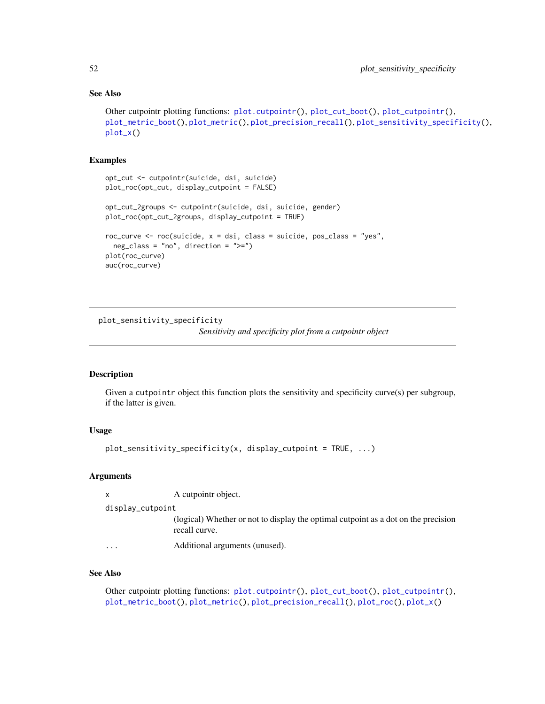# See Also

```
Other cutpointr plotting functions: plot.cutpointr(), plot_cut_boot(), plot_cutpointr(),
plot_metric_boot(), plot_metric(), plot_precision_recall(), plot_sensitivity_specificity(),
plot_x()
```
# Examples

```
opt_cut <- cutpointr(suicide, dsi, suicide)
plot_roc(opt_cut, display_cutpoint = FALSE)
opt_cut_2groups <- cutpointr(suicide, dsi, suicide, gender)
plot_roc(opt_cut_2groups, display_cutpoint = TRUE)
roc_curve <- roc(suicide, x = dsi, class = suicide, pos_class = "yes",
 neg\_class = "no", direction = ">=")plot(roc_curve)
auc(roc_curve)
```
<span id="page-51-0"></span>plot\_sensitivity\_specificity

*Sensitivity and specificity plot from a cutpointr object*

## Description

Given a cutpointr object this function plots the sensitivity and specificity curve(s) per subgroup, if the latter is given.

## Usage

```
plot_sensitivity_specificity(x, display_cutoff)
```
### Arguments

| x                | A cutpointr object.                                                                                 |
|------------------|-----------------------------------------------------------------------------------------------------|
| display_cutpoint |                                                                                                     |
|                  | (logical) Whether or not to display the optimal cutpoint as a dot on the precision<br>recall curve. |
| $\cdots$         | Additional arguments (unused).                                                                      |
|                  |                                                                                                     |

# See Also

Other cutpointr plotting functions: [plot.cutpointr\(](#page-44-0)), [plot\\_cut\\_boot\(](#page-47-0)), [plot\\_cutpointr\(](#page-46-0)), [plot\\_metric\\_boot\(](#page-49-0)), [plot\\_metric\(](#page-48-0)), [plot\\_precision\\_recall\(](#page-49-1)), [plot\\_roc\(](#page-50-0)), [plot\\_x\(](#page-52-0))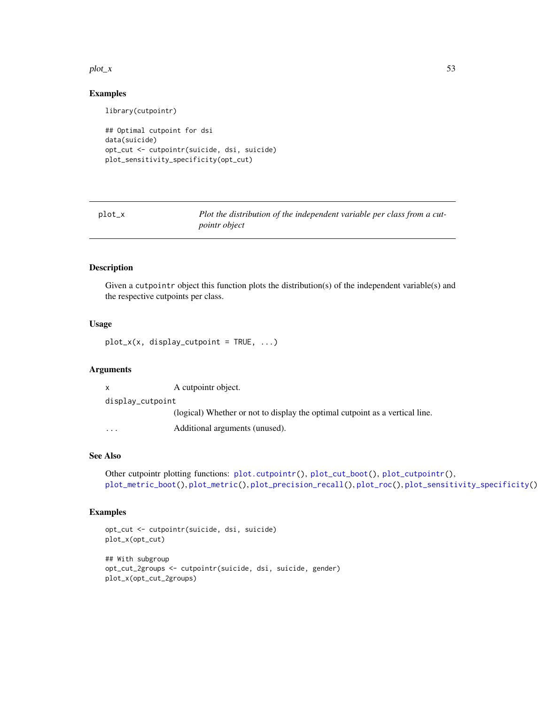#### $plot_x$  53

## Examples

library(cutpointr)

```
## Optimal cutpoint for dsi
data(suicide)
opt_cut <- cutpointr(suicide, dsi, suicide)
plot_sensitivity_specificity(opt_cut)
```
<span id="page-52-0"></span>plot\_x *Plot the distribution of the independent variable per class from a cutpointr object*

## Description

Given a cutpointr object this function plots the distribution(s) of the independent variable(s) and the respective cutpoints per class.

## Usage

 $plot_x(x, display)$  display\_cutpoint = TRUE, ...)

## Arguments

| X                | A cutpointr object.                                                          |  |
|------------------|------------------------------------------------------------------------------|--|
| display_cutpoint |                                                                              |  |
|                  | (logical) Whether or not to display the optimal cutpoint as a vertical line. |  |
| $\cdots$         | Additional arguments (unused).                                               |  |

# See Also

```
Other cutpointr plotting functions: plot.cutpointr(), plot_cut_boot(), plot_cutpointr(),
plot_metric_boot(), plot_metric(), plot_precision_recall(), plot_roc(), plot_sensitivity_specificity()
```

```
opt_cut <- cutpointr(suicide, dsi, suicide)
plot_x(opt_cut)
## With subgroup
opt_cut_2groups <- cutpointr(suicide, dsi, suicide, gender)
plot_x(opt_cut_2groups)
```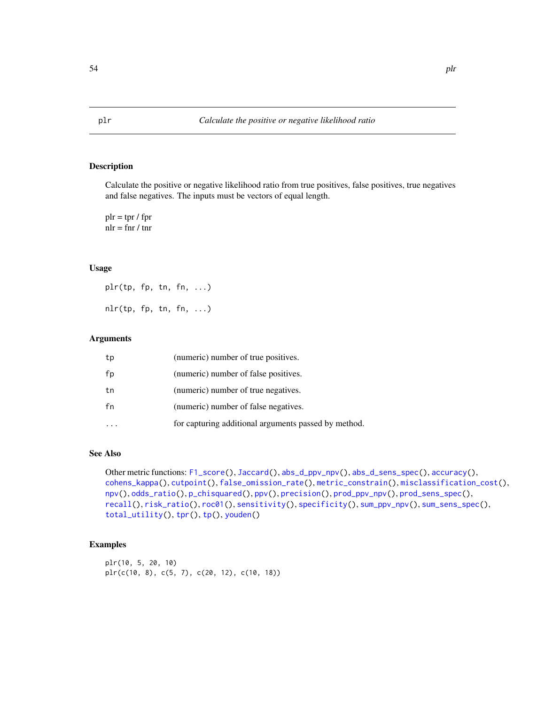<span id="page-53-0"></span>Calculate the positive or negative likelihood ratio from true positives, false positives, true negatives and false negatives. The inputs must be vectors of equal length.

 $\text{plr} = \text{tpr} / \text{fpr}$  $n = \text{f}$ nr / tnr

# Usage

plr(tp, fp, tn, fn, ...)  $nlr(tp, fp, tn, fn, ...)$ 

# Arguments

| tp | (numeric) number of true positives.                  |
|----|------------------------------------------------------|
| fp | (numeric) number of false positives.                 |
| tn | (numeric) number of true negatives.                  |
| fn | (numeric) number of false negatives.                 |
|    | for capturing additional arguments passed by method. |

## See Also

Other metric functions: [F1\\_score\(](#page-19-0)), [Jaccard\(](#page-21-0)), [abs\\_d\\_ppv\\_npv\(](#page-2-0)), [abs\\_d\\_sens\\_spec\(](#page-3-0)), [accuracy\(](#page-4-0)), [cohens\\_kappa\(](#page-9-0)), [cutpoint\(](#page-10-0)), [false\\_omission\\_rate\(](#page-20-0)), [metric\\_constrain\(](#page-33-0)), [misclassification\\_cost\(](#page-36-0)), [npv\(](#page-38-0)), [odds\\_ratio\(](#page-43-0)), [p\\_chisquared\(](#page-60-0)), [ppv\(](#page-54-0)), [precision\(](#page-55-0)), [prod\\_ppv\\_npv\(](#page-58-0)), [prod\\_sens\\_spec\(](#page-59-0)), [recall\(](#page-61-0)), [risk\\_ratio\(](#page-62-0)), [roc01\(](#page-64-0)), [sensitivity\(](#page-65-0)), [specificity\(](#page-66-0)), [sum\\_ppv\\_npv\(](#page-67-0)), [sum\\_sens\\_spec\(](#page-68-0)), [total\\_utility\(](#page-69-0)), [tpr\(](#page-71-0)), [tp\(](#page-70-0)), [youden\(](#page-72-0))

# Examples

plr(10, 5, 20, 10) plr(c(10, 8), c(5, 7), c(20, 12), c(10, 18))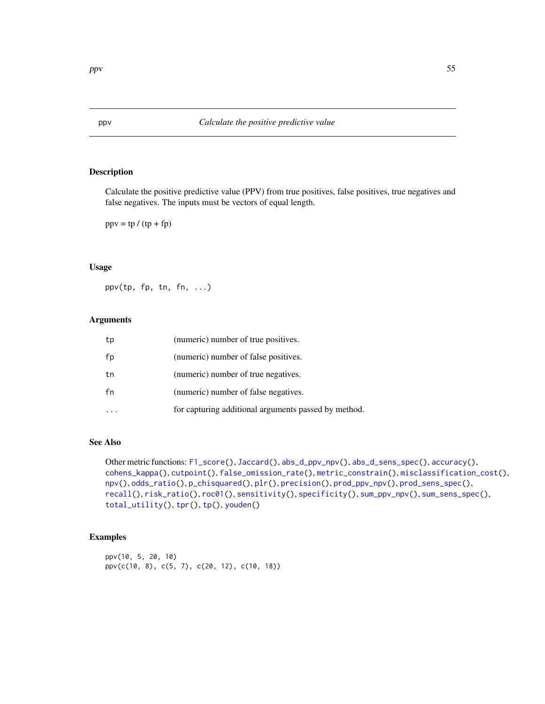Calculate the positive predictive value (PPV) from true positives, false positives, true negatives and false negatives. The inputs must be vectors of equal length.

 $ppv = tp / (tp + fp)$ 

## Usage

ppv(tp, fp, tn, fn, ...)

## Arguments

| tp | (numeric) number of true positives.                  |
|----|------------------------------------------------------|
| fp | (numeric) number of false positives.                 |
| tn | (numeric) number of true negatives.                  |
| fn | (numeric) number of false negatives.                 |
|    | for capturing additional arguments passed by method. |

## See Also

```
Other metric functions: F1_score(), Jaccard(), abs_d_ppv_npv(), abs_d_sens_spec(), accuracy(),
cohens_kappa(), cutpoint(), false_omission_rate(), metric_constrain(), misclassification_cost(),
npv(), odds_ratio(), p_chisquared(), plr(), precision(), prod_ppv_npv(), prod_sens_spec(),
recall(), risk_ratio(), roc01(), sensitivity(), specificity(), sum_ppv_npv(), sum_sens_spec(),
total_utility(), tpr(), tp(), youden()
```

```
ppv(10, 5, 20, 10)
ppv(c(10, 8), c(5, 7), c(20, 12), c(10, 18))
```
<span id="page-54-0"></span>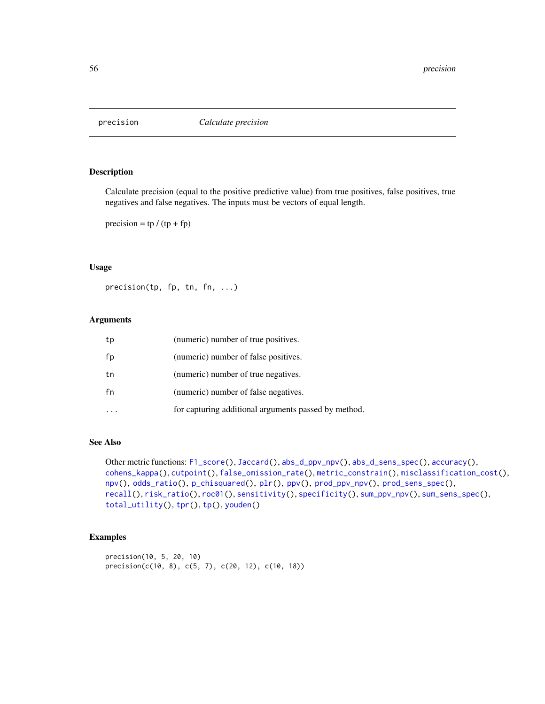<span id="page-55-0"></span>

Calculate precision (equal to the positive predictive value) from true positives, false positives, true negatives and false negatives. The inputs must be vectors of equal length.

precision =  $tp / (tp + fp)$ 

#### Usage

precision(tp, fp, tn, fn, ...)

## Arguments

| tp | (numeric) number of true positives.                  |
|----|------------------------------------------------------|
| fp | (numeric) number of false positives.                 |
| tn | (numeric) number of true negatives.                  |
| fn | (numeric) number of false negatives.                 |
|    | for capturing additional arguments passed by method. |

## See Also

```
Other metric functions: F1_score(), Jaccard(), abs_d_ppv_npv(), abs_d_sens_spec(), accuracy(),
cohens_kappa(), cutpoint(), false_omission_rate(), metric_constrain(), misclassification_cost(),
npv(), odds_ratio(), p_chisquared(), plr(), ppv(), prod_ppv_npv(), prod_sens_spec(),
recall(), risk_ratio(), roc01(), sensitivity(), specificity(), sum_ppv_npv(), sum_sens_spec(),
total_utility(), tpr(), tp(), youden()
```

```
precision(10, 5, 20, 10)
precision(c(10, 8), c(5, 7), c(20, 12), c(10, 18))
```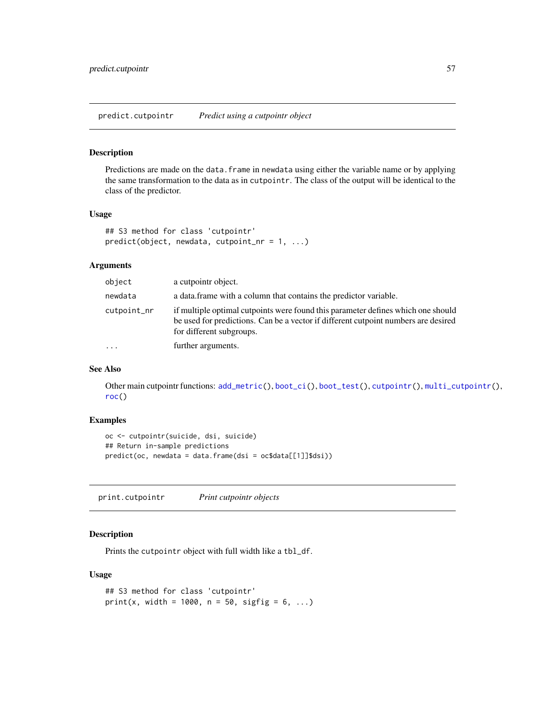<span id="page-56-0"></span>Predictions are made on the data.frame in newdata using either the variable name or by applying the same transformation to the data as in cutpointr. The class of the output will be identical to the class of the predictor.

## Usage

```
## S3 method for class 'cutpointr'
predict(object, newdata, cutpoint_nr = 1, ...)
```
## Arguments

| object      | a cutpointr object.                                                                                                                                                                                |
|-------------|----------------------------------------------------------------------------------------------------------------------------------------------------------------------------------------------------|
| newdata     | a data frame with a column that contains the predictor variable.                                                                                                                                   |
| cutpoint_nr | if multiple optimal cutpoints were found this parameter defines which one should<br>be used for predictions. Can be a vector if different cutpoint numbers are desired<br>for different subgroups. |
| $\ddots$    | further arguments.                                                                                                                                                                                 |

#### See Also

Other main cutpointr functions: [add\\_metric\(](#page-5-0)), [boot\\_ci\(](#page-6-0)), [boot\\_test\(](#page-7-0)), [cutpointr\(](#page-11-0)), [multi\\_cutpointr\(](#page-37-0)), [roc\(](#page-63-0))

# Examples

```
oc <- cutpointr(suicide, dsi, suicide)
## Return in-sample predictions
predict(oc, newdata = data.frame(dsi = oc$data[[1]]$dsi))
```
print.cutpointr *Print cutpointr objects*

## Description

Prints the cutpointr object with full width like a tbl\_df.

#### Usage

```
## S3 method for class 'cutpointr'
print(x, width = 1000, n = 50, sigfig = 6, ...)
```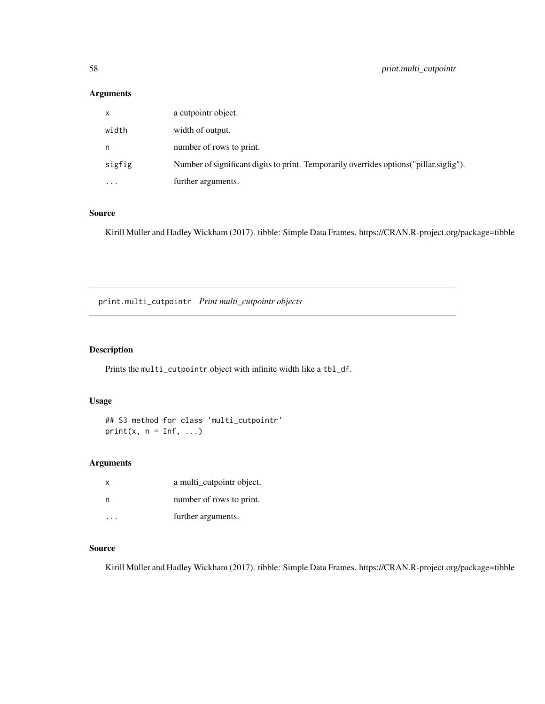# Arguments

| X        | a cutpointr object.                                                                     |
|----------|-----------------------------------------------------------------------------------------|
| width    | width of output.                                                                        |
| n        | number of rows to print.                                                                |
| sigfig   | Number of significant digits to print. Temporarily overrides options ("pillar sigfig"). |
| $\cdots$ | further arguments.                                                                      |

# Source

Kirill Müller and Hadley Wickham (2017). tibble: Simple Data Frames. https://CRAN.R-project.org/package=tibble

print.multi\_cutpointr *Print multi\_cutpointr objects*

# Description

Prints the multi\_cutpointr object with infinite width like a tbl\_df.

# Usage

## S3 method for class 'multi\_cutpointr'  $print(x, n = Inf, ...)$ 

# Arguments

| $\times$ | a multi_cutpointr object. |
|----------|---------------------------|
| n        | number of rows to print.  |
|          | further arguments.        |

# Source

Kirill Müller and Hadley Wickham (2017). tibble: Simple Data Frames. https://CRAN.R-project.org/package=tibble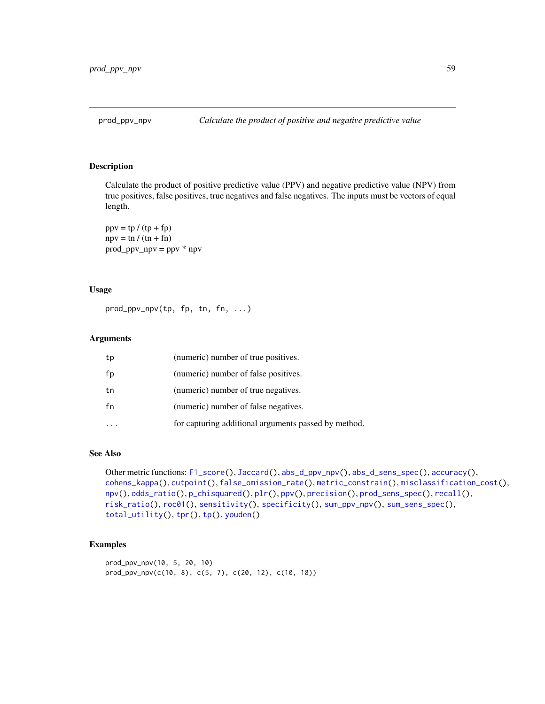<span id="page-58-0"></span>

Calculate the product of positive predictive value (PPV) and negative predictive value (NPV) from true positives, false positives, true negatives and false negatives. The inputs must be vectors of equal length.

 $ppv = tp / (tp + fp)$  $npv = \text{tn } / (\text{tn } + \text{fn})$ prod\_ppv\_npv = ppv \* npv

# Usage

prod\_ppv\_npv(tp, fp, tn, fn, ...)

# Arguments

| tp | (numeric) number of true positives.                  |
|----|------------------------------------------------------|
| fp | (numeric) number of false positives.                 |
| tn | (numeric) number of true negatives.                  |
| fn | (numeric) number of false negatives.                 |
|    | for capturing additional arguments passed by method. |

## See Also

Other metric functions: [F1\\_score\(](#page-19-0)), [Jaccard\(](#page-21-0)), [abs\\_d\\_ppv\\_npv\(](#page-2-0)), [abs\\_d\\_sens\\_spec\(](#page-3-0)), [accuracy\(](#page-4-0)), [cohens\\_kappa\(](#page-9-0)), [cutpoint\(](#page-10-0)), [false\\_omission\\_rate\(](#page-20-0)), [metric\\_constrain\(](#page-33-0)), [misclassification\\_cost\(](#page-36-0)), [npv\(](#page-38-0)), [odds\\_ratio\(](#page-43-0)), [p\\_chisquared\(](#page-60-0)), [plr\(](#page-53-0)), [ppv\(](#page-54-0)), [precision\(](#page-55-0)), [prod\\_sens\\_spec\(](#page-59-0)), [recall\(](#page-61-0)), [risk\\_ratio\(](#page-62-0)), [roc01\(](#page-64-0)), [sensitivity\(](#page-65-0)), [specificity\(](#page-66-0)), [sum\\_ppv\\_npv\(](#page-67-0)), [sum\\_sens\\_spec\(](#page-68-0)), [total\\_utility\(](#page-69-0)), [tpr\(](#page-71-0)), [tp\(](#page-70-0)), [youden\(](#page-72-0))

```
prod_ppv_npv(10, 5, 20, 10)
prod_ppv_npv(c(10, 8), c(5, 7), c(20, 12), c(10, 18))
```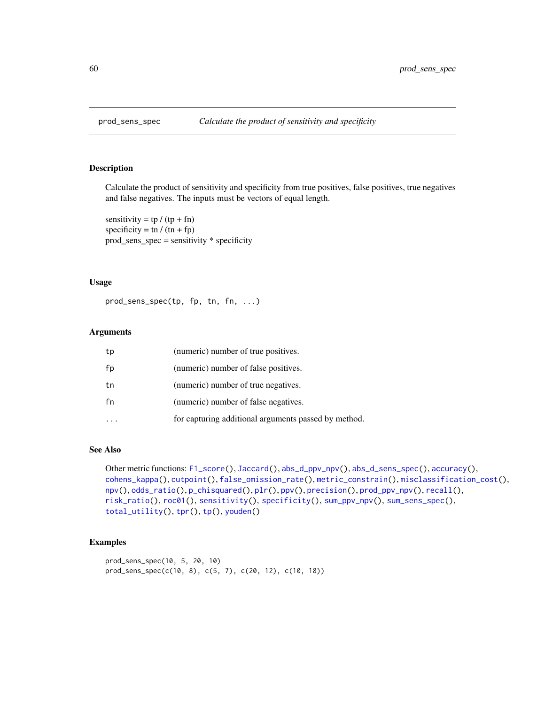<span id="page-59-0"></span>

Calculate the product of sensitivity and specificity from true positives, false positives, true negatives and false negatives. The inputs must be vectors of equal length.

sensitivity =  $tp / (tp + fn)$ specificity = tn /  $(tn + fp)$ prod\_sens\_spec = sensitivity \* specificity

## Usage

prod\_sens\_spec(tp, fp, tn, fn, ...)

# Arguments

| tp | (numeric) number of true positives.                  |
|----|------------------------------------------------------|
| fp | (numeric) number of false positives.                 |
| tn | (numeric) number of true negatives.                  |
| fn | (numeric) number of false negatives.                 |
|    | for capturing additional arguments passed by method. |

# See Also

```
Other metric functions: F1_score(), Jaccard(), abs_d_ppv_npv(), abs_d_sens_spec(), accuracy(),
cohens_kappa(), cutpoint(), false_omission_rate(), metric_constrain(), misclassification_cost(),
npv(), odds_ratio(), p_chisquared(), plr(), ppv(), precision(), prod_ppv_npv(), recall(),
risk_ratio(), roc01(), sensitivity(), specificity(), sum_ppv_npv(), sum_sens_spec(),
total_utility(), tpr(), tp(), youden()
```

```
prod_sens_spec(10, 5, 20, 10)
prod_sens_spec(c(10, 8), c(5, 7), c(20, 12), c(10, 18))
```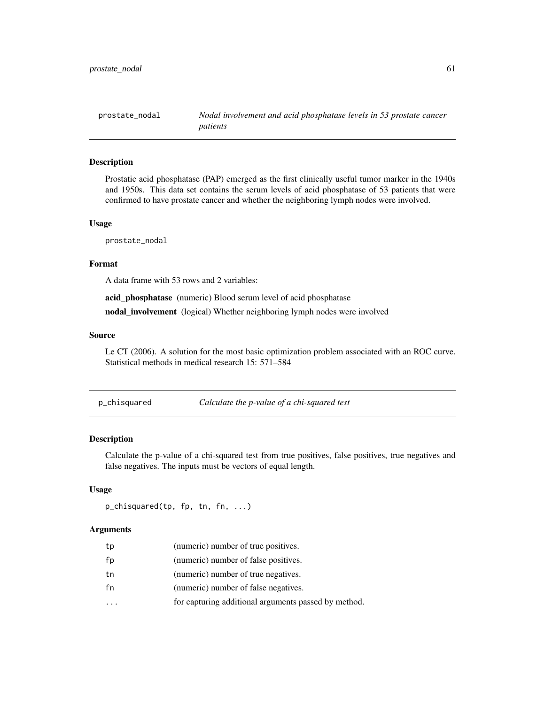prostate\_nodal *Nodal involvement and acid phosphatase levels in 53 prostate cancer patients*

# Description

Prostatic acid phosphatase (PAP) emerged as the first clinically useful tumor marker in the 1940s and 1950s. This data set contains the serum levels of acid phosphatase of 53 patients that were confirmed to have prostate cancer and whether the neighboring lymph nodes were involved.

# Usage

prostate\_nodal

## Format

A data frame with 53 rows and 2 variables:

acid\_phosphatase (numeric) Blood serum level of acid phosphatase

nodal\_involvement (logical) Whether neighboring lymph nodes were involved

#### Source

Le CT (2006). A solution for the most basic optimization problem associated with an ROC curve. Statistical methods in medical research 15: 571–584

<span id="page-60-0"></span>

| p_chisquared | Calculate the p-value of a chi-squared test |
|--------------|---------------------------------------------|
|              |                                             |

## Description

Calculate the p-value of a chi-squared test from true positives, false positives, true negatives and false negatives. The inputs must be vectors of equal length.

#### Usage

p\_chisquared(tp, fp, tn, fn, ...)

#### Arguments

| tp | (numeric) number of true positives.                  |
|----|------------------------------------------------------|
| fp | (numeric) number of false positives.                 |
| tn | (numeric) number of true negatives.                  |
| fn | (numeric) number of false negatives.                 |
|    | for capturing additional arguments passed by method. |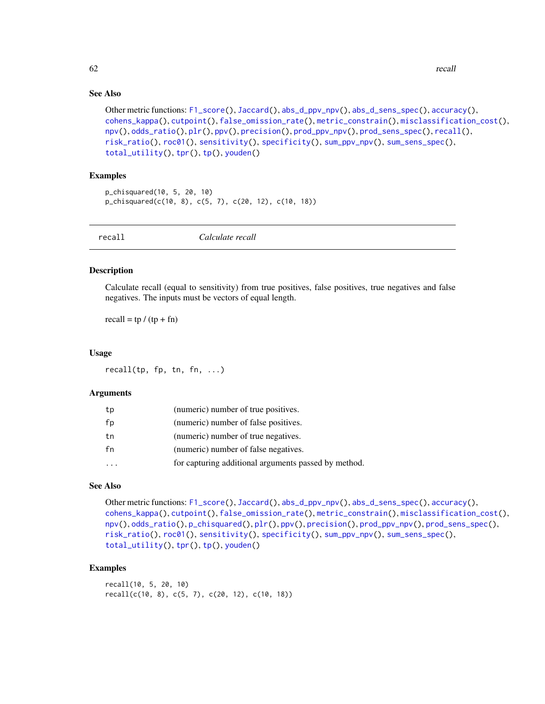## See Also

```
Other metric functions: F1_score(), Jaccard(), abs_d_ppv_npv(), abs_d_sens_spec(), accuracy(),
cohens_kappa(), cutpoint(), false_omission_rate(), metric_constrain(), misclassification_cost(),
npv(), odds_ratio(), plr(), ppv(), precision(), prod_ppv_npv(), prod_sens_spec(), recall(),
risk_ratio(), roc01(), sensitivity(), specificity(), sum_ppv_npv(), sum_sens_spec(),
total_utility(), tpr(), tp(), youden()
```
## Examples

```
p_chisquared(10, 5, 20, 10)
p_chisquared(c(10, 8), c(5, 7), c(20, 12), c(10, 18))
```
<span id="page-61-0"></span>recall *Calculate recall*

#### Description

Calculate recall (equal to sensitivity) from true positives, false positives, true negatives and false negatives. The inputs must be vectors of equal length.

recall =  $tp / (tp + fn)$ 

#### Usage

recall(tp, fp, tn, fn,  $\ldots$ )

#### Arguments

| tp | (numeric) number of true positives.                  |
|----|------------------------------------------------------|
| fp | (numeric) number of false positives.                 |
| tn | (numeric) number of true negatives.                  |
| fn | (numeric) number of false negatives.                 |
|    | for capturing additional arguments passed by method. |

#### See Also

```
Other metric functions: F1_score(), Jaccard(), abs_d_ppv_npv(), abs_d_sens_spec(), accuracy(),
cohens_kappa(), cutpoint(), false_omission_rate(), metric_constrain(), misclassification_cost(),
npv(), odds_ratio(), p_chisquared(), plr(), ppv(), precision(), prod_ppv_npv(), prod_sens_spec(),
risk_ratio(), roc01(), sensitivity(), specificity(), sum_ppv_npv(), sum_sens_spec(),
total_utility(), tpr(), tp(), youden()
```
## Examples

recall(10, 5, 20, 10) recall(c(10, 8), c(5, 7), c(20, 12), c(10, 18))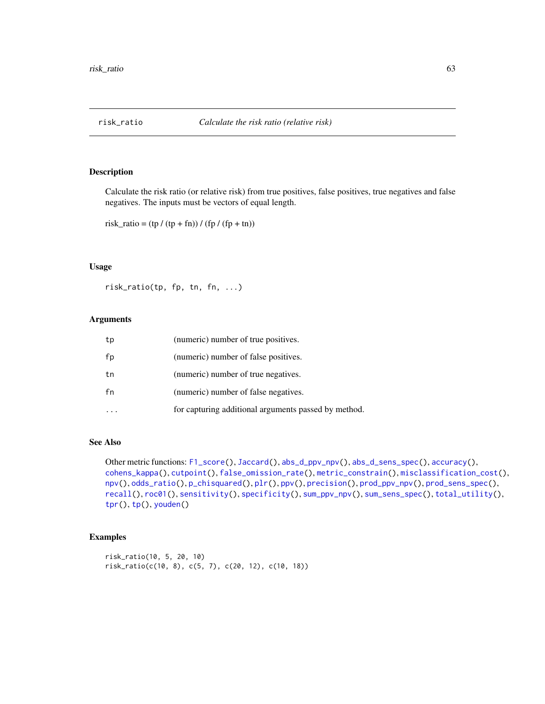<span id="page-62-0"></span>

Calculate the risk ratio (or relative risk) from true positives, false positives, true negatives and false negatives. The inputs must be vectors of equal length.

```
risk\_ratio = (tp / (tp + fn)) / (fp / (fp + tn))
```
## Usage

risk\_ratio(tp, fp, tn, fn, ...)

## Arguments

| tp | (numeric) number of true positives.                  |
|----|------------------------------------------------------|
| fp | (numeric) number of false positives.                 |
| tn | (numeric) number of true negatives.                  |
| fn | (numeric) number of false negatives.                 |
|    | for capturing additional arguments passed by method. |

## See Also

Other metric functions: [F1\\_score\(](#page-19-0)), [Jaccard\(](#page-21-0)), [abs\\_d\\_ppv\\_npv\(](#page-2-0)), [abs\\_d\\_sens\\_spec\(](#page-3-0)), [accuracy\(](#page-4-0)), [cohens\\_kappa\(](#page-9-0)), [cutpoint\(](#page-10-0)), [false\\_omission\\_rate\(](#page-20-0)), [metric\\_constrain\(](#page-33-0)), [misclassification\\_cost\(](#page-36-0)), [npv\(](#page-38-0)), [odds\\_ratio\(](#page-43-0)), [p\\_chisquared\(](#page-60-0)), [plr\(](#page-53-0)), [ppv\(](#page-54-0)), [precision\(](#page-55-0)), [prod\\_ppv\\_npv\(](#page-58-0)), [prod\\_sens\\_spec\(](#page-59-0)), [recall\(](#page-61-0)), [roc01\(](#page-64-0)), [sensitivity\(](#page-65-0)), [specificity\(](#page-66-0)), [sum\\_ppv\\_npv\(](#page-67-0)), [sum\\_sens\\_spec\(](#page-68-0)), [total\\_utility\(](#page-69-0)), [tpr\(](#page-71-0)), [tp\(](#page-70-0)), [youden\(](#page-72-0))

```
risk_ratio(10, 5, 20, 10)
risk_ratio(c(10, 8), c(5, 7), c(20, 12), c(10, 18))
```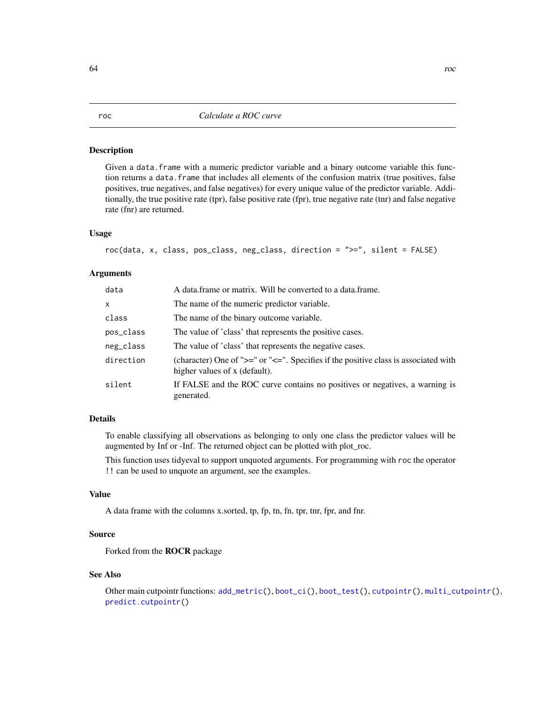Given a data.frame with a numeric predictor variable and a binary outcome variable this function returns a data. frame that includes all elements of the confusion matrix (true positives, false positives, true negatives, and false negatives) for every unique value of the predictor variable. Additionally, the true positive rate (tpr), false positive rate (fpr), true negative rate (tnr) and false negative rate (fnr) are returned.

#### Usage

roc(data, x, class, pos\_class, neg\_class, direction = ">=", silent = FALSE)

# Arguments

| data      | A data frame or matrix. Will be converted to a data frame.                                                                   |
|-----------|------------------------------------------------------------------------------------------------------------------------------|
| X         | The name of the numeric predictor variable.                                                                                  |
| class     | The name of the binary outcome variable.                                                                                     |
| pos_class | The value of 'class' that represents the positive cases.                                                                     |
| neg_class | The value of 'class' that represents the negative cases.                                                                     |
| direction | (character) One of " $>=$ " or " $<=$ ". Specifies if the positive class is associated with<br>higher values of x (default). |
| silent    | If FALSE and the ROC curve contains no positives or negatives, a warning is<br>generated.                                    |
|           |                                                                                                                              |

# Details

To enable classifying all observations as belonging to only one class the predictor values will be augmented by Inf or -Inf. The returned object can be plotted with plot\_roc.

This function uses tidyeval to support unquoted arguments. For programming with roc the operator !! can be used to unquote an argument, see the examples.

## Value

A data frame with the columns x.sorted, tp, fp, tn, fn, tpr, tnr, fpr, and fnr.

#### Source

Forked from the ROCR package

#### See Also

Other main cutpointr functions: [add\\_metric\(](#page-5-0)), [boot\\_ci\(](#page-6-0)), [boot\\_test\(](#page-7-0)), [cutpointr\(](#page-11-0)), [multi\\_cutpointr\(](#page-37-0)), [predict.cutpointr\(](#page-56-0))

## <span id="page-63-0"></span>64 rock and the state of the state of the state of the state of the state of the state of the state of the state of the state of the state of the state of the state of the state of the state of the state of the state of th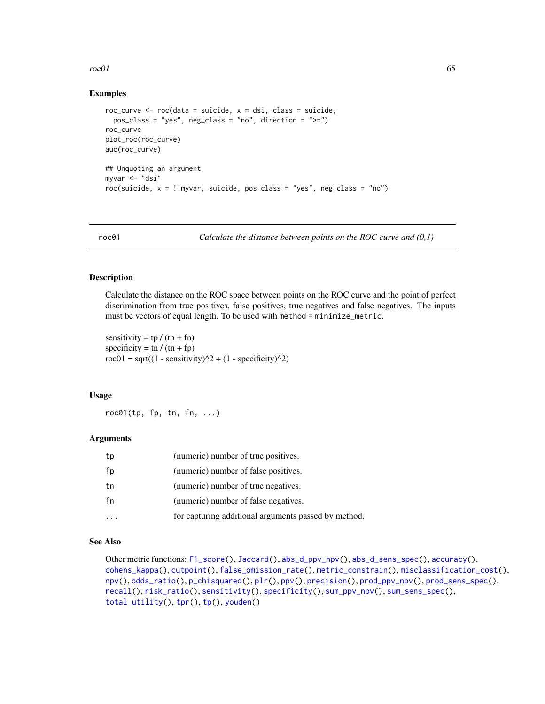#### $r_{\rm o}$  65

## Examples

```
roc_curve \leq roc(data = suicide, x = dsi, class = suicide,
 pos_class = "yes", neg_class = "no", direction = ">=")
roc_curve
plot_roc(roc_curve)
auc(roc_curve)
## Unquoting an argument
myvar <- "dsi"
roc(suicide, x = !!myvar, suicide, pos_class = "yes", neg_class = "no")
```
<span id="page-64-0"></span>roc01 *Calculate the distance between points on the ROC curve and (0,1)*

# Description

Calculate the distance on the ROC space between points on the ROC curve and the point of perfect discrimination from true positives, false positives, true negatives and false negatives. The inputs must be vectors of equal length. To be used with method = minimize\_metric.

sensitivity =  $tp / (tp + fn)$ specificity = tn /  $(tn + fp)$ roc $01 = \sqrt{(1 - \text{sensitivity})^2 + (1 - \text{specificity})^2}$ 

## Usage

 $roc@1(tp, fp, tn, fn, ...)$ 

## Arguments

| tp | (numeric) number of true positives.                  |
|----|------------------------------------------------------|
| fp | (numeric) number of false positives.                 |
| tn | (numeric) number of true negatives.                  |
| fn | (numeric) number of false negatives.                 |
|    | for capturing additional arguments passed by method. |

# See Also

```
Other metric functions: F1_score(), Jaccard(), abs_d_ppv_npv(), abs_d_sens_spec(), accuracy(),
cohens_kappa(), cutpoint(), false_omission_rate(), metric_constrain(), misclassification_cost(),
npv(), odds_ratio(), p_chisquared(), plr(), ppv(), precision(), prod_ppv_npv(), prod_sens_spec(),
recall(), risk_ratio(), sensitivity(), specificity(), sum_ppv_npv(), sum_sens_spec(),
total_utility(), tpr(), tp(), youden()
```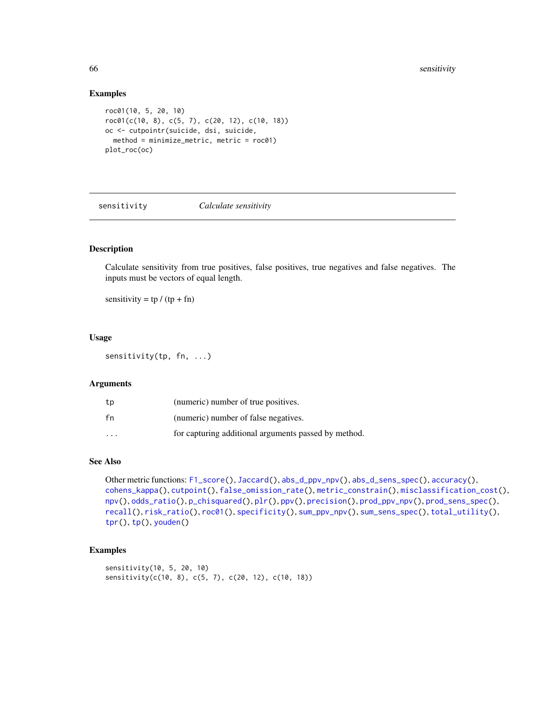#### Examples

```
roc01(10, 5, 20, 10)
roc01(c(10, 8), c(5, 7), c(20, 12), c(10, 18))
oc <- cutpointr(suicide, dsi, suicide,
  method = minimize_metric, metric = roc01)
plot_roc(oc)
```
<span id="page-65-0"></span>

sensitivity *Calculate sensitivity*

# Description

Calculate sensitivity from true positives, false positives, true negatives and false negatives. The inputs must be vectors of equal length.

sensitivity =  $tp / (tp + fn)$ 

#### Usage

sensitivity(tp, fn, ...)

#### Arguments

| tp                      | (numeric) number of true positives.                  |
|-------------------------|------------------------------------------------------|
| fn                      | (numeric) number of false negatives.                 |
| $\cdot$ $\cdot$ $\cdot$ | for capturing additional arguments passed by method. |

## See Also

```
Other metric functions: F1_score(), Jaccard(), abs_d_ppv_npv(), abs_d_sens_spec(), accuracy(),
cohens_kappa(), cutpoint(), false_omission_rate(), metric_constrain(), misclassification_cost(),
npv(), odds_ratio(), p_chisquared(), plr(), ppv(), precision(), prod_ppv_npv(), prod_sens_spec(),
recall(), risk_ratio(), roc01(), specificity(), sum_ppv_npv(), sum_sens_spec(), total_utility(),
tpr(), tp(), youden()
```

```
sensitivity(10, 5, 20, 10)
sensitivity(c(10, 8), c(5, 7), c(20, 12), c(10, 18))
```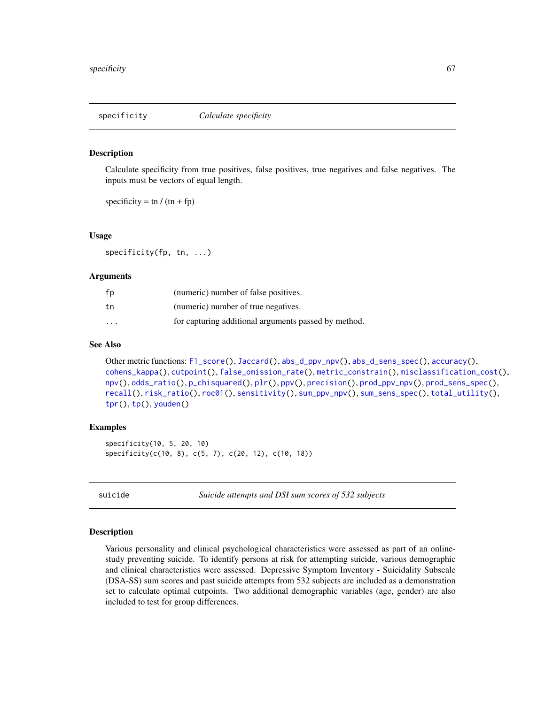<span id="page-66-0"></span>

Calculate specificity from true positives, false positives, true negatives and false negatives. The inputs must be vectors of equal length.

specificity = tn /  $(tn + fp)$ 

## Usage

specificity(fp, tn, ...)

#### **Arguments**

| fp                      | (numeric) number of false positives.                 |
|-------------------------|------------------------------------------------------|
| tn                      | (numeric) number of true negatives.                  |
| $\cdot$ $\cdot$ $\cdot$ | for capturing additional arguments passed by method. |

## See Also

```
Other metric functions: F1_score(), Jaccard(), abs_d_ppv_npv(), abs_d_sens_spec(), accuracy(),
cohens_kappa(), cutpoint(), false_omission_rate(), metric_constrain(), misclassification_cost(),
npv(), odds_ratio(), p_chisquared(), plr(), ppv(), precision(), prod_ppv_npv(), prod_sens_spec(),
recall(), risk_ratio(), roc01(), sensitivity(), sum_ppv_npv(), sum_sens_spec(), total_utility(),
tpr(), tp(), youden()
```
#### Examples

```
specificity(10, 5, 20, 10)
specificity(c(10, 8), c(5, 7), c(20, 12), c(10, 18))
```
suicide *Suicide attempts and DSI sum scores of 532 subjects*

#### Description

Various personality and clinical psychological characteristics were assessed as part of an onlinestudy preventing suicide. To identify persons at risk for attempting suicide, various demographic and clinical characteristics were assessed. Depressive Symptom Inventory - Suicidality Subscale (DSA-SS) sum scores and past suicide attempts from 532 subjects are included as a demonstration set to calculate optimal cutpoints. Two additional demographic variables (age, gender) are also included to test for group differences.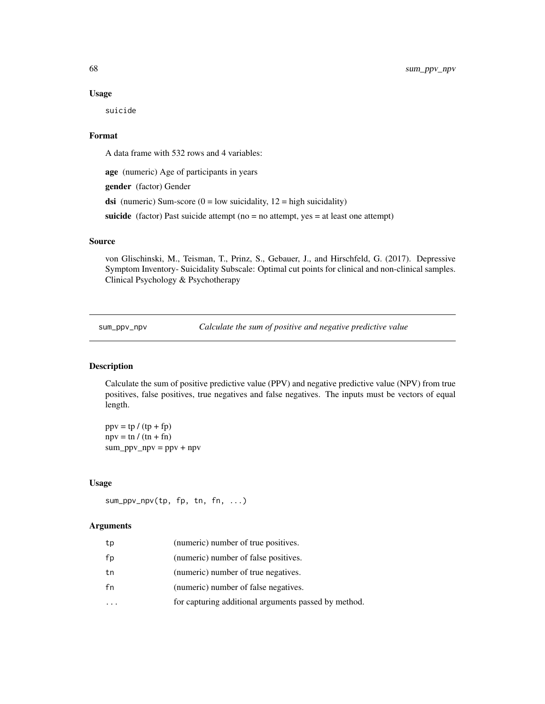#### Usage

suicide

## Format

A data frame with 532 rows and 4 variables:

age (numeric) Age of participants in years gender (factor) Gender dsi (numeric) Sum-score ( $0 =$  low suicidality,  $12 =$  high suicidality)

suicide (factor) Past suicide attempt ( $no = no$  attempt, yes  $=$  at least one attempt)

## Source

von Glischinski, M., Teisman, T., Prinz, S., Gebauer, J., and Hirschfeld, G. (2017). Depressive Symptom Inventory- Suicidality Subscale: Optimal cut points for clinical and non-clinical samples. Clinical Psychology & Psychotherapy

<span id="page-67-0"></span>sum\_ppv\_npv *Calculate the sum of positive and negative predictive value*

# Description

Calculate the sum of positive predictive value (PPV) and negative predictive value (NPV) from true positives, false positives, true negatives and false negatives. The inputs must be vectors of equal length.

 $ppv = tp / (tp + fp)$  $npv = \text{tn } / (\text{tn } + \text{fn})$  $sum\_ppv\_npv = ppv + npv$ 

#### Usage

sum\_ppv\_npv(tp, fp, tn, fn, ...)

#### Arguments

| tp | (numeric) number of true positives.                  |
|----|------------------------------------------------------|
| fp | (numeric) number of false positives.                 |
| tn | (numeric) number of true negatives.                  |
| fn | (numeric) number of false negatives.                 |
|    | for capturing additional arguments passed by method. |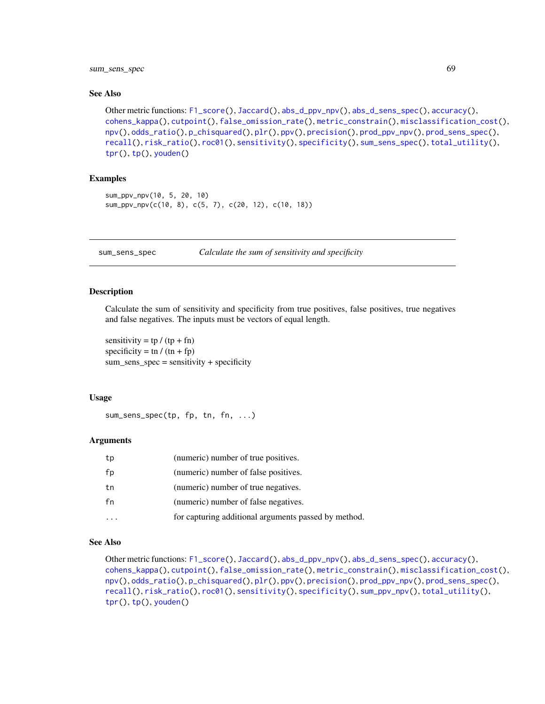# sum\_sens\_spec 69

#### See Also

```
Other metric functions: F1_score(), Jaccard(), abs_d_ppv_npv(), abs_d_sens_spec(), accuracy(),
cohens_kappa(), cutpoint(), false_omission_rate(), metric_constrain(), misclassification_cost(),
npv(), odds_ratio(), p_chisquared(), plr(), ppv(), precision(), prod_ppv_npv(), prod_sens_spec(),
recall(), risk_ratio(), roc01(), sensitivity(), specificity(), sum_sens_spec(), total_utility(),
tpr(), tp(), youden()
```
## Examples

```
sum_ppv_npv(10, 5, 20, 10)
sum_ppv_npv(c(10, 8), c(5, 7), c(20, 12), c(10, 18))
```
<span id="page-68-0"></span>sum\_sens\_spec *Calculate the sum of sensitivity and specificity*

#### Description

Calculate the sum of sensitivity and specificity from true positives, false positives, true negatives and false negatives. The inputs must be vectors of equal length.

sensitivity =  $tp / (tp + fn)$ specificity = tn /  $(tn + fp)$ sum\_sens\_spec = sensitivity + specificity

#### Usage

```
sum_sens_spec(tp, fp, tn, fn, ...)
```
#### Arguments

| tp | (numeric) number of true positives.                  |
|----|------------------------------------------------------|
| fp | (numeric) number of false positives.                 |
| tn | (numeric) number of true negatives.                  |
| fn | (numeric) number of false negatives.                 |
|    | for capturing additional arguments passed by method. |

# See Also

```
Other metric functions: F1_score(), Jaccard(), abs_d_ppv_npv(), abs_d_sens_spec(), accuracy(),
cohens_kappa(), cutpoint(), false_omission_rate(), metric_constrain(), misclassification_cost(),
npv(), odds_ratio(), p_chisquared(), plr(), ppv(), precision(), prod_ppv_npv(), prod_sens_spec(),
recall(), risk_ratio(), roc01(), sensitivity(), specificity(), sum_ppv_npv(), total_utility(),
tpr(), tp(), youden()
```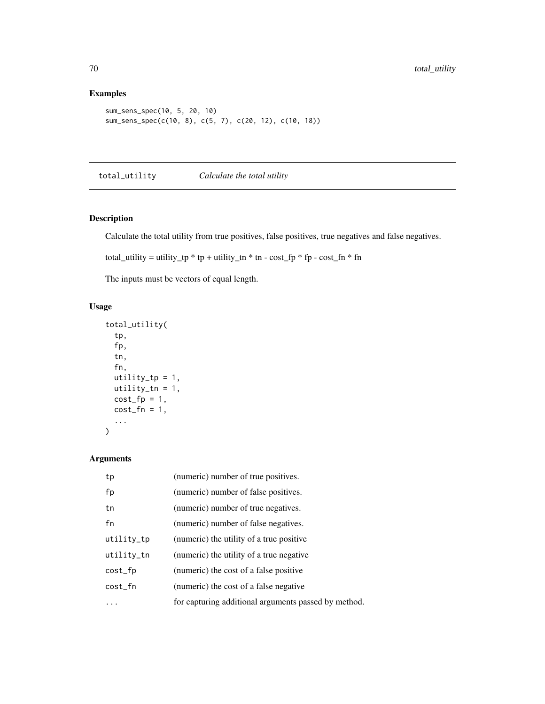# Examples

```
sum_sens_spec(10, 5, 20, 10)
sum_sens_spec(c(10, 8), c(5, 7), c(20, 12), c(10, 18))
```
<span id="page-69-0"></span>total\_utility *Calculate the total utility*

# Description

Calculate the total utility from true positives, false positives, true negatives and false negatives.

total\_utility = utility\_tp \* tp + utility\_tn \* tn - cost\_fp \* fp - cost\_fn \* fn

The inputs must be vectors of equal length.

# Usage

```
total_utility(
  tp,
  fp,
  tn,
  fn,
 utility_tp = 1,
 utility_tn = 1,
 cost_fp = 1,
 cost_fn = 1,
  ...
)
```
# Arguments

| tp         | (numeric) number of true positives.                  |
|------------|------------------------------------------------------|
| fp         | (numeric) number of false positives.                 |
| tn         | (numeric) number of true negatives.                  |
| fn         | (numeric) number of false negatives.                 |
| utility_tp | (numeric) the utility of a true positive             |
| utility_tn | (numeric) the utility of a true negative             |
| cost_fp    | (numeric) the cost of a false positive               |
| cost_fn    | (numeric) the cost of a false negative               |
|            | for capturing additional arguments passed by method. |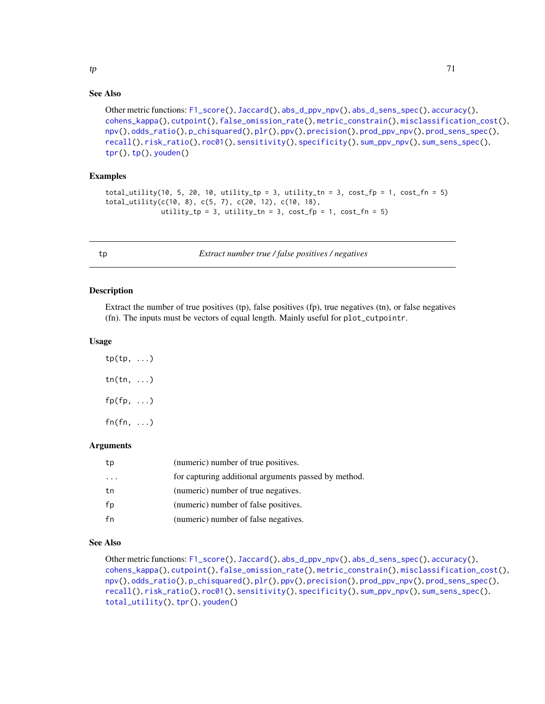# See Also

```
Other metric functions: F1_score(), Jaccard(), abs_d_ppv_npv(), abs_d_sens_spec(), accuracy(),
cohens_kappa(), cutpoint(), false_omission_rate(), metric_constrain(), misclassification_cost(),
npv(), odds_ratio(), p_chisquared(), plr(), ppv(), precision(), prod_ppv_npv(), prod_sens_spec(),
recall(), risk_ratio(), roc01(), sensitivity(), specificity(), sum_ppv_npv(), sum_sens_spec(),
tpr(tp(youden()
```
# Examples

```
total_utility(10, 5, 20, 10, utility_tp = 3, utility_tn = 3, cost_fp = 1, cost_fn = 5)
total_utility(c(10, 8), c(5, 7), c(20, 12), c(10, 18),
             utility_tp = 3, utility_tn = 3, cost_f = 1, cost_f = 5)
```
<span id="page-70-0"></span>tp *Extract number true / false positives / negatives*

#### **Description**

Extract the number of true positives (tp), false positives (fp), true negatives (tn), or false negatives (fn). The inputs must be vectors of equal length. Mainly useful for plot\_cutpointr.

#### Usage

| $tp(tp, \ldots)$ |            |
|------------------|------------|
| $tn(tn, \ldots)$ |            |
| $fp(fp, \ldots)$ |            |
| fn(fn,           | $\ldots$ ) |

## Arguments

| tp | (numeric) number of true positives.                  |
|----|------------------------------------------------------|
|    | for capturing additional arguments passed by method. |
| tn | (numeric) number of true negatives.                  |
| fp | (numeric) number of false positives.                 |
| fn | (numeric) number of false negatives.                 |

# See Also

```
Other metric functions: F1_score(), Jaccard(), abs_d_ppv_npv(), abs_d_sens_spec(), accuracy(),
cohens_kappa(), cutpoint(), false_omission_rate(), metric_constrain(), misclassification_cost(),
npv(), odds_ratio(), p_chisquared(), plr(), ppv(), precision(), prod_ppv_npv(), prod_sens_spec(),
recall(), risk_ratio(), roc01(), sensitivity(), specificity(), sum_ppv_npv(), sum_sens_spec(),
total_utility(), tpr(), youden()
```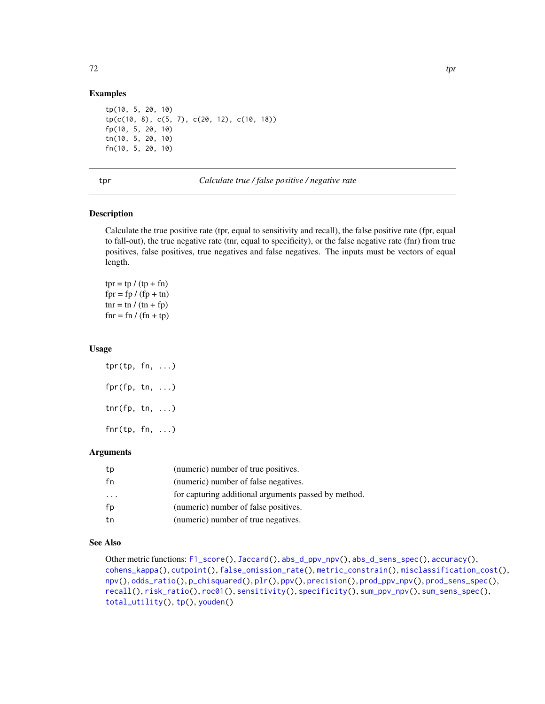## Examples

```
tp(10, 5, 20, 10)
tp(c(10, 8), c(5, 7), c(20, 12), c(10, 18))
fp(10, 5, 20, 10)
tn(10, 5, 20, 10)
fn(10, 5, 20, 10)
```
<span id="page-71-0"></span>tpr *Calculate true / false positive / negative rate*

#### Description

Calculate the true positive rate (tpr, equal to sensitivity and recall), the false positive rate (fpr, equal to fall-out), the true negative rate (tnr, equal to specificity), or the false negative rate (fnr) from true positives, false positives, true negatives and false negatives. The inputs must be vectors of equal length.

 $tpr = tp / (tp + fn)$  $fpr = fp / (fp + tn)$ tnr = tn /  $(tn + fp)$  $fnr = fn / (fn + tp)$ 

#### Usage

tpr(tp, fn, ...)  $fpr(fp, tn, ...)$  $\text{tnr}(fp, tn, ...)$ fnr(tp, fn, ...)

#### Arguments

| tp | (numeric) number of true positives.                  |
|----|------------------------------------------------------|
| fn | (numeric) number of false negatives.                 |
| .  | for capturing additional arguments passed by method. |
| fp | (numeric) number of false positives.                 |
| tn | (numeric) number of true negatives.                  |

# See Also

```
Other metric functions: F1_score(), Jaccard(), abs_d_ppv_npv(), abs_d_sens_spec(), accuracy(),
cohens_kappa(), cutpoint(), false_omission_rate(), metric_constrain(), misclassification_cost(),
npv(), odds_ratio(), p_chisquared(), plr(), ppv(), precision(), prod_ppv_npv(), prod_sens_spec(),
recall(), risk_ratio(), roc01(), sensitivity(), specificity(), sum_ppv_npv(), sum_sens_spec(),
total_utility(), tp(), youden()
```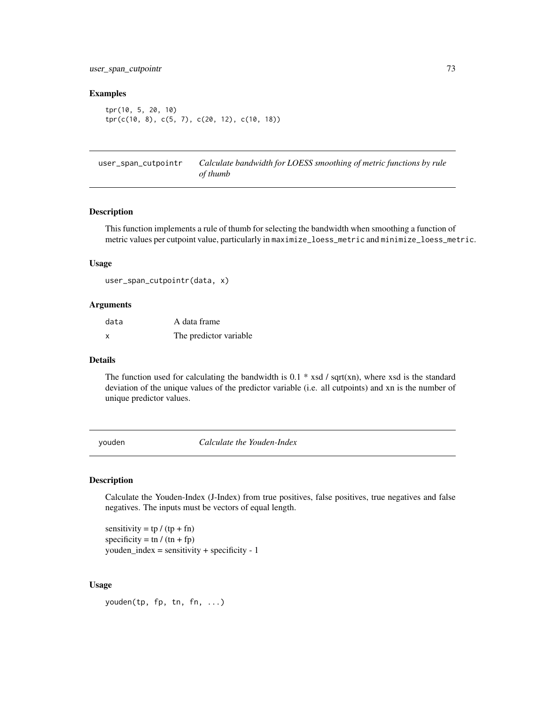#### <span id="page-72-0"></span>Examples

tpr(10, 5, 20, 10) tpr(c(10, 8), c(5, 7), c(20, 12), c(10, 18))

user\_span\_cutpointr *Calculate bandwidth for LOESS smoothing of metric functions by rule of thumb*

### Description

This function implements a rule of thumb for selecting the bandwidth when smoothing a function of metric values per cutpoint value, particularly in maximize\_loess\_metric and minimize\_loess\_metric.

## Usage

user\_span\_cutpointr(data, x)

#### Arguments

| data | A data frame           |
|------|------------------------|
| x    | The predictor variable |

#### Details

The function used for calculating the bandwidth is 0.1  $*$  xsd / sqrt(xn), where xsd is the standard deviation of the unique values of the predictor variable (i.e. all cutpoints) and xn is the number of unique predictor values.

youden *Calculate the Youden-Index*

#### Description

Calculate the Youden-Index (J-Index) from true positives, false positives, true negatives and false negatives. The inputs must be vectors of equal length.

sensitivity =  $tp / (tp + fn)$ specificity = tn /  $(tn + fp)$  $youden_index = sensitivity + specificity - 1$ 

#### Usage

youden(tp, fp, tn, fn, ...)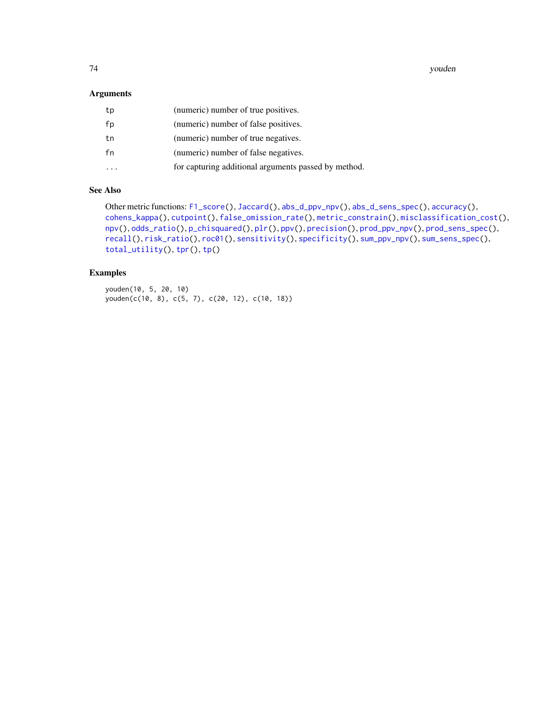<span id="page-73-0"></span>74 youden

## Arguments

| tp | (numeric) number of true positives.                  |
|----|------------------------------------------------------|
| fp | (numeric) number of false positives.                 |
| tn | (numeric) number of true negatives.                  |
| fn | (numeric) number of false negatives.                 |
|    | for capturing additional arguments passed by method. |

## See Also

```
Other metric functions: F1_score(), Jaccard(), abs_d_ppv_npv(), abs_d_sens_spec(), accuracy(),
cohens_kappa(), cutpoint(), false_omission_rate(), metric_constrain(), misclassification_cost(),
npv(), odds_ratio(), p_chisquared(), plr(), ppv(), precision(), prod_ppv_npv(), prod_sens_spec(),
recall(), risk_ratio(), roc01(), sensitivity(), specificity(), sum_ppv_npv(), sum_sens_spec(),
total_utility(), tpr(), tp()
```
## Examples

youden(10, 5, 20, 10) youden(c(10, 8), c(5, 7), c(20, 12), c(10, 18))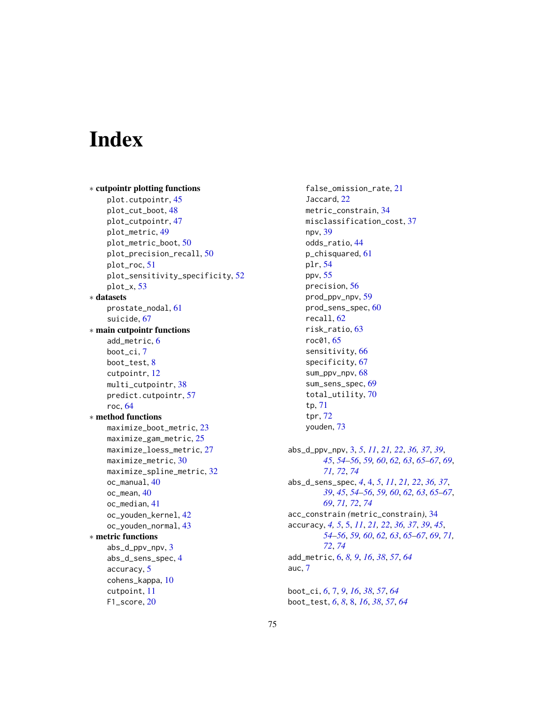# **Index**

```
∗ cutpointr plotting functions
    plot.cutpointr, 45
    plot_cut_boot, 48
    plot_cutpointr, 47
    plot_metric, 49
    plot_metric_boot, 50
    plot_precision_recall, 50
    plot_roc, 51
    plot_sensitivity_specificity, 52
    plot_x, 53
∗ datasets
    prostate_nodal, 61
    suicide, 67
∗ main cutpointr functions
    add_metric, 6
    boot_ci, 7
    boot_test, 8
    cutpointr, 12
    multi_cutpointr, 38
    predict.cutpointr, 57
    roc, 64
∗ method functions
    maximize_boot_metric, 23
    maximize_gam_metric, 25
    maximize_loess_metric, 27
    maximize_metric, 30
    maximize_spline_metric, 32
    oc_manual, 40
    oc_mean, 40
    oc_median, 41
    oc_youden_kernel, 42
    oc_youden_normal, 43
∗ metric functions
    abs_d_ppv_npv, 3
    abs_d_sens_spec, 4
    accuracy, 5
    cohens_kappa, 10
    cutpoint, 11
    F1_score, 20
```
false\_omission\_rate, [21](#page-20-1) Jaccard, [22](#page-21-1) metric\_constrain, [34](#page-33-1) misclassification\_cost, [37](#page-36-1) npv, [39](#page-38-1) odds\_ratio, [44](#page-43-1) p\_chisquared, [61](#page-60-1) plr, [54](#page-53-1) ppv, [55](#page-54-1) precision, [56](#page-55-1) prod\_ppv\_npv, [59](#page-58-1) prod\_sens\_spec, [60](#page-59-1) recall, [62](#page-61-1) risk\_ratio, [63](#page-62-1) roc01, [65](#page-64-1) sensitivity, [66](#page-65-1) specificity, [67](#page-66-1) sum\_ppv\_npv, [68](#page-67-1) sum\_sens\_spec, [69](#page-68-1) total\_utility, [70](#page-69-1) tp, [71](#page-70-1) tpr, [72](#page-71-1) youden, [73](#page-72-0) abs\_d\_ppv\_npv, [3,](#page-2-1) *[5](#page-4-1)*, *[11](#page-10-1)*, *[21,](#page-20-1) [22](#page-21-1)*, *[36,](#page-35-0) [37](#page-36-1)*, *[39](#page-38-1)*, *[45](#page-44-0)*, *[54](#page-53-1)[–56](#page-55-1)*, *[59,](#page-58-1) [60](#page-59-1)*, *[62,](#page-61-1) [63](#page-62-1)*, *[65](#page-64-1)[–67](#page-66-1)*, *[69](#page-68-1)*, *[71,](#page-70-1) [72](#page-71-1)*, *[74](#page-73-0)* abs\_d\_sens\_spec, *[4](#page-3-1)*, [4,](#page-3-1) *[5](#page-4-1)*, *[11](#page-10-1)*, *[21,](#page-20-1) [22](#page-21-1)*, *[36,](#page-35-0) [37](#page-36-1)*, *[39](#page-38-1)*, *[45](#page-44-0)*, *[54](#page-53-1)[–56](#page-55-1)*, *[59,](#page-58-1) [60](#page-59-1)*, *[62,](#page-61-1) [63](#page-62-1)*, *[65](#page-64-1)[–67](#page-66-1)*, *[69](#page-68-1)*, *[71,](#page-70-1) [72](#page-71-1)*, *[74](#page-73-0)* acc\_constrain *(*metric\_constrain*)*, [34](#page-33-1) accuracy, *[4,](#page-3-1) [5](#page-4-1)*, [5,](#page-4-1) *[11](#page-10-1)*, *[21,](#page-20-1) [22](#page-21-1)*, *[36,](#page-35-0) [37](#page-36-1)*, *[39](#page-38-1)*, *[45](#page-44-0)*, *[54](#page-53-1)[–56](#page-55-1)*, *[59,](#page-58-1) [60](#page-59-1)*, *[62,](#page-61-1) [63](#page-62-1)*, *[65](#page-64-1)[–67](#page-66-1)*, *[69](#page-68-1)*, *[71,](#page-70-1) [72](#page-71-1)*, *[74](#page-73-0)* add\_metric, [6,](#page-5-0) *[8,](#page-7-0) [9](#page-8-0)*, *[16](#page-15-0)*, *[38](#page-37-0)*, *[57](#page-56-0)*, *[64](#page-63-0)* auc, [7](#page-6-0)

boot\_ci, *[6](#page-5-0)*, [7,](#page-6-0) *[9](#page-8-0)*, *[16](#page-15-0)*, *[38](#page-37-0)*, *[57](#page-56-0)*, *[64](#page-63-0)* boot\_test, *[6](#page-5-0)*, *[8](#page-7-0)*, [8,](#page-7-0) *[16](#page-15-0)*, *[38](#page-37-0)*, *[57](#page-56-0)*, *[64](#page-63-0)*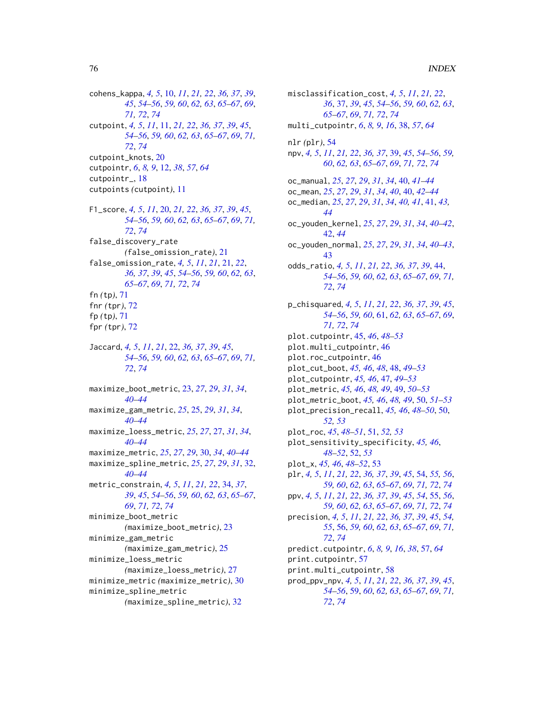cohens\_kappa, *[4,](#page-3-1) [5](#page-4-1)*, [10,](#page-9-1) *[11](#page-10-1)*, *[21,](#page-20-1) [22](#page-21-1)*, *[36,](#page-35-0) [37](#page-36-1)*, *[39](#page-38-1)*, *[45](#page-44-0)*, *[54](#page-53-1)[–56](#page-55-1)*, *[59,](#page-58-1) [60](#page-59-1)*, *[62,](#page-61-1) [63](#page-62-1)*, *[65–](#page-64-1)[67](#page-66-1)*, *[69](#page-68-1)*, *[71,](#page-70-1) [72](#page-71-1)*, *[74](#page-73-0)* cutpoint, *[4,](#page-3-1) [5](#page-4-1)*, *[11](#page-10-1)*, [11,](#page-10-1) *[21,](#page-20-1) [22](#page-21-1)*, *[36,](#page-35-0) [37](#page-36-1)*, *[39](#page-38-1)*, *[45](#page-44-0)*, *[54](#page-53-1)[–56](#page-55-1)*, *[59,](#page-58-1) [60](#page-59-1)*, *[62,](#page-61-1) [63](#page-62-1)*, *[65–](#page-64-1)[67](#page-66-1)*, *[69](#page-68-1)*, *[71,](#page-70-1) [72](#page-71-1)*, *[74](#page-73-0)* cutpoint\_knots, [20](#page-19-1) cutpointr, *[6](#page-5-0)*, *[8,](#page-7-0) [9](#page-8-0)*, [12,](#page-11-0) *[38](#page-37-0)*, *[57](#page-56-0)*, *[64](#page-63-0)* cutpointr\_, [18](#page-17-0) cutpoints *(*cutpoint*)*, [11](#page-10-1) F1\_score, *[4,](#page-3-1) [5](#page-4-1)*, *[11](#page-10-1)*, [20,](#page-19-1) *[21,](#page-20-1) [22](#page-21-1)*, *[36,](#page-35-0) [37](#page-36-1)*, *[39](#page-38-1)*, *[45](#page-44-0)*, *[54](#page-53-1)[–56](#page-55-1)*, *[59,](#page-58-1) [60](#page-59-1)*, *[62,](#page-61-1) [63](#page-62-1)*, *[65–](#page-64-1)[67](#page-66-1)*, *[69](#page-68-1)*, *[71,](#page-70-1) [72](#page-71-1)*, *[74](#page-73-0)* false\_discovery\_rate *(*false\_omission\_rate*)*, [21](#page-20-1) false\_omission\_rate, *[4,](#page-3-1) [5](#page-4-1)*, *[11](#page-10-1)*, *[21](#page-20-1)*, [21,](#page-20-1) *[22](#page-21-1)*, *[36,](#page-35-0) [37](#page-36-1)*, *[39](#page-38-1)*, *[45](#page-44-0)*, *[54–](#page-53-1)[56](#page-55-1)*, *[59,](#page-58-1) [60](#page-59-1)*, *[62,](#page-61-1) [63](#page-62-1)*, *[65](#page-64-1)[–67](#page-66-1)*, *[69](#page-68-1)*, *[71,](#page-70-1) [72](#page-71-1)*, *[74](#page-73-0)* fn *(*tp*)*, [71](#page-70-1) fnr *(*tpr*)*, [72](#page-71-1) fp *(*tp*)*, [71](#page-70-1) fpr *(*tpr*)*, [72](#page-71-1) Jaccard, *[4,](#page-3-1) [5](#page-4-1)*, *[11](#page-10-1)*, *[21](#page-20-1)*, [22,](#page-21-1) *[36,](#page-35-0) [37](#page-36-1)*, *[39](#page-38-1)*, *[45](#page-44-0)*, *[54](#page-53-1)[–56](#page-55-1)*, *[59,](#page-58-1) [60](#page-59-1)*, *[62,](#page-61-1) [63](#page-62-1)*, *[65–](#page-64-1)[67](#page-66-1)*, *[69](#page-68-1)*, *[71,](#page-70-1) [72](#page-71-1)*, *[74](#page-73-0)* maximize\_boot\_metric, [23,](#page-22-0) *[27](#page-26-0)*, *[29](#page-28-0)*, *[31](#page-30-0)*, *[34](#page-33-1)*, *[40](#page-39-0)[–44](#page-43-1)* maximize\_gam\_metric, *[25](#page-24-0)*, [25,](#page-24-0) *[29](#page-28-0)*, *[31](#page-30-0)*, *[34](#page-33-1)*, *[40](#page-39-0)[–44](#page-43-1)* maximize\_loess\_metric, *[25](#page-24-0)*, *[27](#page-26-0)*, [27,](#page-26-0) *[31](#page-30-0)*, *[34](#page-33-1)*, *[40](#page-39-0)[–44](#page-43-1)* maximize\_metric, *[25](#page-24-0)*, *[27](#page-26-0)*, *[29](#page-28-0)*, [30,](#page-29-0) *[34](#page-33-1)*, *[40–](#page-39-0)[44](#page-43-1)* maximize\_spline\_metric, *[25](#page-24-0)*, *[27](#page-26-0)*, *[29](#page-28-0)*, *[31](#page-30-0)*, [32,](#page-31-0) *[40](#page-39-0)[–44](#page-43-1)* metric\_constrain, *[4,](#page-3-1) [5](#page-4-1)*, *[11](#page-10-1)*, *[21,](#page-20-1) [22](#page-21-1)*, [34,](#page-33-1) *[37](#page-36-1)*,

*[39](#page-38-1)*, *[45](#page-44-0)*, *[54](#page-53-1)[–56](#page-55-1)*, *[59,](#page-58-1) [60](#page-59-1)*, *[62,](#page-61-1) [63](#page-62-1)*, *[65–](#page-64-1)[67](#page-66-1)*, *[69](#page-68-1)*, *[71,](#page-70-1) [72](#page-71-1)*, *[74](#page-73-0)* minimize\_boot\_metric *(*maximize\_boot\_metric*)*, [23](#page-22-0) minimize\_gam\_metric *(*maximize\_gam\_metric*)*, [25](#page-24-0) minimize\_loess\_metric *(*maximize\_loess\_metric*)*, [27](#page-26-0) minimize\_metric *(*maximize\_metric*)*, [30](#page-29-0) minimize\_spline\_metric *(*maximize\_spline\_metric*)*, [32](#page-31-0)

misclassification\_cost, *[4,](#page-3-1) [5](#page-4-1)*, *[11](#page-10-1)*, *[21,](#page-20-1) [22](#page-21-1)*, *[36](#page-35-0)*, [37,](#page-36-1) *[39](#page-38-1)*, *[45](#page-44-0)*, *[54](#page-53-1)[–56](#page-55-1)*, *[59,](#page-58-1) [60](#page-59-1)*, *[62,](#page-61-1) [63](#page-62-1)*, *[65](#page-64-1)[–67](#page-66-1)*, *[69](#page-68-1)*, *[71,](#page-70-1) [72](#page-71-1)*, *[74](#page-73-0)* multi\_cutpointr, *[6](#page-5-0)*, *[8,](#page-7-0) [9](#page-8-0)*, *[16](#page-15-0)*, [38,](#page-37-0) *[57](#page-56-0)*, *[64](#page-63-0)* nlr *(*plr*)*, [54](#page-53-1) npv, *[4,](#page-3-1) [5](#page-4-1)*, *[11](#page-10-1)*, *[21,](#page-20-1) [22](#page-21-1)*, *[36,](#page-35-0) [37](#page-36-1)*, [39,](#page-38-1) *[45](#page-44-0)*, *[54](#page-53-1)[–56](#page-55-1)*, *[59,](#page-58-1) [60](#page-59-1)*, *[62,](#page-61-1) [63](#page-62-1)*, *[65](#page-64-1)[–67](#page-66-1)*, *[69](#page-68-1)*, *[71,](#page-70-1) [72](#page-71-1)*, *[74](#page-73-0)* oc\_manual, *[25](#page-24-0)*, *[27](#page-26-0)*, *[29](#page-28-0)*, *[31](#page-30-0)*, *[34](#page-33-1)*, [40,](#page-39-0) *[41](#page-40-0)[–44](#page-43-1)* oc\_mean, *[25](#page-24-0)*, *[27](#page-26-0)*, *[29](#page-28-0)*, *[31](#page-30-0)*, *[34](#page-33-1)*, *[40](#page-39-0)*, [40,](#page-39-0) *[42](#page-41-0)[–44](#page-43-1)* oc\_median, *[25](#page-24-0)*, *[27](#page-26-0)*, *[29](#page-28-0)*, *[31](#page-30-0)*, *[34](#page-33-1)*, *[40,](#page-39-0) [41](#page-40-0)*, [41,](#page-40-0) *[43,](#page-42-0) [44](#page-43-1)* oc\_youden\_kernel, *[25](#page-24-0)*, *[27](#page-26-0)*, *[29](#page-28-0)*, *[31](#page-30-0)*, *[34](#page-33-1)*, *[40](#page-39-0)[–42](#page-41-0)*, [42,](#page-41-0) *[44](#page-43-1)* oc\_youden\_normal, *[25](#page-24-0)*, *[27](#page-26-0)*, *[29](#page-28-0)*, *[31](#page-30-0)*, *[34](#page-33-1)*, *[40](#page-39-0)[–43](#page-42-0)*, [43](#page-42-0) odds\_ratio, *[4,](#page-3-1) [5](#page-4-1)*, *[11](#page-10-1)*, *[21,](#page-20-1) [22](#page-21-1)*, *[36,](#page-35-0) [37](#page-36-1)*, *[39](#page-38-1)*, [44,](#page-43-1) *[54](#page-53-1)[–56](#page-55-1)*, *[59,](#page-58-1) [60](#page-59-1)*, *[62,](#page-61-1) [63](#page-62-1)*, *[65](#page-64-1)[–67](#page-66-1)*, *[69](#page-68-1)*, *[71,](#page-70-1) [72](#page-71-1)*, *[74](#page-73-0)* p\_chisquared, *[4,](#page-3-1) [5](#page-4-1)*, *[11](#page-10-1)*, *[21,](#page-20-1) [22](#page-21-1)*, *[36,](#page-35-0) [37](#page-36-1)*, *[39](#page-38-1)*, *[45](#page-44-0)*, *[54](#page-53-1)[–56](#page-55-1)*, *[59,](#page-58-1) [60](#page-59-1)*, [61,](#page-60-1) *[62,](#page-61-1) [63](#page-62-1)*, *[65](#page-64-1)[–67](#page-66-1)*, *[69](#page-68-1)*, *[71,](#page-70-1) [72](#page-71-1)*, *[74](#page-73-0)* plot.cutpointr, [45,](#page-44-0) *[46](#page-45-0)*, *[48](#page-47-0)[–53](#page-52-0)* plot.multi\_cutpointr, [46](#page-45-0) plot.roc\_cutpointr, [46](#page-45-0) plot\_cut\_boot, *[45,](#page-44-0) [46](#page-45-0)*, *[48](#page-47-0)*, [48,](#page-47-0) *[49](#page-48-0)[–53](#page-52-0)* plot\_cutpointr, *[45,](#page-44-0) [46](#page-45-0)*, [47,](#page-46-0) *[49](#page-48-0)[–53](#page-52-0)* plot\_metric, *[45,](#page-44-0) [46](#page-45-0)*, *[48,](#page-47-0) [49](#page-48-0)*, [49,](#page-48-0) *[50](#page-49-0)[–53](#page-52-0)* plot\_metric\_boot, *[45,](#page-44-0) [46](#page-45-0)*, *[48,](#page-47-0) [49](#page-48-0)*, [50,](#page-49-0) *[51](#page-50-0)[–53](#page-52-0)* plot\_precision\_recall, *[45,](#page-44-0) [46](#page-45-0)*, *[48](#page-47-0)[–50](#page-49-0)*, [50,](#page-49-0) *[52,](#page-51-0) [53](#page-52-0)* plot\_roc, *[45](#page-44-0)*, *[48](#page-47-0)[–51](#page-50-0)*, [51,](#page-50-0) *[52,](#page-51-0) [53](#page-52-0)* plot\_sensitivity\_specificity, *[45,](#page-44-0) [46](#page-45-0)*, *[48](#page-47-0)[–52](#page-51-0)*, [52,](#page-51-0) *[53](#page-52-0)* plot\_x, *[45,](#page-44-0) [46](#page-45-0)*, *[48](#page-47-0)[–52](#page-51-0)*, [53](#page-52-0) plr, *[4,](#page-3-1) [5](#page-4-1)*, *[11](#page-10-1)*, *[21,](#page-20-1) [22](#page-21-1)*, *[36,](#page-35-0) [37](#page-36-1)*, *[39](#page-38-1)*, *[45](#page-44-0)*, [54,](#page-53-1) *[55,](#page-54-1) [56](#page-55-1)*, *[59,](#page-58-1) [60](#page-59-1)*, *[62,](#page-61-1) [63](#page-62-1)*, *[65](#page-64-1)[–67](#page-66-1)*, *[69](#page-68-1)*, *[71,](#page-70-1) [72](#page-71-1)*, *[74](#page-73-0)* ppv, *[4,](#page-3-1) [5](#page-4-1)*, *[11](#page-10-1)*, *[21,](#page-20-1) [22](#page-21-1)*, *[36,](#page-35-0) [37](#page-36-1)*, *[39](#page-38-1)*, *[45](#page-44-0)*, *[54](#page-53-1)*, [55,](#page-54-1) *[56](#page-55-1)*, *[59,](#page-58-1) [60](#page-59-1)*, *[62,](#page-61-1) [63](#page-62-1)*, *[65](#page-64-1)[–67](#page-66-1)*, *[69](#page-68-1)*, *[71,](#page-70-1) [72](#page-71-1)*, *[74](#page-73-0)* precision, *[4,](#page-3-1) [5](#page-4-1)*, *[11](#page-10-1)*, *[21,](#page-20-1) [22](#page-21-1)*, *[36,](#page-35-0) [37](#page-36-1)*, *[39](#page-38-1)*, *[45](#page-44-0)*, *[54,](#page-53-1) [55](#page-54-1)*, [56,](#page-55-1) *[59,](#page-58-1) [60](#page-59-1)*, *[62,](#page-61-1) [63](#page-62-1)*, *[65](#page-64-1)[–67](#page-66-1)*, *[69](#page-68-1)*, *[71,](#page-70-1) [72](#page-71-1)*, *[74](#page-73-0)* predict.cutpointr, *[6](#page-5-0)*, *[8,](#page-7-0) [9](#page-8-0)*, *[16](#page-15-0)*, *[38](#page-37-0)*, [57,](#page-56-0) *[64](#page-63-0)* print.cutpointr, [57](#page-56-0) print.multi\_cutpointr, [58](#page-57-0) prod\_ppv\_npv, *[4,](#page-3-1) [5](#page-4-1)*, *[11](#page-10-1)*, *[21,](#page-20-1) [22](#page-21-1)*, *[36,](#page-35-0) [37](#page-36-1)*, *[39](#page-38-1)*, *[45](#page-44-0)*, *[54](#page-53-1)[–56](#page-55-1)*, [59,](#page-58-1) *[60](#page-59-1)*, *[62,](#page-61-1) [63](#page-62-1)*, *[65](#page-64-1)[–67](#page-66-1)*, *[69](#page-68-1)*, *[71,](#page-70-1) [72](#page-71-1)*, *[74](#page-73-0)*